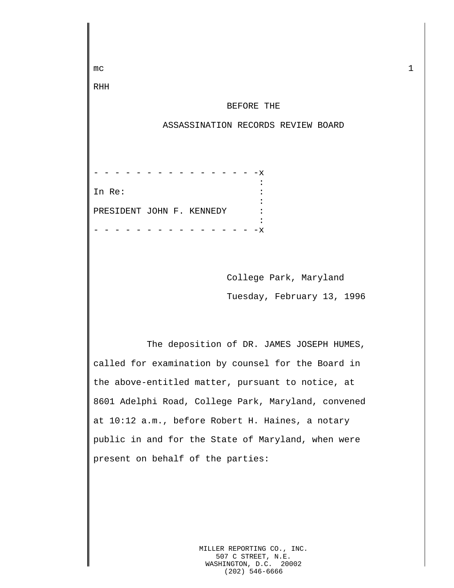mc  $1$ RHH BEFORE THE ASSASSINATION RECORDS REVIEW BOARD - - - - -x<br>: the contract of the contract of the contract of the contract of the contract of the contract of the contract o In Re: the set of the set of the set of the set of the set of the set of the set of the set of the set of the set of the set of the set of the set of the set of the set of the set of the set of the set of the set of the se : PRESIDENT JOHN F. KENNEDY : :  $X$ College Park, Maryland Tuesday, February 13, 1996 The deposition of DR. JAMES JOSEPH HUMES, called for examination by counsel for the Board in the above-entitled matter, pursuant to notice, at 8601 Adelphi Road, College Park, Maryland, convened at 10:12 a.m., before Robert H. Haines, a notary public in and for the State of Maryland, when were present on behalf of the parties: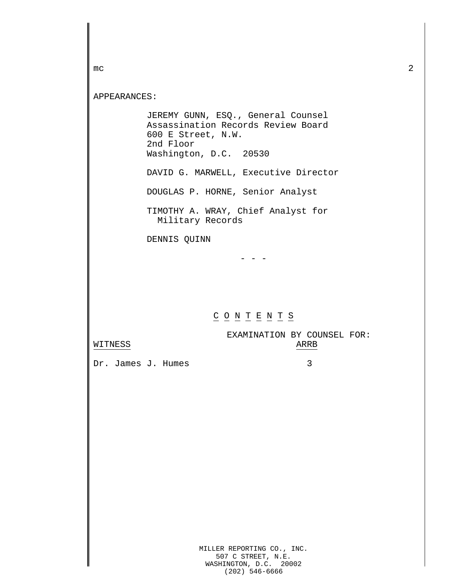mc  $\sim$  2

### APPEARANCES:

JEREMY GUNN, ESQ., General Counsel Assassination Records Review Board 600 E Street, N.W. 2nd Floor Washington, D.C. 20530

DAVID G. MARWELL, Executive Director

DOUGLAS P. HORNE, Senior Analyst

TIMOTHY A. WRAY, Chief Analyst for Military Records

DENNIS QUINN

- - -

# $\underline{C} \underline{O} \underline{N} \underline{T} \underline{E} \underline{N} \underline{T} \underline{S}$

#### WITNESS

EXAMINATION BY COUNSEL FOR:

Dr. James J. Humes 3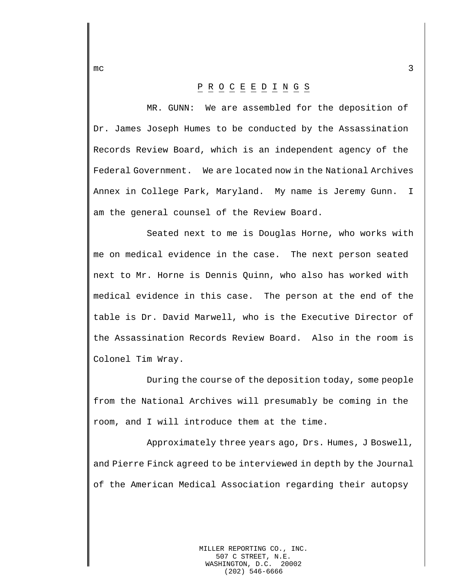## P R O C E E D I N G S

MR. GUNN: We are assembled for the deposition of Dr. James Joseph Humes to be conducted by the Assassination Records Review Board, which is an independent agency of the Federal Government. We are located now in the National Archives Annex in College Park, Maryland. My name is Jeremy Gunn. I am the general counsel of the Review Board.

Seated next to me is Douglas Horne, who works with me on medical evidence in the case. The next person seated next to Mr. Horne is Dennis Quinn, who also has worked with medical evidence in this case. The person at the end of the table is Dr. David Marwell, who is the Executive Director of the Assassination Records Review Board. Also in the room is Colonel Tim Wray.

During the course of the deposition today, some people from the National Archives will presumably be coming in the room, and I will introduce them at the time.

Approximately three years ago, Drs. Humes, J Boswell, and Pierre Finck agreed to be interviewed in depth by the Journal of the American Medical Association regarding their autopsy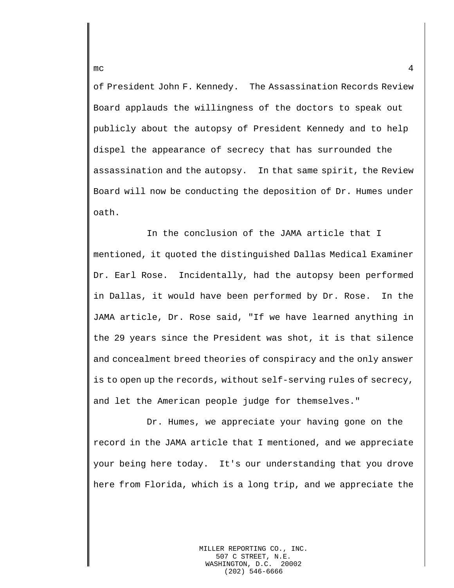of President John F. Kennedy. The Assassination Records Review Board applauds the willingness of the doctors to speak out publicly about the autopsy of President Kennedy and to help dispel the appearance of secrecy that has surrounded the assassination and the autopsy. In that same spirit, the Review Board will now be conducting the deposition of Dr. Humes under oath.

In the conclusion of the JAMA article that I mentioned, it quoted the distinguished Dallas Medical Examiner Dr. Earl Rose. Incidentally, had the autopsy been performed in Dallas, it would have been performed by Dr. Rose. In the JAMA article, Dr. Rose said, "If we have learned anything in the 29 years since the President was shot, it is that silence and concealment breed theories of conspiracy and the only answer is to open up the records, without self-serving rules of secrecy, and let the American people judge for themselves."

Dr. Humes, we appreciate your having gone on the record in the JAMA article that I mentioned, and we appreciate your being here today. It's our understanding that you drove here from Florida, which is a long trip, and we appreciate the

 $m$ c  $4$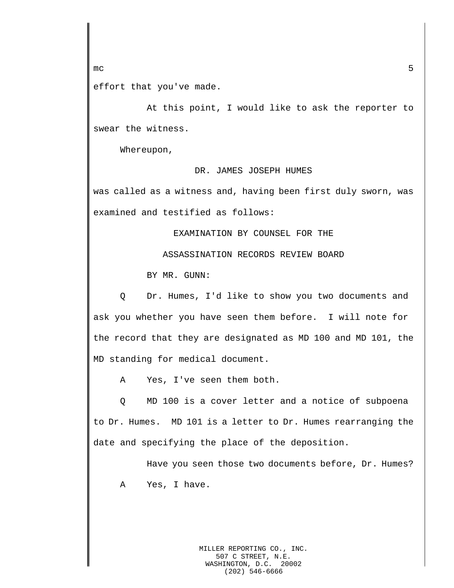```
mc 5
```
effort that you've made.

At this point, I would like to ask the reporter to swear the witness.

Whereupon,

## DR. JAMES JOSEPH HUMES

was called as a witness and, having been first duly sworn, was examined and testified as follows:

EXAMINATION BY COUNSEL FOR THE

ASSASSINATION RECORDS REVIEW BOARD

BY MR. GUNN:

Q Dr. Humes, I'd like to show you two documents and ask you whether you have seen them before. I will note for the record that they are designated as MD 100 and MD 101, the MD standing for medical document.

A Yes, I've seen them both.

Q MD 100 is a cover letter and a notice of subpoena to Dr. Humes. MD 101 is a letter to Dr. Humes rearranging the date and specifying the place of the deposition.

Have you seen those two documents before, Dr. Humes? A Yes, I have.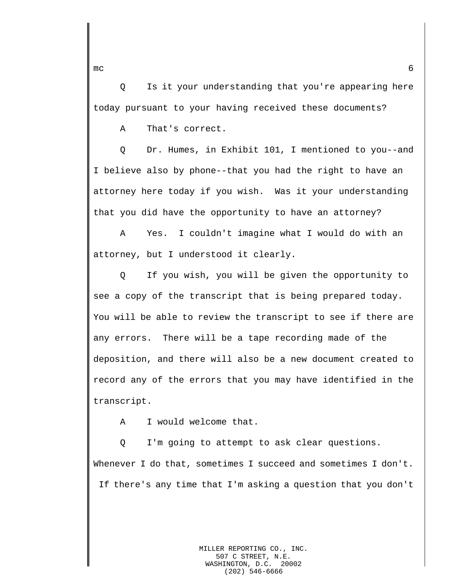Q Is it your understanding that you're appearing here today pursuant to your having received these documents?

A That's correct.

Q Dr. Humes, in Exhibit 101, I mentioned to you--and I believe also by phone--that you had the right to have an attorney here today if you wish. Was it your understanding that you did have the opportunity to have an attorney?

A Yes. I couldn't imagine what I would do with an attorney, but I understood it clearly.

Q If you wish, you will be given the opportunity to see a copy of the transcript that is being prepared today. You will be able to review the transcript to see if there are any errors. There will be a tape recording made of the deposition, and there will also be a new document created to record any of the errors that you may have identified in the transcript.

A I would welcome that.

Q I'm going to attempt to ask clear questions. Whenever I do that, sometimes I succeed and sometimes I don't. If there's any time that I'm asking a question that you don't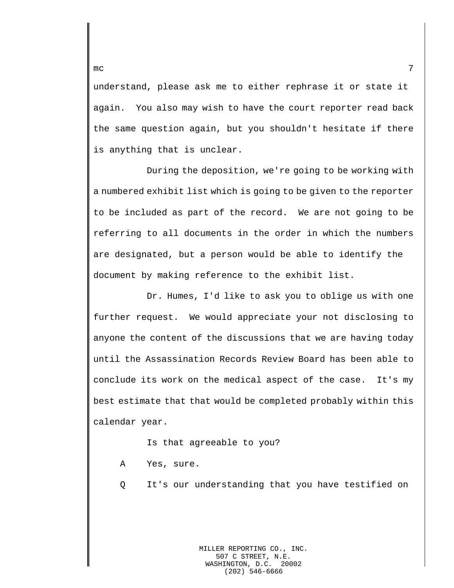understand, please ask me to either rephrase it or state it again. You also may wish to have the court reporter read back the same question again, but you shouldn't hesitate if there is anything that is unclear.

During the deposition, we're going to be working with a numbered exhibit list which is going to be given to the reporter to be included as part of the record. We are not going to be referring to all documents in the order in which the numbers are designated, but a person would be able to identify the document by making reference to the exhibit list.

Dr. Humes, I'd like to ask you to oblige us with one further request. We would appreciate your not disclosing to anyone the content of the discussions that we are having today until the Assassination Records Review Board has been able to conclude its work on the medical aspect of the case. It's my best estimate that that would be completed probably within this calendar year.

Is that agreeable to you?

A Yes, sure.

Q It's our understanding that you have testified on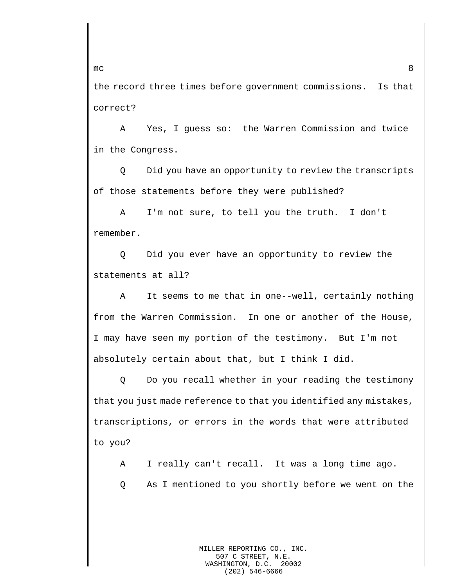the record three times before government commissions. Is that correct?

A Yes, I guess so: the Warren Commission and twice in the Congress.

Q Did you have an opportunity to review the transcripts of those statements before they were published?

A I'm not sure, to tell you the truth. I don't remember.

Q Did you ever have an opportunity to review the statements at all?

A It seems to me that in one--well, certainly nothing from the Warren Commission. In one or another of the House, I may have seen my portion of the testimony. But I'm not absolutely certain about that, but I think I did.

Q Do you recall whether in your reading the testimony that you just made reference to that you identified any mistakes, transcriptions, or errors in the words that were attributed to you?

A I really can't recall. It was a long time ago.

Q As I mentioned to you shortly before we went on the

 $mc$  8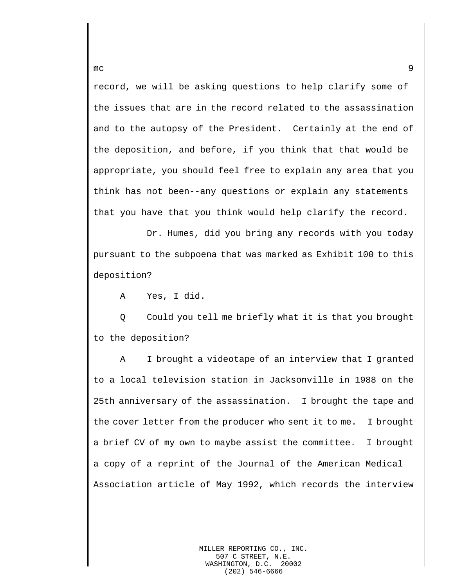record, we will be asking questions to help clarify some of the issues that are in the record related to the assassination and to the autopsy of the President. Certainly at the end of the deposition, and before, if you think that that would be appropriate, you should feel free to explain any area that you think has not been--any questions or explain any statements that you have that you think would help clarify the record.

Dr. Humes, did you bring any records with you today pursuant to the subpoena that was marked as Exhibit 100 to this deposition?

A Yes, I did.

Q Could you tell me briefly what it is that you brought to the deposition?

A I brought a videotape of an interview that I granted to a local television station in Jacksonville in 1988 on the 25th anniversary of the assassination. I brought the tape and the cover letter from the producer who sent it to me. I brought a brief CV of my own to maybe assist the committee. I brought a copy of a reprint of the Journal of the American Medical Association article of May 1992, which records the interview

> MILLER REPORTING CO., INC. 507 C STREET, N.E. WASHINGTON, D.C. 20002 (202) 546-6666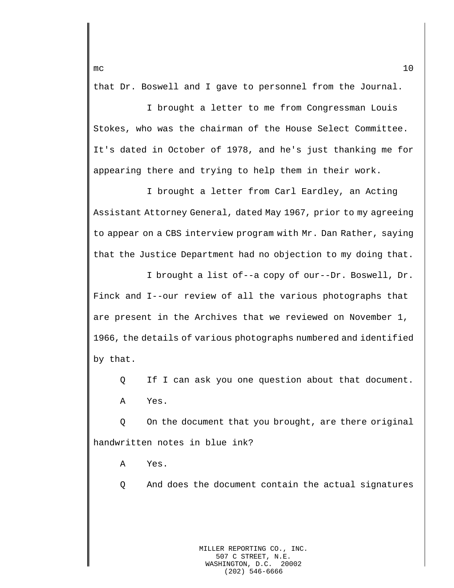that Dr. Boswell and I gave to personnel from the Journal.

I brought a letter to me from Congressman Louis Stokes, who was the chairman of the House Select Committee. It's dated in October of 1978, and he's just thanking me for appearing there and trying to help them in their work.

I brought a letter from Carl Eardley, an Acting Assistant Attorney General, dated May 1967, prior to my agreeing to appear on a CBS interview program with Mr. Dan Rather, saying that the Justice Department had no objection to my doing that.

I brought a list of--a copy of our--Dr. Boswell, Dr. Finck and I--our review of all the various photographs that are present in the Archives that we reviewed on November 1, 1966, the details of various photographs numbered and identified by that.

Q If I can ask you one question about that document. A Yes.

Q On the document that you brought, are there original handwritten notes in blue ink?

A Yes.

Q And does the document contain the actual signatures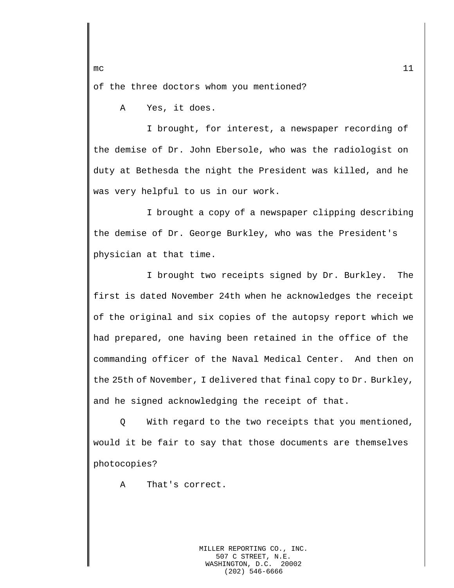of the three doctors whom you mentioned?

A Yes, it does.

I brought, for interest, a newspaper recording of the demise of Dr. John Ebersole, who was the radiologist on duty at Bethesda the night the President was killed, and he was very helpful to us in our work.

I brought a copy of a newspaper clipping describing the demise of Dr. George Burkley, who was the President's physician at that time.

I brought two receipts signed by Dr. Burkley. The first is dated November 24th when he acknowledges the receipt of the original and six copies of the autopsy report which we had prepared, one having been retained in the office of the commanding officer of the Naval Medical Center. And then on the 25th of November, I delivered that final copy to Dr. Burkley, and he signed acknowledging the receipt of that.

Q With regard to the two receipts that you mentioned, would it be fair to say that those documents are themselves photocopies?

A That's correct.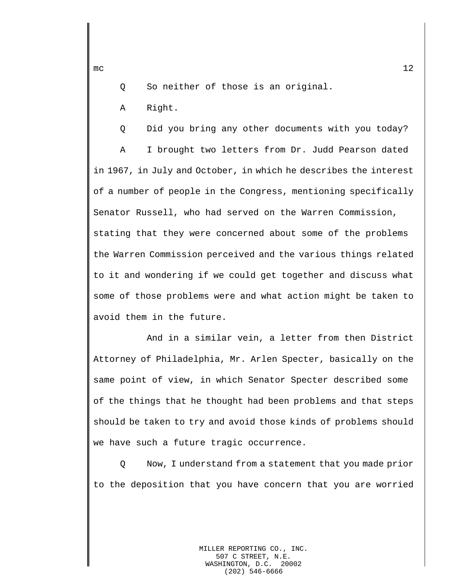mc  $12$ 

Q So neither of those is an original.

A Right.

Q Did you bring any other documents with you today?

A I brought two letters from Dr. Judd Pearson dated in 1967, in July and October, in which he describes the interest of a number of people in the Congress, mentioning specifically Senator Russell, who had served on the Warren Commission, stating that they were concerned about some of the problems the Warren Commission perceived and the various things related to it and wondering if we could get together and discuss what some of those problems were and what action might be taken to avoid them in the future.

And in a similar vein, a letter from then District Attorney of Philadelphia, Mr. Arlen Specter, basically on the same point of view, in which Senator Specter described some of the things that he thought had been problems and that steps should be taken to try and avoid those kinds of problems should we have such a future tragic occurrence.

Q Now, I understand from a statement that you made prior to the deposition that you have concern that you are worried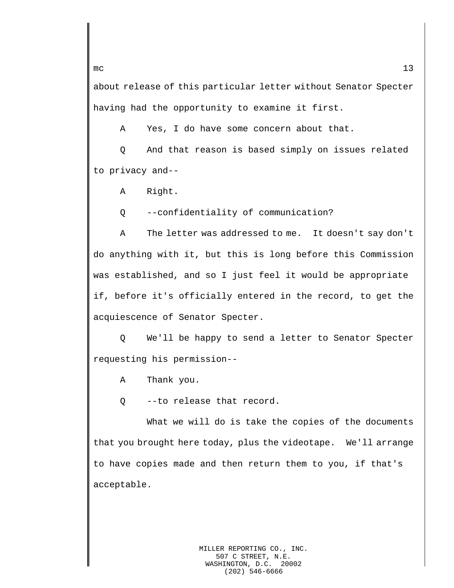about release of this particular letter without Senator Specter having had the opportunity to examine it first.

A Yes, I do have some concern about that.

Q And that reason is based simply on issues related to privacy and--

A Right.

Q --confidentiality of communication?

A The letter was addressed to me. It doesn't say don't do anything with it, but this is long before this Commission was established, and so I just feel it would be appropriate if, before it's officially entered in the record, to get the acquiescence of Senator Specter.

Q We'll be happy to send a letter to Senator Specter requesting his permission--

A Thank you.

Q --to release that record.

What we will do is take the copies of the documents that you brought here today, plus the videotape. We'll arrange to have copies made and then return them to you, if that's acceptable.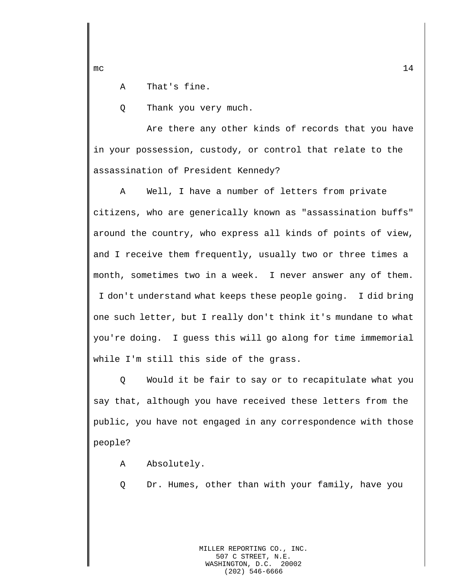A That's fine.

Q Thank you very much.

Are there any other kinds of records that you have in your possession, custody, or control that relate to the assassination of President Kennedy?

A Well, I have a number of letters from private citizens, who are generically known as "assassination buffs" around the country, who express all kinds of points of view, and I receive them frequently, usually two or three times a month, sometimes two in a week. I never answer any of them. I don't understand what keeps these people going. I did bring one such letter, but I really don't think it's mundane to what you're doing. I guess this will go along for time immemorial while I'm still this side of the grass.

Q Would it be fair to say or to recapitulate what you say that, although you have received these letters from the public, you have not engaged in any correspondence with those people?

A Absolutely.

Q Dr. Humes, other than with your family, have you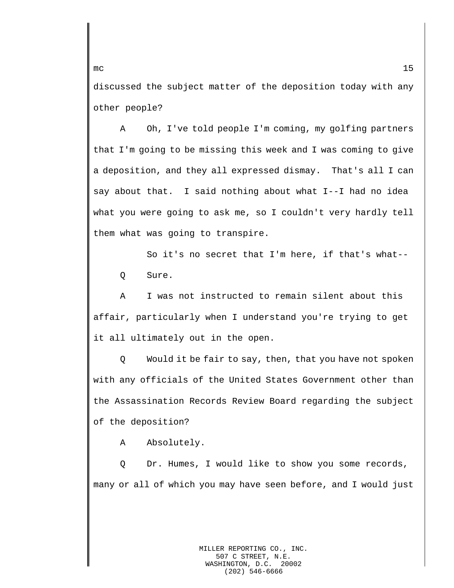discussed the subject matter of the deposition today with any other people?

A Oh, I've told people I'm coming, my golfing partners that I'm going to be missing this week and I was coming to give a deposition, and they all expressed dismay. That's all I can say about that. I said nothing about what I--I had no idea what you were going to ask me, so I couldn't very hardly tell them what was going to transpire.

So it's no secret that I'm here, if that's what-- Q Sure.

A I was not instructed to remain silent about this affair, particularly when I understand you're trying to get it all ultimately out in the open.

Q Would it be fair to say, then, that you have not spoken with any officials of the United States Government other than the Assassination Records Review Board regarding the subject of the deposition?

A Absolutely.

Q Dr. Humes, I would like to show you some records, many or all of which you may have seen before, and I would just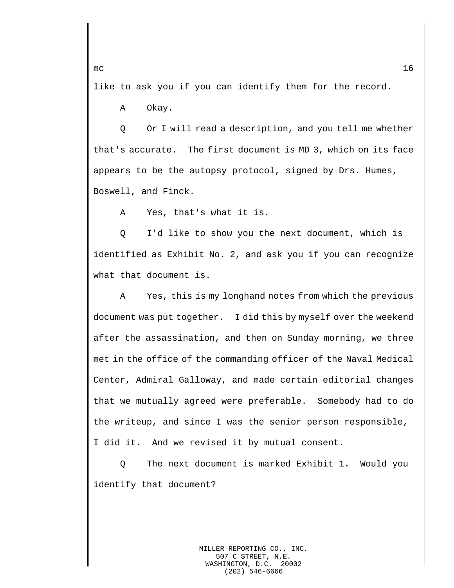like to ask you if you can identify them for the record.

A Okay.

Q Or I will read a description, and you tell me whether that's accurate. The first document is MD 3, which on its face appears to be the autopsy protocol, signed by Drs. Humes, Boswell, and Finck.

A Yes, that's what it is.

Q I'd like to show you the next document, which is identified as Exhibit No. 2, and ask you if you can recognize what that document is.

A Yes, this is my longhand notes from which the previous document was put together. I did this by myself over the weekend after the assassination, and then on Sunday morning, we three met in the office of the commanding officer of the Naval Medical Center, Admiral Galloway, and made certain editorial changes that we mutually agreed were preferable. Somebody had to do the writeup, and since I was the senior person responsible, I did it. And we revised it by mutual consent.

Q The next document is marked Exhibit 1. Would you identify that document?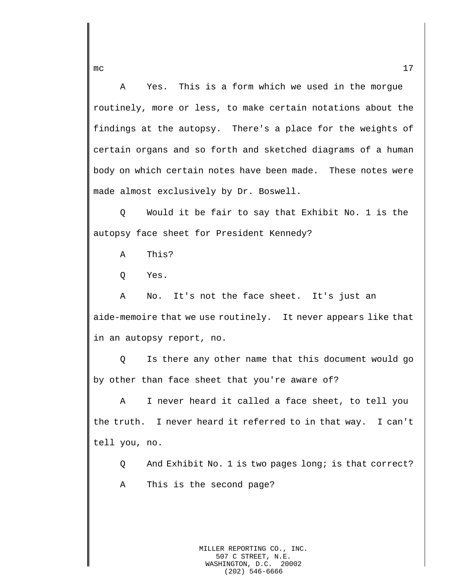A Yes. This is a form which we used in the morgue routinely, more or less, to make certain notations about the findings at the autopsy. There's a place for the weights of certain organs and so forth and sketched diagrams of a human body on which certain notes have been made. These notes were made almost exclusively by Dr. Boswell.

Q Would it be fair to say that Exhibit No. 1 is the autopsy face sheet for President Kennedy?

A This?

Q Yes.

A No. It's not the face sheet. It's just an aide-memoire that we use routinely. It never appears like that in an autopsy report, no.

Q Is there any other name that this document would go by other than face sheet that you're aware of?

A I never heard it called a face sheet, to tell you the truth. I never heard it referred to in that way. I can't tell you, no.

Q And Exhibit No. 1 is two pages long; is that correct?

A This is the second page?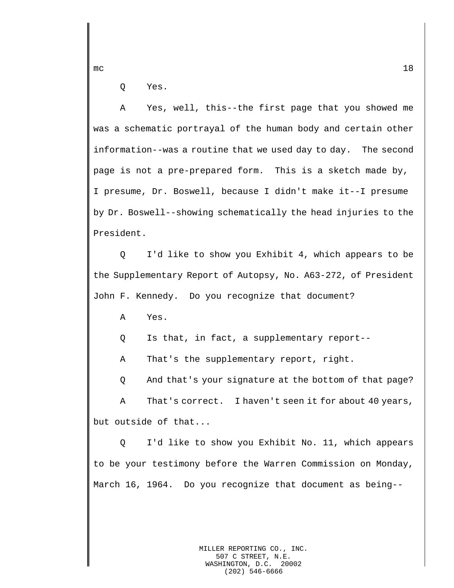mc  $18$ 

Q Yes.

A Yes, well, this--the first page that you showed me was a schematic portrayal of the human body and certain other information--was a routine that we used day to day. The second page is not a pre-prepared form. This is a sketch made by, I presume, Dr. Boswell, because I didn't make it--I presume by Dr. Boswell--showing schematically the head injuries to the President.

Q I'd like to show you Exhibit 4, which appears to be the Supplementary Report of Autopsy, No. A63-272, of President John F. Kennedy. Do you recognize that document?

A Yes.

Q Is that, in fact, a supplementary report--

A That's the supplementary report, right.

Q And that's your signature at the bottom of that page?

A That's correct. I haven't seen it for about 40 years, but outside of that...

Q I'd like to show you Exhibit No. 11, which appears to be your testimony before the Warren Commission on Monday, March 16, 1964. Do you recognize that document as being--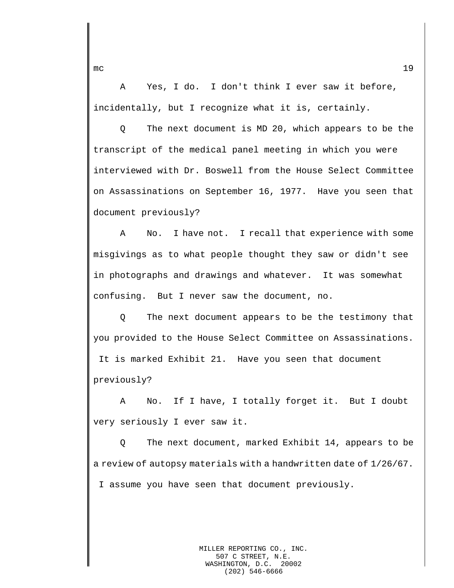A Yes, I do. I don't think I ever saw it before, incidentally, but I recognize what it is, certainly.

Q The next document is MD 20, which appears to be the transcript of the medical panel meeting in which you were interviewed with Dr. Boswell from the House Select Committee on Assassinations on September 16, 1977. Have you seen that document previously?

A No. I have not. I recall that experience with some misgivings as to what people thought they saw or didn't see in photographs and drawings and whatever. It was somewhat confusing. But I never saw the document, no.

Q The next document appears to be the testimony that you provided to the House Select Committee on Assassinations. It is marked Exhibit 21. Have you seen that document previously?

A No. If I have, I totally forget it. But I doubt very seriously I ever saw it.

Q The next document, marked Exhibit 14, appears to be a review of autopsy materials with a handwritten date of 1/26/67. I assume you have seen that document previously.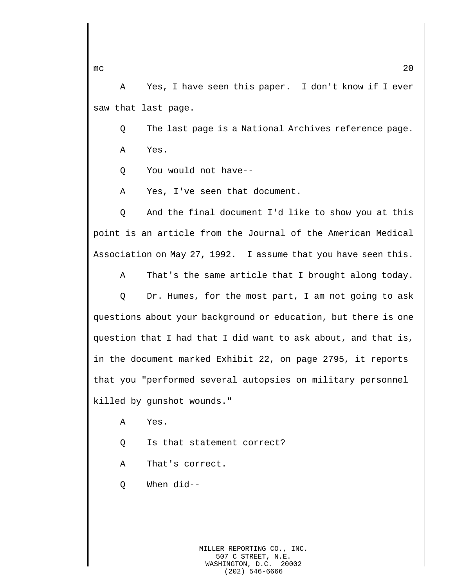A Yes, I have seen this paper. I don't know if I ever saw that last page.

Q The last page is a National Archives reference page. A Yes.

Q You would not have--

A Yes, I've seen that document.

Q And the final document I'd like to show you at this point is an article from the Journal of the American Medical Association on May 27, 1992. I assume that you have seen this.

A That's the same article that I brought along today.

Q Dr. Humes, for the most part, I am not going to ask questions about your background or education, but there is one question that I had that I did want to ask about, and that is, in the document marked Exhibit 22, on page 2795, it reports that you "performed several autopsies on military personnel killed by gunshot wounds."

- A Yes.
- Q Is that statement correct?
- A That's correct.
- Q When did--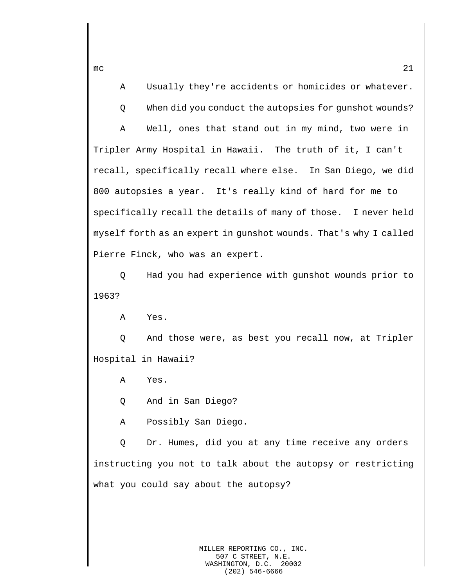mc  $21$ 

A Usually they're accidents or homicides or whatever.

Q When did you conduct the autopsies for gunshot wounds?

A Well, ones that stand out in my mind, two were in Tripler Army Hospital in Hawaii. The truth of it, I can't recall, specifically recall where else. In San Diego, we did 800 autopsies a year. It's really kind of hard for me to specifically recall the details of many of those. I never held myself forth as an expert in gunshot wounds. That's why I called Pierre Finck, who was an expert.

Q Had you had experience with gunshot wounds prior to 1963?

A Yes.

Q And those were, as best you recall now, at Tripler Hospital in Hawaii?

A Yes.

Q And in San Diego?

A Possibly San Diego.

Q Dr. Humes, did you at any time receive any orders instructing you not to talk about the autopsy or restricting what you could say about the autopsy?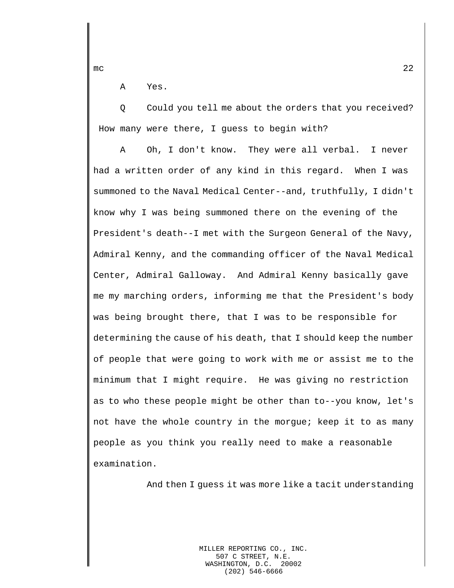A Yes.

Q Could you tell me about the orders that you received? How many were there, I guess to begin with?

A Oh, I don't know. They were all verbal. I never had a written order of any kind in this regard. When I was summoned to the Naval Medical Center--and, truthfully, I didn't know why I was being summoned there on the evening of the President's death--I met with the Surgeon General of the Navy, Admiral Kenny, and the commanding officer of the Naval Medical Center, Admiral Galloway. And Admiral Kenny basically gave me my marching orders, informing me that the President's body was being brought there, that I was to be responsible for determining the cause of his death, that I should keep the number of people that were going to work with me or assist me to the minimum that I might require. He was giving no restriction as to who these people might be other than to--you know, let's not have the whole country in the morgue; keep it to as many people as you think you really need to make a reasonable examination.

And then I guess it was more like a tacit understanding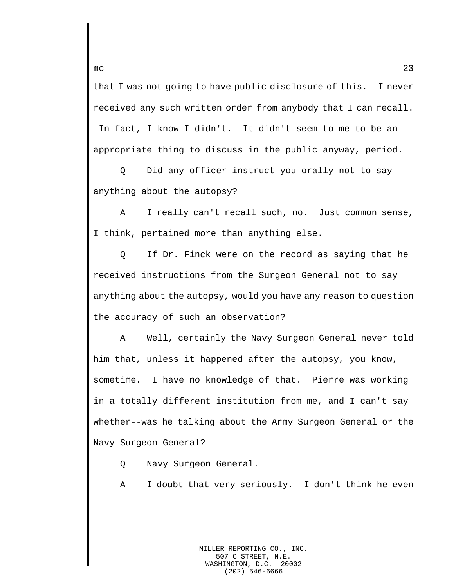that I was not going to have public disclosure of this. I never received any such written order from anybody that I can recall. In fact, I know I didn't. It didn't seem to me to be an appropriate thing to discuss in the public anyway, period.

Q Did any officer instruct you orally not to say anything about the autopsy?

A I really can't recall such, no. Just common sense, I think, pertained more than anything else.

Q If Dr. Finck were on the record as saying that he received instructions from the Surgeon General not to say anything about the autopsy, would you have any reason to question the accuracy of such an observation?

A Well, certainly the Navy Surgeon General never told him that, unless it happened after the autopsy, you know, sometime. I have no knowledge of that. Pierre was working in a totally different institution from me, and I can't say whether--was he talking about the Army Surgeon General or the Navy Surgeon General?

Q Navy Surgeon General.

A I doubt that very seriously. I don't think he even

mc  $\sim$  23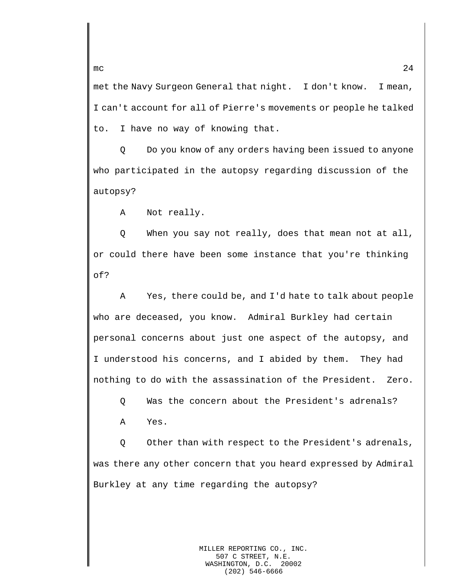met the Navy Surgeon General that night. I don't know. I mean, I can't account for all of Pierre's movements or people he talked to. I have no way of knowing that.

Q Do you know of any orders having been issued to anyone who participated in the autopsy regarding discussion of the autopsy?

A Not really.

Q When you say not really, does that mean not at all, or could there have been some instance that you're thinking of?

A Yes, there could be, and I'd hate to talk about people who are deceased, you know. Admiral Burkley had certain personal concerns about just one aspect of the autopsy, and I understood his concerns, and I abided by them. They had nothing to do with the assassination of the President. Zero.

Q Was the concern about the President's adrenals?

A Yes.

Q Other than with respect to the President's adrenals, was there any other concern that you heard expressed by Admiral Burkley at any time regarding the autopsy?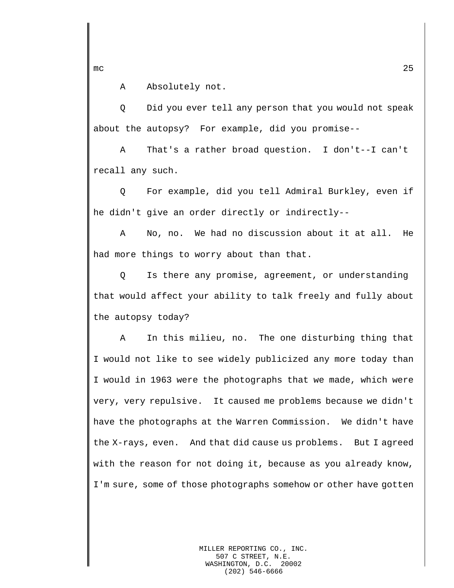A Absolutely not.

Q Did you ever tell any person that you would not speak about the autopsy? For example, did you promise--

A That's a rather broad question. I don't--I can't recall any such.

Q For example, did you tell Admiral Burkley, even if he didn't give an order directly or indirectly--

A No, no. We had no discussion about it at all. He had more things to worry about than that.

Q Is there any promise, agreement, or understanding that would affect your ability to talk freely and fully about the autopsy today?

A In this milieu, no. The one disturbing thing that I would not like to see widely publicized any more today than I would in 1963 were the photographs that we made, which were very, very repulsive. It caused me problems because we didn't have the photographs at the Warren Commission. We didn't have the X-rays, even. And that did cause us problems. But I agreed with the reason for not doing it, because as you already know, I'm sure, some of those photographs somehow or other have gotten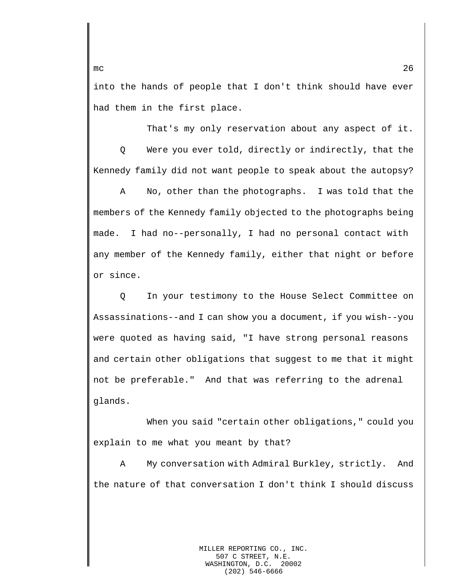into the hands of people that I don't think should have ever had them in the first place.

That's my only reservation about any aspect of it.

Q Were you ever told, directly or indirectly, that the Kennedy family did not want people to speak about the autopsy?

A No, other than the photographs. I was told that the members of the Kennedy family objected to the photographs being made. I had no--personally, I had no personal contact with any member of the Kennedy family, either that night or before or since.

Q In your testimony to the House Select Committee on Assassinations--and I can show you a document, if you wish--you were quoted as having said, "I have strong personal reasons and certain other obligations that suggest to me that it might not be preferable." And that was referring to the adrenal glands.

When you said "certain other obligations," could you explain to me what you meant by that?

A My conversation with Admiral Burkley, strictly. And the nature of that conversation I don't think I should discuss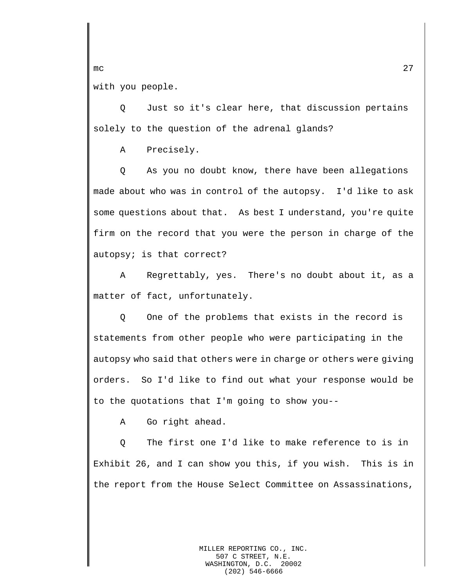with you people.

Q Just so it's clear here, that discussion pertains solely to the question of the adrenal glands?

A Precisely.

Q As you no doubt know, there have been allegations made about who was in control of the autopsy. I'd like to ask some questions about that. As best I understand, you're quite firm on the record that you were the person in charge of the autopsy; is that correct?

A Regrettably, yes. There's no doubt about it, as a matter of fact, unfortunately.

Q One of the problems that exists in the record is statements from other people who were participating in the autopsy who said that others were in charge or others were giving orders. So I'd like to find out what your response would be to the quotations that I'm going to show you--

A Go right ahead.

Q The first one I'd like to make reference to is in Exhibit 26, and I can show you this, if you wish. This is in the report from the House Select Committee on Assassinations,

mc  $27$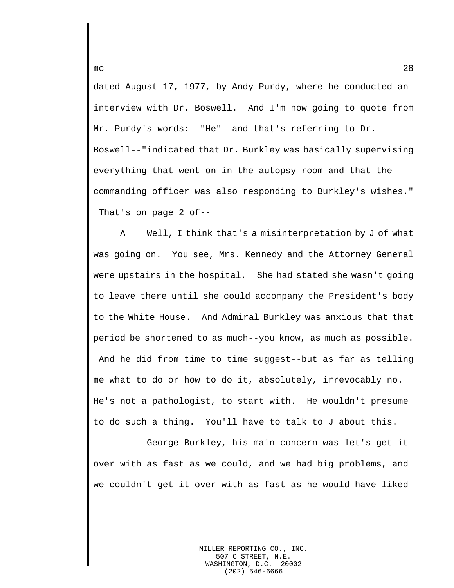dated August 17, 1977, by Andy Purdy, where he conducted an interview with Dr. Boswell. And I'm now going to quote from Mr. Purdy's words: "He"--and that's referring to Dr. Boswell--"indicated that Dr. Burkley was basically supervising everything that went on in the autopsy room and that the commanding officer was also responding to Burkley's wishes." That's on page 2 of--

A Well, I think that's a misinterpretation by J of what was going on. You see, Mrs. Kennedy and the Attorney General were upstairs in the hospital. She had stated she wasn't going to leave there until she could accompany the President's body to the White House. And Admiral Burkley was anxious that that period be shortened to as much--you know, as much as possible. And he did from time to time suggest--but as far as telling me what to do or how to do it, absolutely, irrevocably no. He's not a pathologist, to start with. He wouldn't presume to do such a thing. You'll have to talk to J about this.

George Burkley, his main concern was let's get it over with as fast as we could, and we had big problems, and we couldn't get it over with as fast as he would have liked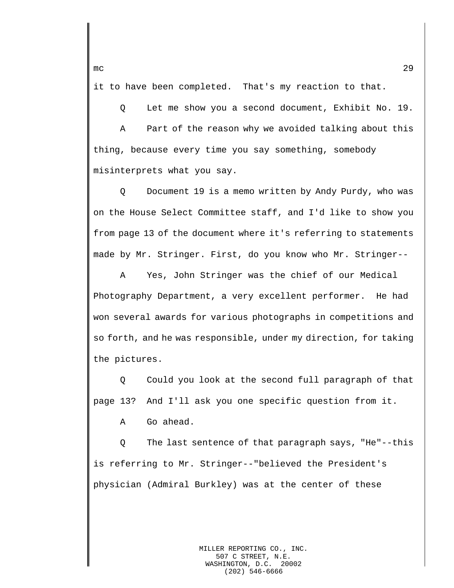it to have been completed. That's my reaction to that.

Q Let me show you a second document, Exhibit No. 19.

A Part of the reason why we avoided talking about this thing, because every time you say something, somebody misinterprets what you say.

Q Document 19 is a memo written by Andy Purdy, who was on the House Select Committee staff, and I'd like to show you from page 13 of the document where it's referring to statements made by Mr. Stringer. First, do you know who Mr. Stringer--

A Yes, John Stringer was the chief of our Medical Photography Department, a very excellent performer. He had won several awards for various photographs in competitions and so forth, and he was responsible, under my direction, for taking the pictures.

Q Could you look at the second full paragraph of that page 13? And I'll ask you one specific question from it.

A Go ahead.

Q The last sentence of that paragraph says, "He"--this is referring to Mr. Stringer--"believed the President's physician (Admiral Burkley) was at the center of these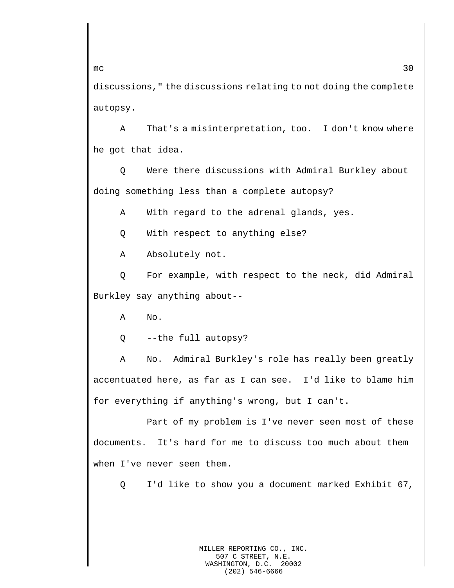discussions," the discussions relating to not doing the complete autopsy.

A That's a misinterpretation, too. I don't know where he got that idea.

Q Were there discussions with Admiral Burkley about doing something less than a complete autopsy?

A With regard to the adrenal glands, yes.

Q With respect to anything else?

A Absolutely not.

Q For example, with respect to the neck, did Admiral Burkley say anything about--

A No.

Q --the full autopsy?

A No. Admiral Burkley's role has really been greatly accentuated here, as far as I can see. I'd like to blame him for everything if anything's wrong, but I can't.

Part of my problem is I've never seen most of these documents. It's hard for me to discuss too much about them when I've never seen them.

Q I'd like to show you a document marked Exhibit 67,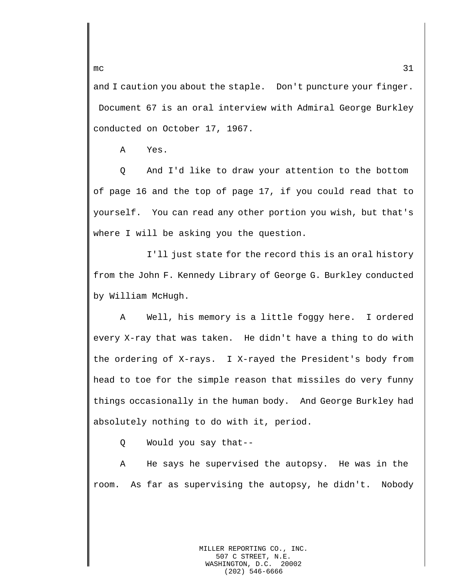and I caution you about the staple. Don't puncture your finger. Document 67 is an oral interview with Admiral George Burkley conducted on October 17, 1967.

A Yes.

Q And I'd like to draw your attention to the bottom of page 16 and the top of page 17, if you could read that to yourself. You can read any other portion you wish, but that's where I will be asking you the question.

I'll just state for the record this is an oral history from the John F. Kennedy Library of George G. Burkley conducted by William McHugh.

A Well, his memory is a little foggy here. I ordered every X-ray that was taken. He didn't have a thing to do with the ordering of X-rays. I X-rayed the President's body from head to toe for the simple reason that missiles do very funny things occasionally in the human body. And George Burkley had absolutely nothing to do with it, period.

Q Would you say that--

A He says he supervised the autopsy. He was in the room. As far as supervising the autopsy, he didn't. Nobody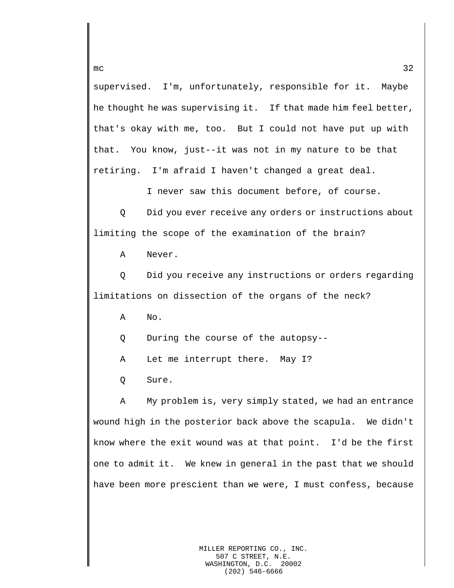supervised. I'm, unfortunately, responsible for it. Maybe he thought he was supervising it. If that made him feel better, that's okay with me, too. But I could not have put up with that. You know, just--it was not in my nature to be that retiring. I'm afraid I haven't changed a great deal.

I never saw this document before, of course.

Q Did you ever receive any orders or instructions about limiting the scope of the examination of the brain?

A Never.

Q Did you receive any instructions or orders regarding limitations on dissection of the organs of the neck?

A No.

Q During the course of the autopsy--

A Let me interrupt there. May I?

Q Sure.

A My problem is, very simply stated, we had an entrance wound high in the posterior back above the scapula. We didn't know where the exit wound was at that point. I'd be the first one to admit it. We knew in general in the past that we should have been more prescient than we were, I must confess, because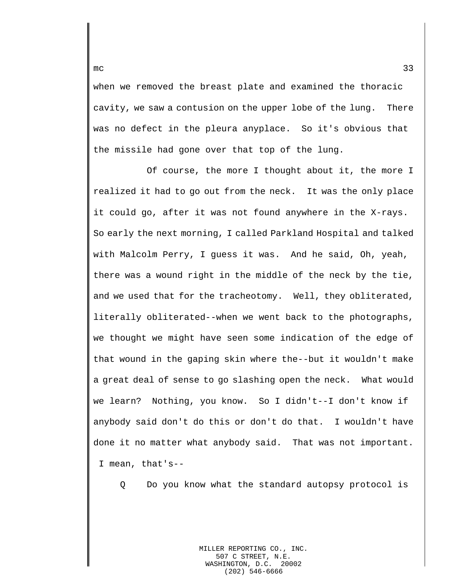when we removed the breast plate and examined the thoracic cavity, we saw a contusion on the upper lobe of the lung. There was no defect in the pleura anyplace. So it's obvious that the missile had gone over that top of the lung.

Of course, the more I thought about it, the more I realized it had to go out from the neck. It was the only place it could go, after it was not found anywhere in the X-rays. So early the next morning, I called Parkland Hospital and talked with Malcolm Perry, I guess it was. And he said, Oh, yeah, there was a wound right in the middle of the neck by the tie, and we used that for the tracheotomy. Well, they obliterated, literally obliterated--when we went back to the photographs, we thought we might have seen some indication of the edge of that wound in the gaping skin where the--but it wouldn't make a great deal of sense to go slashing open the neck. What would we learn? Nothing, you know. So I didn't--I don't know if anybody said don't do this or don't do that. I wouldn't have done it no matter what anybody said. That was not important. I mean, that's--

Q Do you know what the standard autopsy protocol is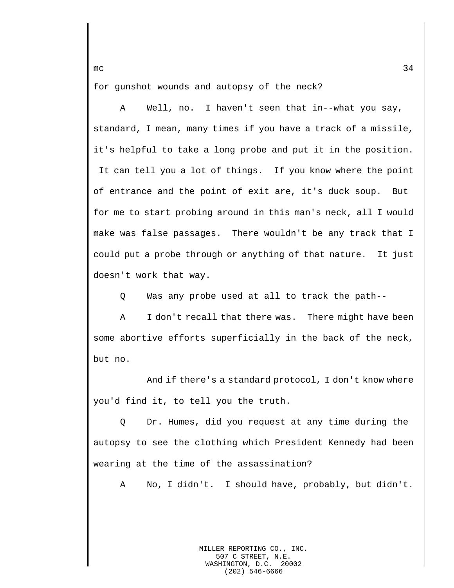for gunshot wounds and autopsy of the neck?

A Well, no. I haven't seen that in--what you say, standard, I mean, many times if you have a track of a missile, it's helpful to take a long probe and put it in the position. It can tell you a lot of things. If you know where the point of entrance and the point of exit are, it's duck soup. But for me to start probing around in this man's neck, all I would make was false passages. There wouldn't be any track that I could put a probe through or anything of that nature. It just doesn't work that way.

Q Was any probe used at all to track the path--

A I don't recall that there was. There might have been some abortive efforts superficially in the back of the neck, but no.

And if there's a standard protocol, I don't know where you'd find it, to tell you the truth.

Q Dr. Humes, did you request at any time during the autopsy to see the clothing which President Kennedy had been wearing at the time of the assassination?

A No, I didn't. I should have, probably, but didn't.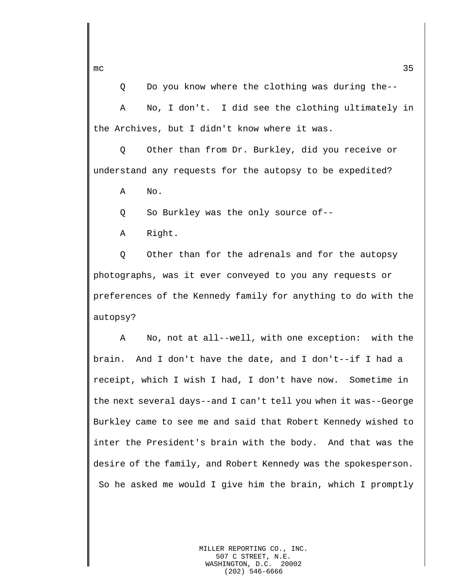Q Do you know where the clothing was during the-- A No, I don't. I did see the clothing ultimately in

the Archives, but I didn't know where it was.

Q Other than from Dr. Burkley, did you receive or understand any requests for the autopsy to be expedited?

A No.

Q So Burkley was the only source of--

A Right.

Q Other than for the adrenals and for the autopsy photographs, was it ever conveyed to you any requests or preferences of the Kennedy family for anything to do with the autopsy?

A No, not at all--well, with one exception: with the brain. And I don't have the date, and I don't--if I had a receipt, which I wish I had, I don't have now. Sometime in the next several days--and I can't tell you when it was--George Burkley came to see me and said that Robert Kennedy wished to inter the President's brain with the body. And that was the desire of the family, and Robert Kennedy was the spokesperson. So he asked me would I give him the brain, which I promptly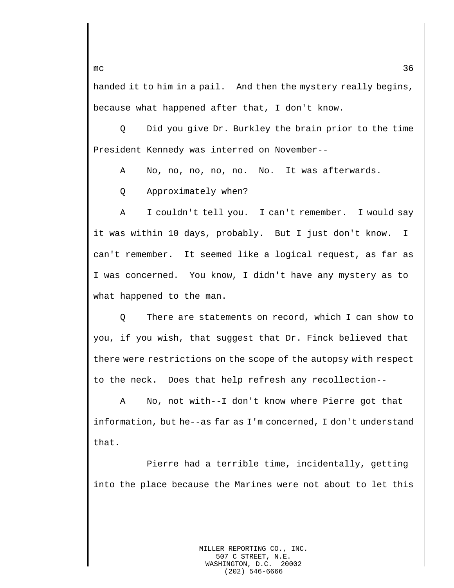handed it to him in a pail. And then the mystery really begins, because what happened after that, I don't know.

Q Did you give Dr. Burkley the brain prior to the time President Kennedy was interred on November--

A No, no, no, no, no. No. It was afterwards.

Q Approximately when?

A I couldn't tell you. I can't remember. I would say it was within 10 days, probably. But I just don't know. I can't remember. It seemed like a logical request, as far as I was concerned. You know, I didn't have any mystery as to what happened to the man.

Q There are statements on record, which I can show to you, if you wish, that suggest that Dr. Finck believed that there were restrictions on the scope of the autopsy with respect to the neck. Does that help refresh any recollection--

A No, not with--I don't know where Pierre got that information, but he--as far as I'm concerned, I don't understand that.

Pierre had a terrible time, incidentally, getting into the place because the Marines were not about to let this

mc  $36$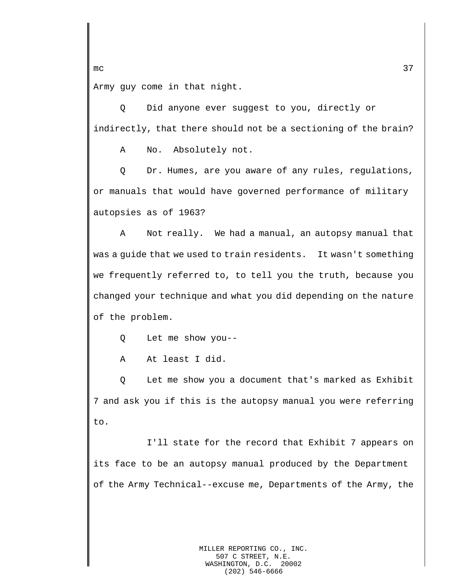Army guy come in that night.

Q Did anyone ever suggest to you, directly or indirectly, that there should not be a sectioning of the brain?

A No. Absolutely not.

Q Dr. Humes, are you aware of any rules, regulations, or manuals that would have governed performance of military autopsies as of 1963?

A Not really. We had a manual, an autopsy manual that was a guide that we used to train residents. It wasn't something we frequently referred to, to tell you the truth, because you changed your technique and what you did depending on the nature of the problem.

Q Let me show you--

A At least I did.

Q Let me show you a document that's marked as Exhibit 7 and ask you if this is the autopsy manual you were referring to.

I'll state for the record that Exhibit 7 appears on its face to be an autopsy manual produced by the Department of the Army Technical--excuse me, Departments of the Army, the

 $mc$  37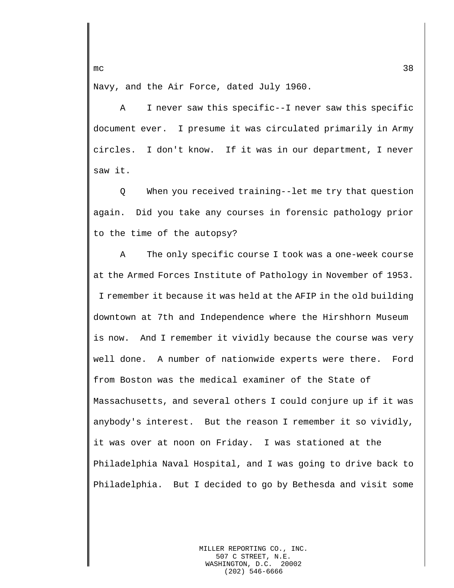Navy, and the Air Force, dated July 1960.

A I never saw this specific--I never saw this specific document ever. I presume it was circulated primarily in Army circles. I don't know. If it was in our department, I never saw it.

Q When you received training--let me try that question again. Did you take any courses in forensic pathology prior to the time of the autopsy?

A The only specific course I took was a one-week course at the Armed Forces Institute of Pathology in November of 1953. I remember it because it was held at the AFIP in the old building downtown at 7th and Independence where the Hirshhorn Museum is now. And I remember it vividly because the course was very well done. A number of nationwide experts were there. Ford from Boston was the medical examiner of the State of Massachusetts, and several others I could conjure up if it was anybody's interest. But the reason I remember it so vividly, it was over at noon on Friday. I was stationed at the Philadelphia Naval Hospital, and I was going to drive back to Philadelphia. But I decided to go by Bethesda and visit some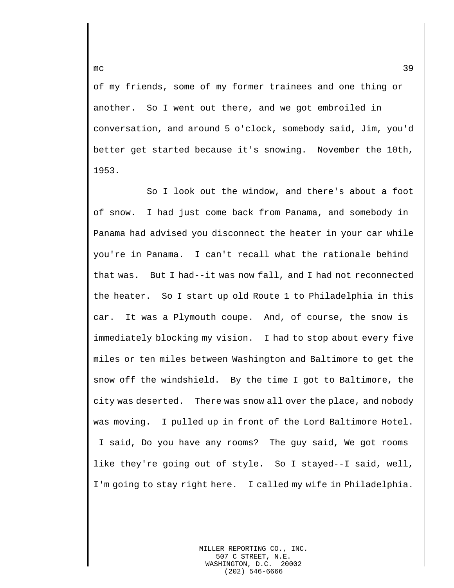of my friends, some of my former trainees and one thing or another. So I went out there, and we got embroiled in conversation, and around 5 o'clock, somebody said, Jim, you'd better get started because it's snowing. November the 10th, 1953.

So I look out the window, and there's about a foot of snow. I had just come back from Panama, and somebody in Panama had advised you disconnect the heater in your car while you're in Panama. I can't recall what the rationale behind that was. But I had--it was now fall, and I had not reconnected the heater. So I start up old Route 1 to Philadelphia in this car. It was a Plymouth coupe. And, of course, the snow is immediately blocking my vision. I had to stop about every five miles or ten miles between Washington and Baltimore to get the snow off the windshield. By the time I got to Baltimore, the city was deserted. There was snow all over the place, and nobody was moving. I pulled up in front of the Lord Baltimore Hotel. I said, Do you have any rooms? The guy said, We got rooms like they're going out of style. So I stayed--I said, well, I'm going to stay right here. I called my wife in Philadelphia.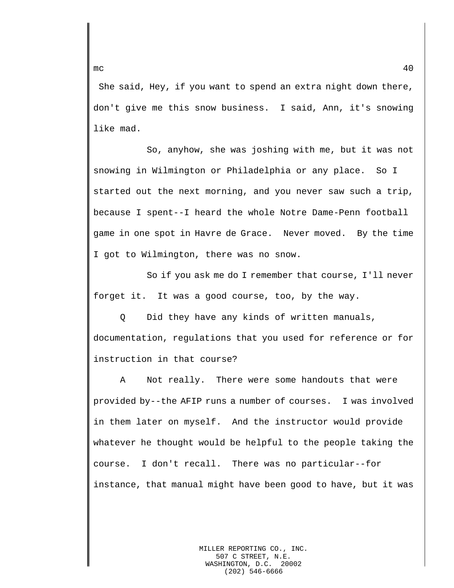She said, Hey, if you want to spend an extra night down there, don't give me this snow business. I said, Ann, it's snowing like mad.

So, anyhow, she was joshing with me, but it was not snowing in Wilmington or Philadelphia or any place. So I started out the next morning, and you never saw such a trip, because I spent--I heard the whole Notre Dame-Penn football game in one spot in Havre de Grace. Never moved. By the time I got to Wilmington, there was no snow.

So if you ask me do I remember that course, I'll never forget it. It was a good course, too, by the way.

Q Did they have any kinds of written manuals, documentation, regulations that you used for reference or for instruction in that course?

A Not really. There were some handouts that were provided by--the AFIP runs a number of courses. I was involved in them later on myself. And the instructor would provide whatever he thought would be helpful to the people taking the course. I don't recall. There was no particular--for instance, that manual might have been good to have, but it was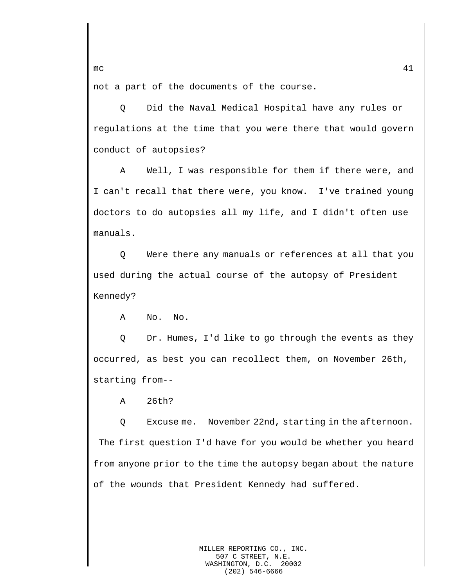not a part of the documents of the course.

Q Did the Naval Medical Hospital have any rules or regulations at the time that you were there that would govern conduct of autopsies?

A Well, I was responsible for them if there were, and I can't recall that there were, you know. I've trained young doctors to do autopsies all my life, and I didn't often use manuals.

Q Were there any manuals or references at all that you used during the actual course of the autopsy of President Kennedy?

A No. No.

Q Dr. Humes, I'd like to go through the events as they occurred, as best you can recollect them, on November 26th, starting from--

A 26th?

Q Excuse me. November 22nd, starting in the afternoon. The first question I'd have for you would be whether you heard from anyone prior to the time the autopsy began about the nature of the wounds that President Kennedy had suffered.

mc  $41$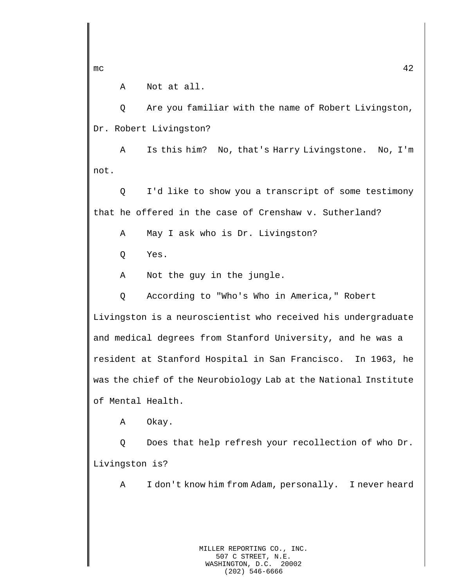A Not at all.

Q Are you familiar with the name of Robert Livingston, Dr. Robert Livingston?

A Is this him? No, that's Harry Livingstone. No, I'm not.

Q I'd like to show you a transcript of some testimony that he offered in the case of Crenshaw v. Sutherland?

A May I ask who is Dr. Livingston?

Q Yes.

A Not the guy in the jungle.

Q According to "Who's Who in America," Robert

Livingston is a neuroscientist who received his undergraduate and medical degrees from Stanford University, and he was a resident at Stanford Hospital in San Francisco. In 1963, he was the chief of the Neurobiology Lab at the National Institute of Mental Health.

A Okay.

Q Does that help refresh your recollection of who Dr. Livingston is?

A I don't know him from Adam, personally. I never heard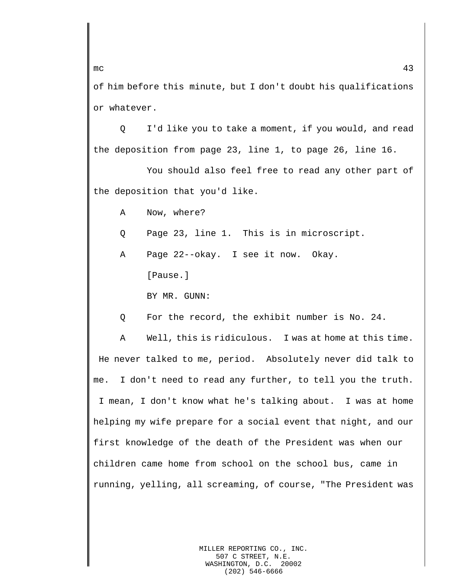of him before this minute, but I don't doubt his qualifications or whatever.

Q I'd like you to take a moment, if you would, and read the deposition from page 23, line 1, to page 26, line 16.

You should also feel free to read any other part of the deposition that you'd like.

A Now, where?

Q Page 23, line 1. This is in microscript.

A Page 22--okay. I see it now. Okay. [Pause.]

BY MR. GUNN:

Q For the record, the exhibit number is No. 24.

A Well, this is ridiculous. I was at home at this time. He never talked to me, period. Absolutely never did talk to me. I don't need to read any further, to tell you the truth. I mean, I don't know what he's talking about. I was at home helping my wife prepare for a social event that night, and our first knowledge of the death of the President was when our children came home from school on the school bus, came in running, yelling, all screaming, of course, "The President was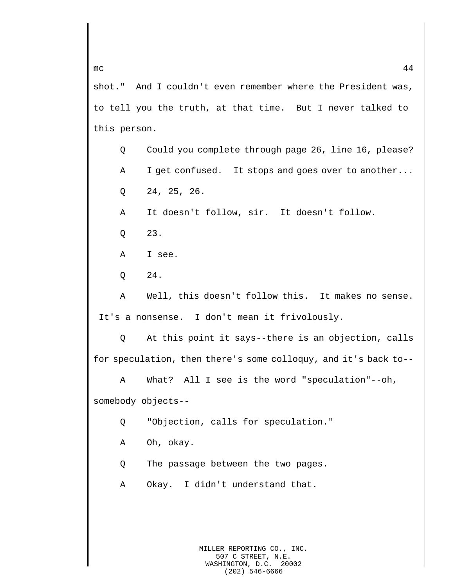shot." And I couldn't even remember where the President was, to tell you the truth, at that time. But I never talked to this person.

- Q Could you complete through page 26, line 16, please? A I get confused. It stops and goes over to another... Q 24, 25, 26.
- A It doesn't follow, sir. It doesn't follow.
- Q 23.
- A I see.
- Q 24.

A Well, this doesn't follow this. It makes no sense. It's a nonsense. I don't mean it frivolously.

Q At this point it says--there is an objection, calls for speculation, then there's some colloquy, and it's back to--

A What? All I see is the word "speculation"--oh, somebody objects--

Q "Objection, calls for speculation."

A Oh, okay.

Q The passage between the two pages.

A Okay. I didn't understand that.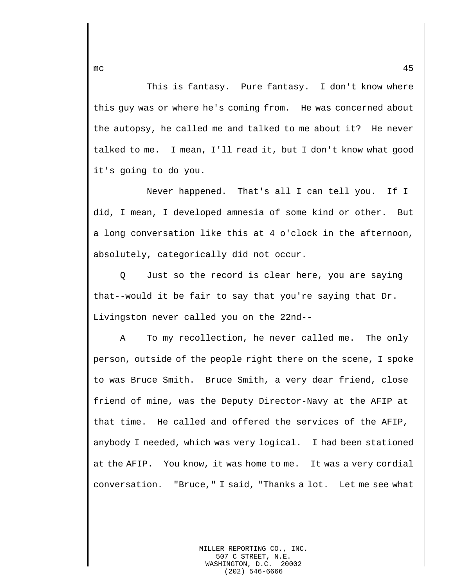This is fantasy. Pure fantasy. I don't know where this guy was or where he's coming from. He was concerned about the autopsy, he called me and talked to me about it? He never talked to me. I mean, I'll read it, but I don't know what good it's going to do you.

Never happened. That's all I can tell you. If I did, I mean, I developed amnesia of some kind or other. But a long conversation like this at 4 o'clock in the afternoon, absolutely, categorically did not occur.

Q Just so the record is clear here, you are saying that--would it be fair to say that you're saying that Dr. Livingston never called you on the 22nd--

A To my recollection, he never called me. The only person, outside of the people right there on the scene, I spoke to was Bruce Smith. Bruce Smith, a very dear friend, close friend of mine, was the Deputy Director-Navy at the AFIP at that time. He called and offered the services of the AFIP, anybody I needed, which was very logical. I had been stationed at the AFIP. You know, it was home to me. It was a very cordial conversation. "Bruce," I said, "Thanks a lot. Let me see what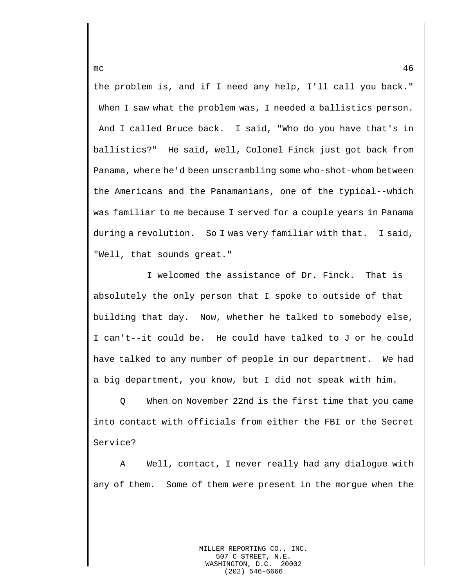the problem is, and if I need any help, I'll call you back." When I saw what the problem was, I needed a ballistics person. And I called Bruce back. I said, "Who do you have that's in ballistics?" He said, well, Colonel Finck just got back from Panama, where he'd been unscrambling some who-shot-whom between the Americans and the Panamanians, one of the typical--which was familiar to me because I served for a couple years in Panama during a revolution. So I was very familiar with that. I said, "Well, that sounds great."

I welcomed the assistance of Dr. Finck. That is absolutely the only person that I spoke to outside of that building that day. Now, whether he talked to somebody else, I can't--it could be. He could have talked to J or he could have talked to any number of people in our department. We had a big department, you know, but I did not speak with him.

Q When on November 22nd is the first time that you came into contact with officials from either the FBI or the Secret Service?

A Well, contact, I never really had any dialogue with any of them. Some of them were present in the morgue when the

 $m$ c 46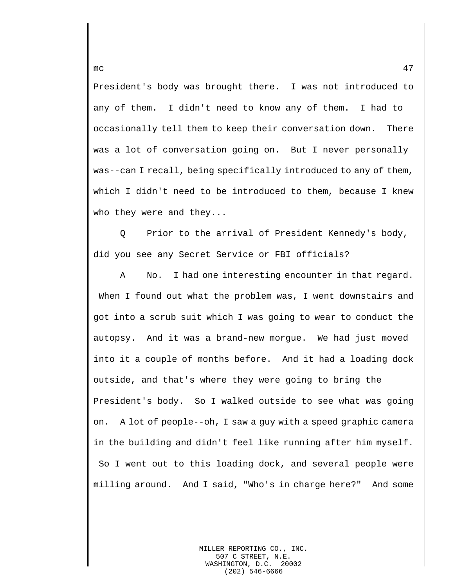President's body was brought there. I was not introduced to any of them. I didn't need to know any of them. I had to occasionally tell them to keep their conversation down. There was a lot of conversation going on. But I never personally was--can I recall, being specifically introduced to any of them, which I didn't need to be introduced to them, because I knew who they were and they...

Q Prior to the arrival of President Kennedy's body, did you see any Secret Service or FBI officials?

A No. I had one interesting encounter in that regard. When I found out what the problem was, I went downstairs and got into a scrub suit which I was going to wear to conduct the autopsy. And it was a brand-new morgue. We had just moved into it a couple of months before. And it had a loading dock outside, and that's where they were going to bring the President's body. So I walked outside to see what was going on. A lot of people--oh, I saw a guy with a speed graphic camera in the building and didn't feel like running after him myself. So I went out to this loading dock, and several people were milling around. And I said, "Who's in charge here?" And some

(202) 546-6666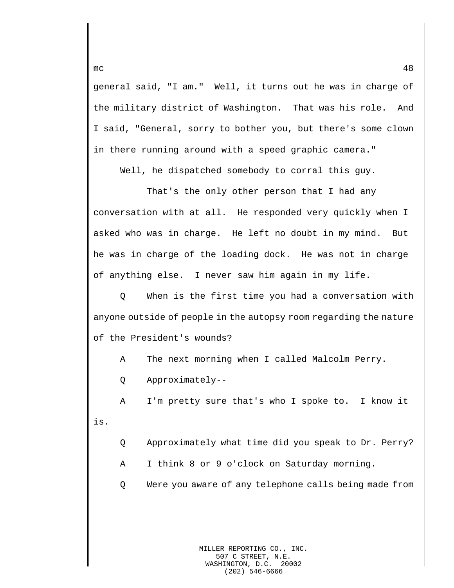general said, "I am." Well, it turns out he was in charge of the military district of Washington. That was his role. And I said, "General, sorry to bother you, but there's some clown in there running around with a speed graphic camera."

Well, he dispatched somebody to corral this guy.

That's the only other person that I had any conversation with at all. He responded very quickly when I asked who was in charge. He left no doubt in my mind. But he was in charge of the loading dock. He was not in charge of anything else. I never saw him again in my life.

Q When is the first time you had a conversation with anyone outside of people in the autopsy room regarding the nature of the President's wounds?

A The next morning when I called Malcolm Perry.

Q Approximately--

A I'm pretty sure that's who I spoke to. I know it is.

Q Approximately what time did you speak to Dr. Perry?

A I think 8 or 9 o'clock on Saturday morning.

Q Were you aware of any telephone calls being made from

MILLER REPORTING CO., INC. 507 C STREET, N.E.<br>SHINGTON, D.C. 20002 WASHINGTON, D.C. (202) 546-6666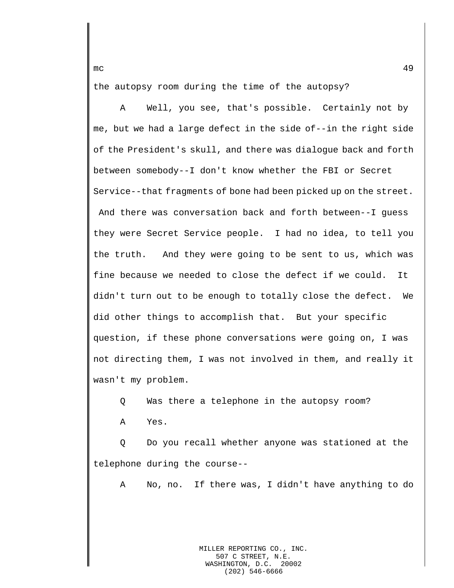the autopsy room during the time of the autopsy?

A Well, you see, that's possible. Certainly not by me, but we had a large defect in the side of--in the right side of the President's skull, and there was dialogue back and forth between somebody--I don't know whether the FBI or Secret Service--that fragments of bone had been picked up on the street. And there was conversation back and forth between--I guess they were Secret Service people. I had no idea, to tell you the truth. And they were going to be sent to us, which was fine because we needed to close the defect if we could. It didn't turn out to be enough to totally close the defect. We did other things to accomplish that. But your specific question, if these phone conversations were going on, I was not directing them, I was not involved in them, and really it wasn't my problem.

Q Was there a telephone in the autopsy room?

A Yes.

Q Do you recall whether anyone was stationed at the telephone during the course--

A No, no. If there was, I didn't have anything to do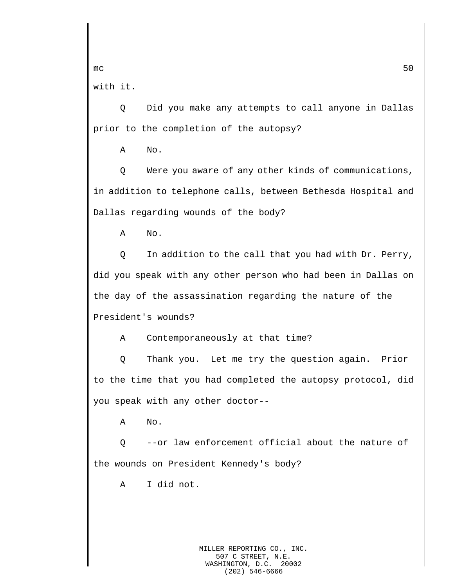with it.

Q Did you make any attempts to call anyone in Dallas prior to the completion of the autopsy?

A No.

Q Were you aware of any other kinds of communications, in addition to telephone calls, between Bethesda Hospital and Dallas regarding wounds of the body?

A No.

Q In addition to the call that you had with Dr. Perry, did you speak with any other person who had been in Dallas on the day of the assassination regarding the nature of the President's wounds?

A Contemporaneously at that time?

Q Thank you. Let me try the question again. Prior to the time that you had completed the autopsy protocol, did you speak with any other doctor--

A No.

Q --or law enforcement official about the nature of the wounds on President Kennedy's body?

A I did not.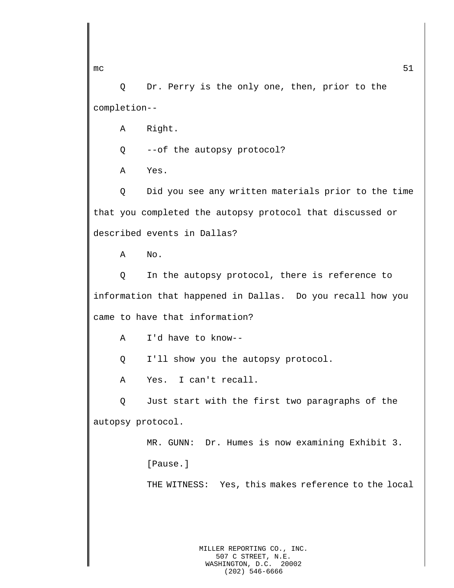Q Dr. Perry is the only one, then, prior to the completion--

A Right.

Q --of the autopsy protocol?

A Yes.

Q Did you see any written materials prior to the time that you completed the autopsy protocol that discussed or described events in Dallas?

A No.

Q In the autopsy protocol, there is reference to information that happened in Dallas. Do you recall how you came to have that information?

A I'd have to know--

Q I'll show you the autopsy protocol.

A Yes. I can't recall.

Q Just start with the first two paragraphs of the autopsy protocol.

> MR. GUNN: Dr. Humes is now examining Exhibit 3. [Pause.]

THE WITNESS: Yes, this makes reference to the local

MILLER REPORTING CO., INC. 507 C STREET, N.E. WASHINGTON, D.C. 20002 (202) 546-6666

mc  $51$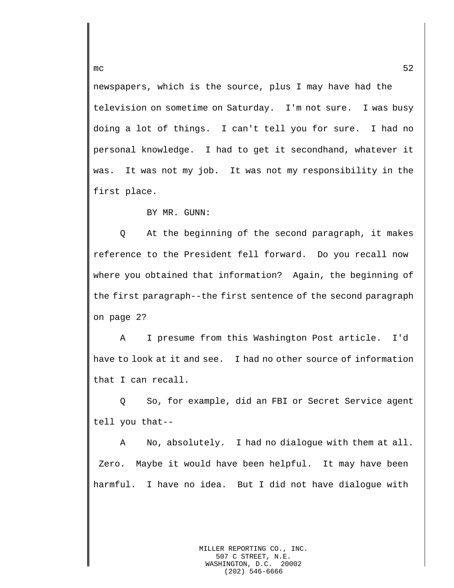newspapers, which is the source, plus I may have had the television on sometime on Saturday. I'm not sure. I was busy doing a lot of things. I can't tell you for sure. I had no personal knowledge. I had to get it secondhand, whatever it was. It was not my job. It was not my responsibility in the first place.

BY MR. GUNN:

Q At the beginning of the second paragraph, it makes reference to the President fell forward. Do you recall now where you obtained that information? Again, the beginning of the first paragraph--the first sentence of the second paragraph on page 2?

A I presume from this Washington Post article. I'd have to look at it and see. I had no other source of information that I can recall.

Q So, for example, did an FBI or Secret Service agent tell you that--

A No, absolutely. I had no dialogue with them at all. Zero. Maybe it would have been helpful. It may have been harmful. I have no idea. But I did not have dialogue with

mc  $52$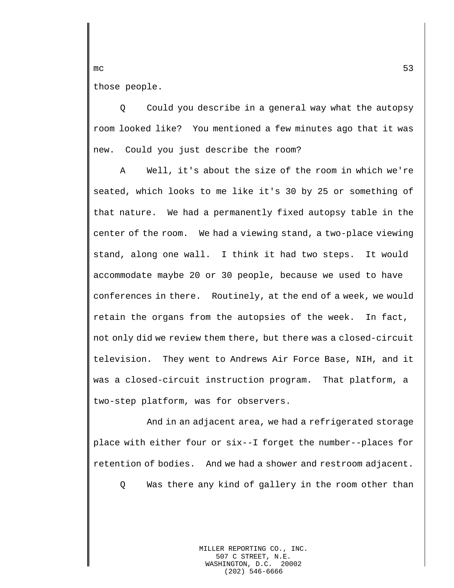those people.

Q Could you describe in a general way what the autopsy room looked like? You mentioned a few minutes ago that it was new. Could you just describe the room?

A Well, it's about the size of the room in which we're seated, which looks to me like it's 30 by 25 or something of that nature. We had a permanently fixed autopsy table in the center of the room. We had a viewing stand, a two-place viewing stand, along one wall. I think it had two steps. It would accommodate maybe 20 or 30 people, because we used to have conferences in there. Routinely, at the end of a week, we would retain the organs from the autopsies of the week. In fact, not only did we review them there, but there was a closed-circuit television. They went to Andrews Air Force Base, NIH, and it was a closed-circuit instruction program. That platform, a two-step platform, was for observers.

And in an adjacent area, we had a refrigerated storage place with either four or six--I forget the number--places for retention of bodies. And we had a shower and restroom adjacent.

Q Was there any kind of gallery in the room other than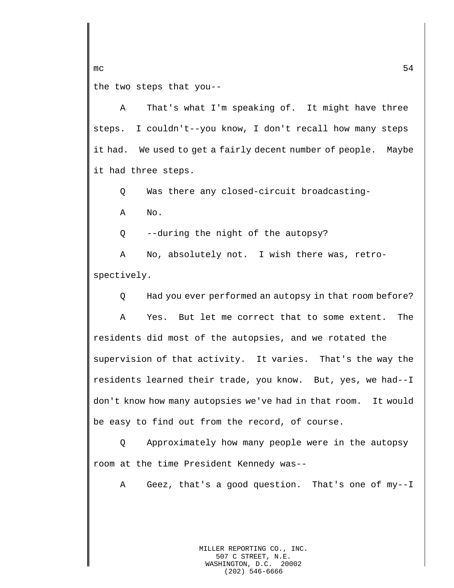the two steps that you--

A That's what I'm speaking of. It might have three steps. I couldn't--you know, I don't recall how many steps it had. We used to get a fairly decent number of people. Maybe it had three steps.

Q Was there any closed-circuit broadcasting-

A No.

Q --during the night of the autopsy?

A No, absolutely not. I wish there was, retrospectively.

Q Had you ever performed an autopsy in that room before?

A Yes. But let me correct that to some extent. The residents did most of the autopsies, and we rotated the supervision of that activity. It varies. That's the way the residents learned their trade, you know. But, yes, we had--I don't know how many autopsies we've had in that room. It would be easy to find out from the record, of course.

Q Approximately how many people were in the autopsy room at the time President Kennedy was--

A Geez, that's a good question. That's one of my--I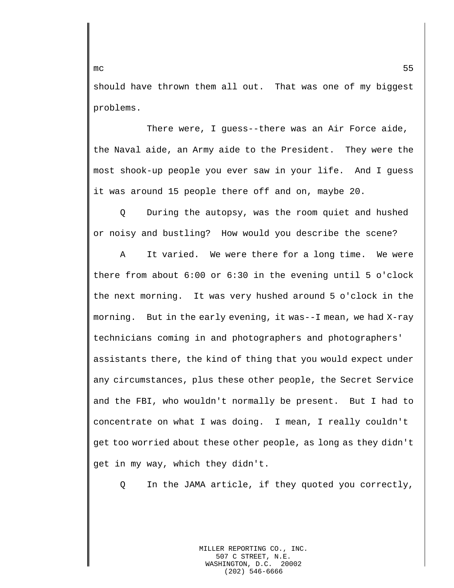should have thrown them all out. That was one of my biggest problems.

There were, I guess--there was an Air Force aide, the Naval aide, an Army aide to the President. They were the most shook-up people you ever saw in your life. And I guess it was around 15 people there off and on, maybe 20.

Q During the autopsy, was the room quiet and hushed or noisy and bustling? How would you describe the scene?

A It varied. We were there for a long time. We were there from about 6:00 or 6:30 in the evening until 5 o'clock the next morning. It was very hushed around 5 o'clock in the morning. But in the early evening, it was--I mean, we had X-ray technicians coming in and photographers and photographers' assistants there, the kind of thing that you would expect under any circumstances, plus these other people, the Secret Service and the FBI, who wouldn't normally be present. But I had to concentrate on what I was doing. I mean, I really couldn't get too worried about these other people, as long as they didn't get in my way, which they didn't.

Q In the JAMA article, if they quoted you correctly,

MILLER REPORTING CO., INC. 507 C STREET, N.E.<br>SHINGTON, D.C. 20002 WASHINGTON, D.C. (202) 546-6666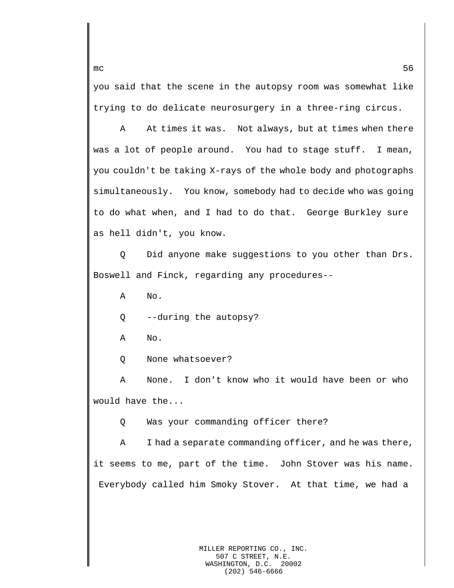you said that the scene in the autopsy room was somewhat like trying to do delicate neurosurgery in a three-ring circus.

A At times it was. Not always, but at times when there was a lot of people around. You had to stage stuff. I mean, you couldn't be taking X-rays of the whole body and photographs simultaneously. You know, somebody had to decide who was going to do what when, and I had to do that. George Burkley sure as hell didn't, you know.

Q Did anyone make suggestions to you other than Drs. Boswell and Finck, regarding any procedures--

A No.

Q --during the autopsy?

A No.

Q None whatsoever?

A None. I don't know who it would have been or who would have the...

Q Was your commanding officer there?

A I had a separate commanding officer, and he was there, it seems to me, part of the time. John Stover was his name. Everybody called him Smoky Stover. At that time, we had a

> MILLER REPORTING CO., INC. 507 C STREET, N.E. WASHINGTON, D.C. 20002 (202) 546-6666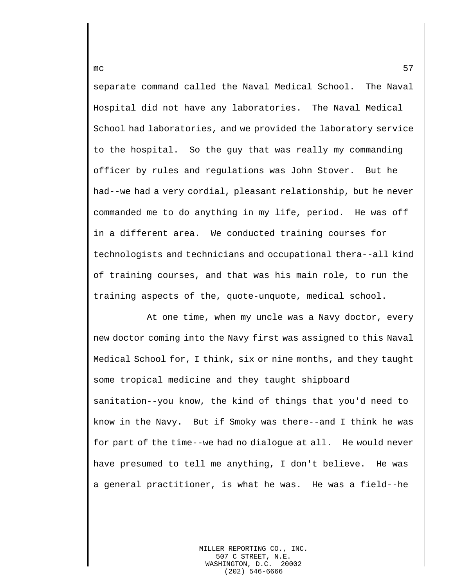separate command called the Naval Medical School. The Naval Hospital did not have any laboratories. The Naval Medical School had laboratories, and we provided the laboratory service to the hospital. So the guy that was really my commanding officer by rules and regulations was John Stover. But he had--we had a very cordial, pleasant relationship, but he never commanded me to do anything in my life, period. He was off in a different area. We conducted training courses for technologists and technicians and occupational thera--all kind of training courses, and that was his main role, to run the training aspects of the, quote-unquote, medical school.

At one time, when my uncle was a Navy doctor, every new doctor coming into the Navy first was assigned to this Naval Medical School for, I think, six or nine months, and they taught some tropical medicine and they taught shipboard sanitation--you know, the kind of things that you'd need to know in the Navy. But if Smoky was there--and I think he was for part of the time--we had no dialogue at all. He would never have presumed to tell me anything, I don't believe. He was a general practitioner, is what he was. He was a field--he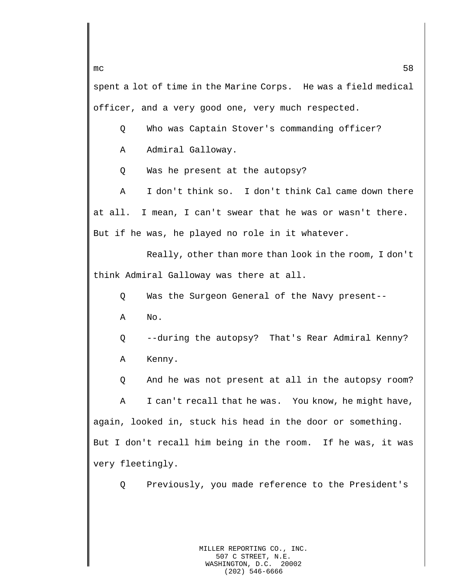spent a lot of time in the Marine Corps. He was a field medical officer, and a very good one, very much respected.

Q Who was Captain Stover's commanding officer?

A Admiral Galloway.

Q Was he present at the autopsy?

A I don't think so. I don't think Cal came down there at all. I mean, I can't swear that he was or wasn't there. But if he was, he played no role in it whatever.

Really, other than more than look in the room, I don't think Admiral Galloway was there at all.

Q Was the Surgeon General of the Navy present--

A No.

Q --during the autopsy? That's Rear Admiral Kenny?

A Kenny.

Q And he was not present at all in the autopsy room?

A I can't recall that he was. You know, he might have, again, looked in, stuck his head in the door or something. But I don't recall him being in the room. If he was, it was very fleetingly.

Q Previously, you made reference to the President's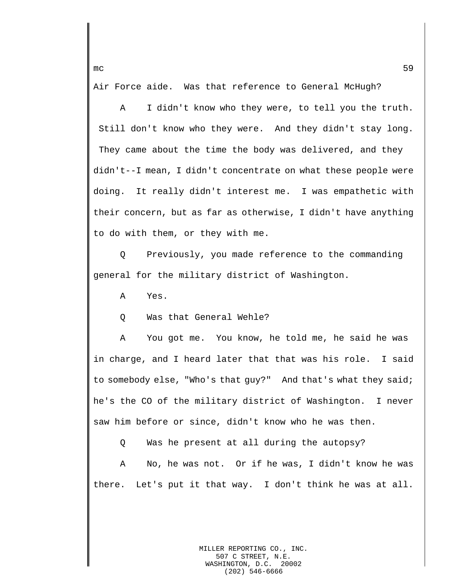Air Force aide. Was that reference to General McHugh?

A I didn't know who they were, to tell you the truth. Still don't know who they were. And they didn't stay long. They came about the time the body was delivered, and they didn't--I mean, I didn't concentrate on what these people were doing. It really didn't interest me. I was empathetic with their concern, but as far as otherwise, I didn't have anything to do with them, or they with me.

Q Previously, you made reference to the commanding general for the military district of Washington.

A Yes.

Q Was that General Wehle?

A You got me. You know, he told me, he said he was in charge, and I heard later that that was his role. I said to somebody else, "Who's that guy?" And that's what they said; he's the CO of the military district of Washington. I never saw him before or since, didn't know who he was then.

Q Was he present at all during the autopsy?

A No, he was not. Or if he was, I didn't know he was there. Let's put it that way. I don't think he was at all.

> MILLER REPORTING CO., INC. 507 C STREET, N.E.<br>SHINGTON, D.C. 20002 WASHINGTON, D.C. (202) 546-6666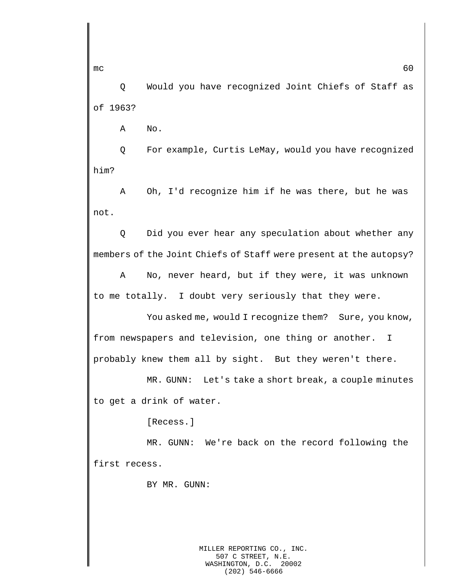mc  $60$ 

Q Would you have recognized Joint Chiefs of Staff as of 1963?

A No.

Q For example, Curtis LeMay, would you have recognized him?

A Oh, I'd recognize him if he was there, but he was not.

Q Did you ever hear any speculation about whether any members of the Joint Chiefs of Staff were present at the autopsy?

A No, never heard, but if they were, it was unknown to me totally. I doubt very seriously that they were.

You asked me, would I recognize them? Sure, you know, from newspapers and television, one thing or another. I probably knew them all by sight. But they weren't there.

MR. GUNN: Let's take a short break, a couple minutes to get a drink of water.

[Recess.]

MR. GUNN: We're back on the record following the first recess.

BY MR. GUNN: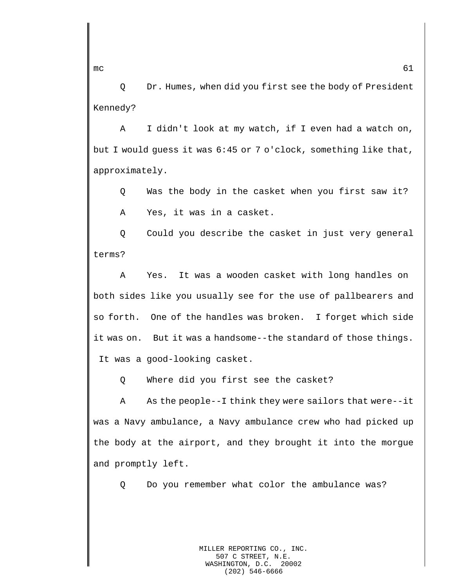Q Dr. Humes, when did you first see the body of President Kennedy?

A I didn't look at my watch, if I even had a watch on, but I would guess it was 6:45 or 7 o'clock, something like that, approximately.

Q Was the body in the casket when you first saw it?

A Yes, it was in a casket.

Q Could you describe the casket in just very general terms?

A Yes. It was a wooden casket with long handles on both sides like you usually see for the use of pallbearers and so forth. One of the handles was broken. I forget which side it was on. But it was a handsome--the standard of those things. It was a good-looking casket.

Q Where did you first see the casket?

A As the people--I think they were sailors that were--it was a Navy ambulance, a Navy ambulance crew who had picked up the body at the airport, and they brought it into the morgue and promptly left.

Q Do you remember what color the ambulance was?

mc  $61$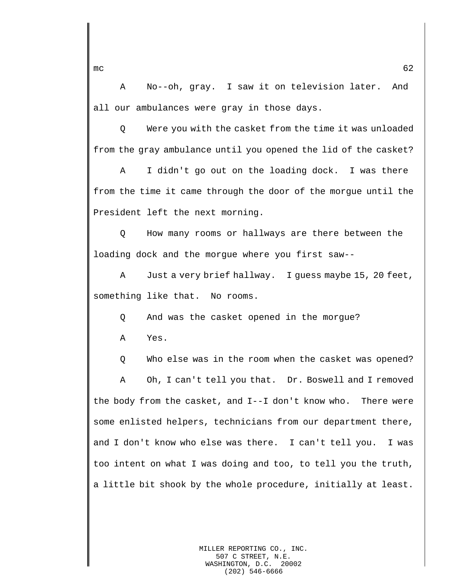A No--oh, gray. I saw it on television later. And all our ambulances were gray in those days.

Q Were you with the casket from the time it was unloaded from the gray ambulance until you opened the lid of the casket?

A I didn't go out on the loading dock. I was there from the time it came through the door of the morgue until the President left the next morning.

Q How many rooms or hallways are there between the loading dock and the morgue where you first saw--

A Just a very brief hallway. I guess maybe 15, 20 feet, something like that. No rooms.

Q And was the casket opened in the morgue?

A Yes.

Q Who else was in the room when the casket was opened?

A Oh, I can't tell you that. Dr. Boswell and I removed the body from the casket, and I--I don't know who. There were some enlisted helpers, technicians from our department there, and I don't know who else was there. I can't tell you. I was too intent on what I was doing and too, to tell you the truth, a little bit shook by the whole procedure, initially at least.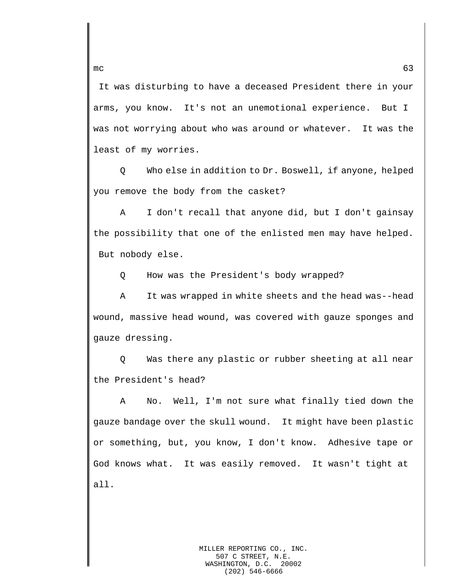It was disturbing to have a deceased President there in your arms, you know. It's not an unemotional experience. But I was not worrying about who was around or whatever. It was the least of my worries.

Q Who else in addition to Dr. Boswell, if anyone, helped you remove the body from the casket?

A I don't recall that anyone did, but I don't gainsay the possibility that one of the enlisted men may have helped. But nobody else.

Q How was the President's body wrapped?

A It was wrapped in white sheets and the head was--head wound, massive head wound, was covered with gauze sponges and gauze dressing.

Q Was there any plastic or rubber sheeting at all near the President's head?

A No. Well, I'm not sure what finally tied down the gauze bandage over the skull wound. It might have been plastic or something, but, you know, I don't know. Adhesive tape or God knows what. It was easily removed. It wasn't tight at all.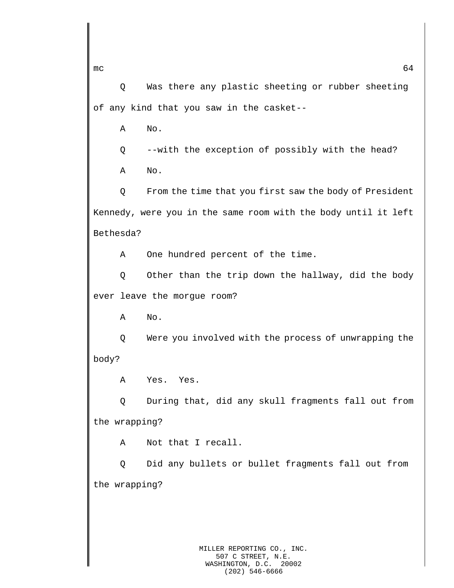Q Was there any plastic sheeting or rubber sheeting of any kind that you saw in the casket--

A No.

Q --with the exception of possibly with the head?

A No.

Q From the time that you first saw the body of President Kennedy, were you in the same room with the body until it left Bethesda?

A One hundred percent of the time.

Q Other than the trip down the hallway, did the body ever leave the morgue room?

A No.

Q Were you involved with the process of unwrapping the body?

A Yes. Yes.

Q During that, did any skull fragments fall out from the wrapping?

A Not that I recall.

Q Did any bullets or bullet fragments fall out from the wrapping?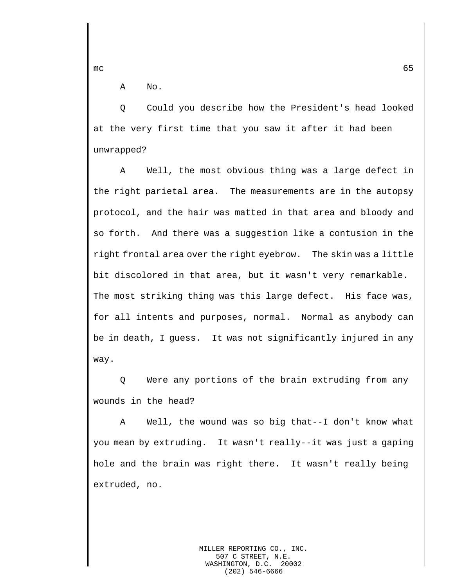mc  $65$ 

A No.

Q Could you describe how the President's head looked at the very first time that you saw it after it had been unwrapped?

A Well, the most obvious thing was a large defect in the right parietal area. The measurements are in the autopsy protocol, and the hair was matted in that area and bloody and so forth. And there was a suggestion like a contusion in the right frontal area over the right eyebrow. The skin was a little bit discolored in that area, but it wasn't very remarkable. The most striking thing was this large defect. His face was, for all intents and purposes, normal. Normal as anybody can be in death, I guess. It was not significantly injured in any way.

Q Were any portions of the brain extruding from any wounds in the head?

A Well, the wound was so big that--I don't know what you mean by extruding. It wasn't really--it was just a gaping hole and the brain was right there. It wasn't really being extruded, no.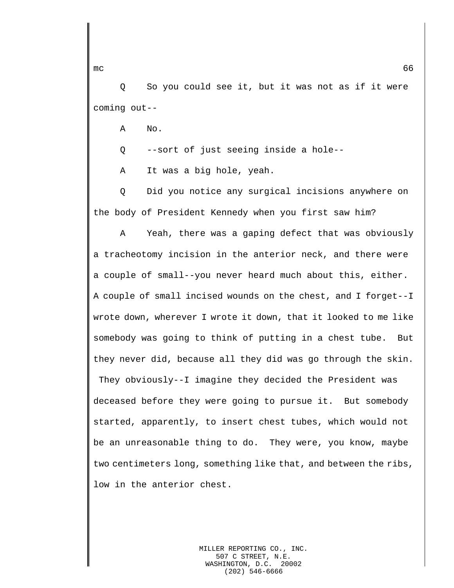Q So you could see it, but it was not as if it were coming out--

A No.

Q --sort of just seeing inside a hole--

A It was a big hole, yeah.

Q Did you notice any surgical incisions anywhere on the body of President Kennedy when you first saw him?

A Yeah, there was a gaping defect that was obviously a tracheotomy incision in the anterior neck, and there were a couple of small--you never heard much about this, either. A couple of small incised wounds on the chest, and I forget--I wrote down, wherever I wrote it down, that it looked to me like somebody was going to think of putting in a chest tube. But they never did, because all they did was go through the skin. They obviously--I imagine they decided the President was deceased before they were going to pursue it. But somebody started, apparently, to insert chest tubes, which would not be an unreasonable thing to do. They were, you know, maybe two centimeters long, something like that, and between the ribs, low in the anterior chest.

(202) 546-6666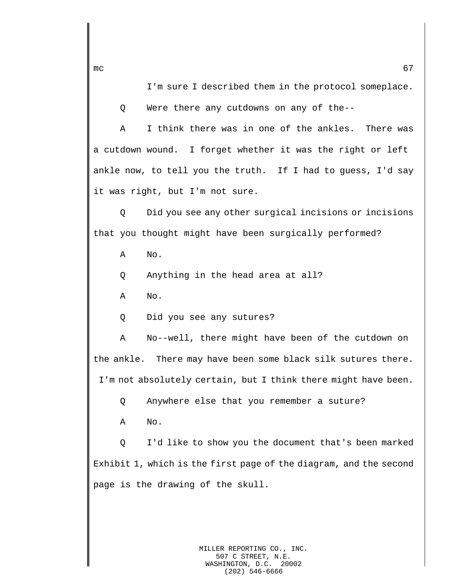I'm sure I described them in the protocol someplace.

Q Were there any cutdowns on any of the--

A I think there was in one of the ankles. There was a cutdown wound. I forget whether it was the right or left ankle now, to tell you the truth. If I had to guess, I'd say it was right, but I'm not sure.

Q Did you see any other surgical incisions or incisions that you thought might have been surgically performed?

A No.

Q Anything in the head area at all?

A No.

Q Did you see any sutures?

A No--well, there might have been of the cutdown on the ankle. There may have been some black silk sutures there. I'm not absolutely certain, but I think there might have been.

Q Anywhere else that you remember a suture?

A No.

Q I'd like to show you the document that's been marked Exhibit 1, which is the first page of the diagram, and the second page is the drawing of the skull.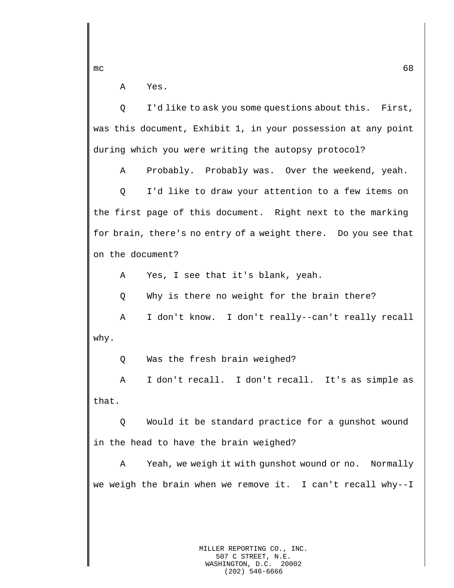A Yes.

Q I'd like to ask you some questions about this. First, was this document, Exhibit 1, in your possession at any point during which you were writing the autopsy protocol?

A Probably. Probably was. Over the weekend, yeah.

Q I'd like to draw your attention to a few items on the first page of this document. Right next to the marking for brain, there's no entry of a weight there. Do you see that on the document?

A Yes, I see that it's blank, yeah.

Q Why is there no weight for the brain there?

A I don't know. I don't really--can't really recall why.

Q Was the fresh brain weighed?

A I don't recall. I don't recall. It's as simple as that.

Q Would it be standard practice for a gunshot wound in the head to have the brain weighed?

A Yeah, we weigh it with gunshot wound or no. Normally we weigh the brain when we remove it. I can't recall why--I

> MILLER REPORTING CO., INC. 507 C STREET, N.E.<br>SHINGTON, D.C. 20002 WASHINGTON, D.C. (202) 546-6666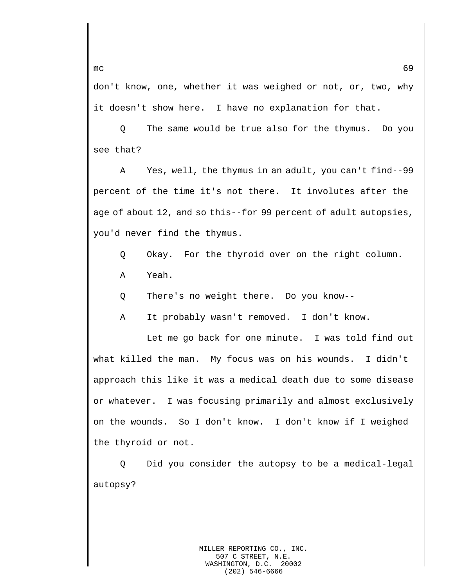don't know, one, whether it was weighed or not, or, two, why it doesn't show here. I have no explanation for that.

Q The same would be true also for the thymus. Do you see that?

A Yes, well, the thymus in an adult, you can't find--99 percent of the time it's not there. It involutes after the age of about 12, and so this--for 99 percent of adult autopsies, you'd never find the thymus.

- Q Okay. For the thyroid over on the right column.
- A Yeah.
- Q There's no weight there. Do you know--
- A It probably wasn't removed. I don't know.

Let me go back for one minute. I was told find out what killed the man. My focus was on his wounds. I didn't approach this like it was a medical death due to some disease or whatever. I was focusing primarily and almost exclusively on the wounds. So I don't know. I don't know if I weighed the thyroid or not.

Q Did you consider the autopsy to be a medical-legal autopsy?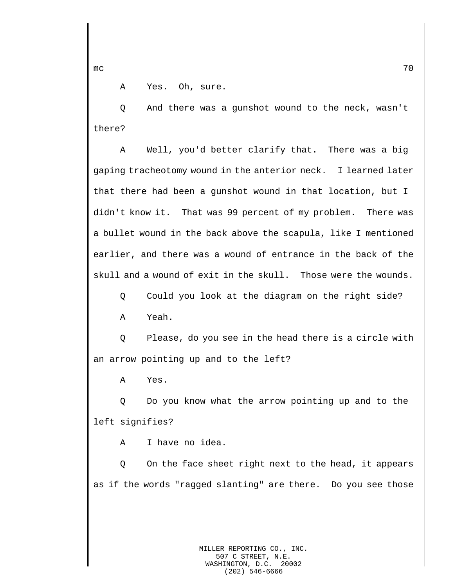A Yes. Oh, sure.

Q And there was a gunshot wound to the neck, wasn't there?

A Well, you'd better clarify that. There was a big gaping tracheotomy wound in the anterior neck. I learned later that there had been a gunshot wound in that location, but I didn't know it. That was 99 percent of my problem. There was a bullet wound in the back above the scapula, like I mentioned earlier, and there was a wound of entrance in the back of the skull and a wound of exit in the skull. Those were the wounds.

Q Could you look at the diagram on the right side?

A Yeah.

Q Please, do you see in the head there is a circle with an arrow pointing up and to the left?

A Yes.

Q Do you know what the arrow pointing up and to the left signifies?

A I have no idea.

Q On the face sheet right next to the head, it appears as if the words "ragged slanting" are there. Do you see those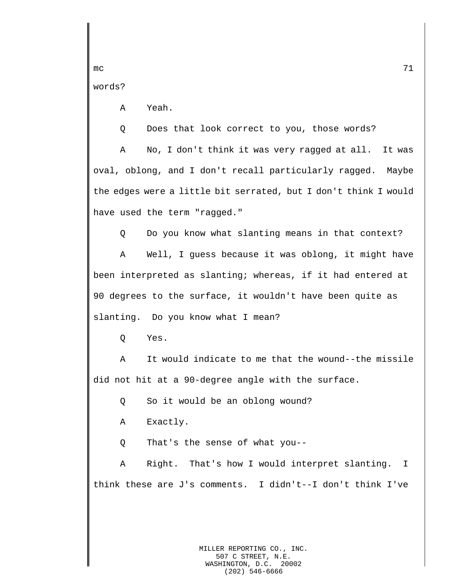mc  $\sim$  71

words?

A Yeah.

Q Does that look correct to you, those words?

A No, I don't think it was very ragged at all. It was oval, oblong, and I don't recall particularly ragged. Maybe the edges were a little bit serrated, but I don't think I would have used the term "ragged."

Q Do you know what slanting means in that context?

A Well, I guess because it was oblong, it might have been interpreted as slanting; whereas, if it had entered at 90 degrees to the surface, it wouldn't have been quite as slanting. Do you know what I mean?

Q Yes.

A It would indicate to me that the wound--the missile did not hit at a 90-degree angle with the surface.

Q So it would be an oblong wound?

A Exactly.

Q That's the sense of what you--

A Right. That's how I would interpret slanting. I think these are J's comments. I didn't--I don't think I've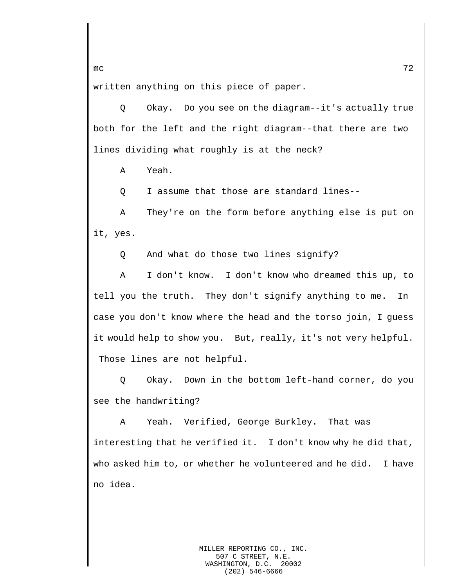written anything on this piece of paper.

Q Okay. Do you see on the diagram--it's actually true both for the left and the right diagram--that there are two lines dividing what roughly is at the neck?

A Yeah.

Q I assume that those are standard lines--

A They're on the form before anything else is put on it, yes.

Q And what do those two lines signify?

A I don't know. I don't know who dreamed this up, to tell you the truth. They don't signify anything to me. In case you don't know where the head and the torso join, I guess it would help to show you. But, really, it's not very helpful. Those lines are not helpful.

Q Okay. Down in the bottom left-hand corner, do you see the handwriting?

A Yeah. Verified, George Burkley. That was interesting that he verified it. I don't know why he did that, who asked him to, or whether he volunteered and he did. I have no idea.

mc  $\sim$  72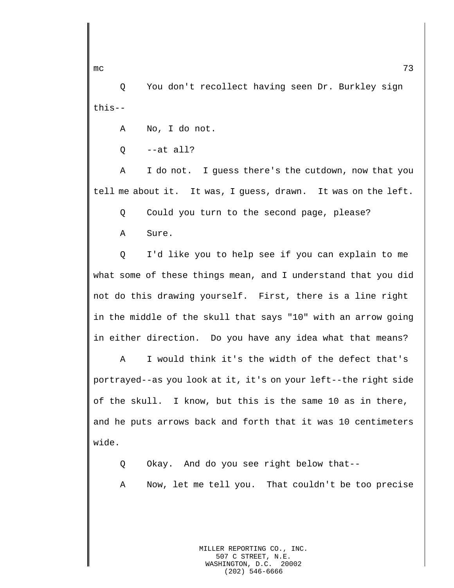Q You don't recollect having seen Dr. Burkley sign this--

A No, I do not.

Q --at all?

A I do not. I guess there's the cutdown, now that you tell me about it. It was, I guess, drawn. It was on the left.

Q Could you turn to the second page, please?

A Sure.

Q I'd like you to help see if you can explain to me what some of these things mean, and I understand that you did not do this drawing yourself. First, there is a line right in the middle of the skull that says "10" with an arrow going in either direction. Do you have any idea what that means?

A I would think it's the width of the defect that's portrayed--as you look at it, it's on your left--the right side of the skull. I know, but this is the same 10 as in there, and he puts arrows back and forth that it was 10 centimeters wide.

Q Okay. And do you see right below that--

A Now, let me tell you. That couldn't be too precise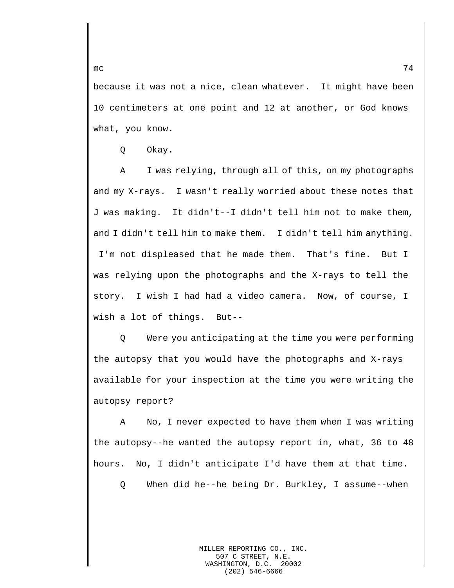because it was not a nice, clean whatever. It might have been 10 centimeters at one point and 12 at another, or God knows what, you know.

Q Okay.

A I was relying, through all of this, on my photographs and my X-rays. I wasn't really worried about these notes that J was making. It didn't--I didn't tell him not to make them, and I didn't tell him to make them. I didn't tell him anything. I'm not displeased that he made them. That's fine. But I was relying upon the photographs and the X-rays to tell the story. I wish I had had a video camera. Now, of course, I wish a lot of things. But--

Q Were you anticipating at the time you were performing the autopsy that you would have the photographs and X-rays available for your inspection at the time you were writing the autopsy report?

A No, I never expected to have them when I was writing the autopsy--he wanted the autopsy report in, what, 36 to 48 hours. No, I didn't anticipate I'd have them at that time.

Q When did he--he being Dr. Burkley, I assume--when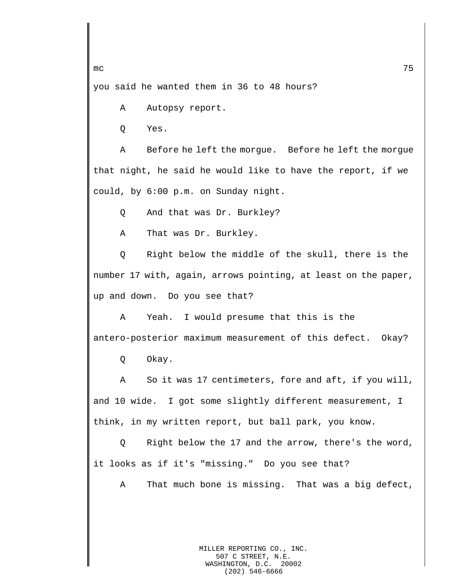you said he wanted them in 36 to 48 hours?

A Autopsy report.

Q Yes.

A Before he left the morgue. Before he left the morgue that night, he said he would like to have the report, if we could, by 6:00 p.m. on Sunday night.

Q And that was Dr. Burkley?

A That was Dr. Burkley.

Q Right below the middle of the skull, there is the number 17 with, again, arrows pointing, at least on the paper, up and down. Do you see that?

A Yeah. I would presume that this is the antero-posterior maximum measurement of this defect. Okay?

Q Okay.

A So it was 17 centimeters, fore and aft, if you will, and 10 wide. I got some slightly different measurement, I think, in my written report, but ball park, you know.

Q Right below the 17 and the arrow, there's the word, it looks as if it's "missing." Do you see that?

A That much bone is missing. That was a big defect,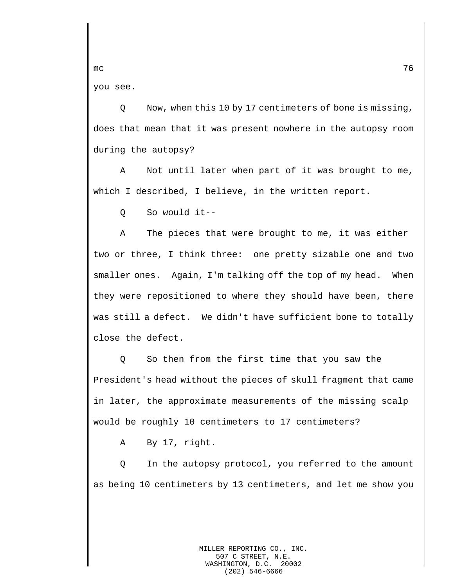you see.

Q Now, when this 10 by 17 centimeters of bone is missing, does that mean that it was present nowhere in the autopsy room during the autopsy?

A Not until later when part of it was brought to me, which I described, I believe, in the written report.

Q So would it--

A The pieces that were brought to me, it was either two or three, I think three: one pretty sizable one and two smaller ones. Again, I'm talking off the top of my head. When they were repositioned to where they should have been, there was still a defect. We didn't have sufficient bone to totally close the defect.

Q So then from the first time that you saw the President's head without the pieces of skull fragment that came in later, the approximate measurements of the missing scalp would be roughly 10 centimeters to 17 centimeters?

A By 17, right.

Q In the autopsy protocol, you referred to the amount as being 10 centimeters by 13 centimeters, and let me show you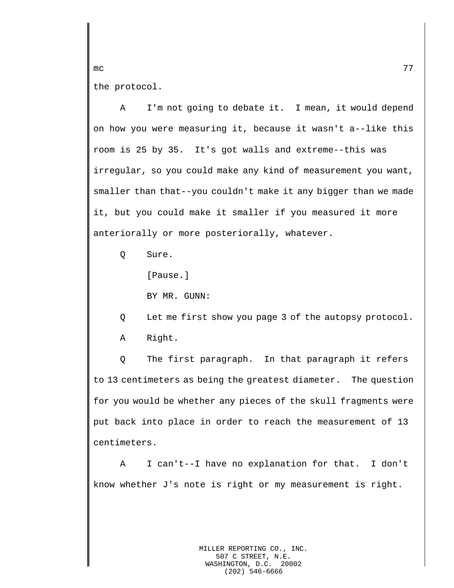the protocol.

A I'm not going to debate it. I mean, it would depend on how you were measuring it, because it wasn't a--like this room is 25 by 35. It's got walls and extreme--this was irregular, so you could make any kind of measurement you want, smaller than that--you couldn't make it any bigger than we made it, but you could make it smaller if you measured it more anteriorally or more posteriorally, whatever.

Q Sure.

[Pause.]

BY MR. GUNN:

Q Let me first show you page 3 of the autopsy protocol.

A Right.

Q The first paragraph. In that paragraph it refers to 13 centimeters as being the greatest diameter. The question for you would be whether any pieces of the skull fragments were put back into place in order to reach the measurement of 13 centimeters.

A I can't--I have no explanation for that. I don't know whether J's note is right or my measurement is right.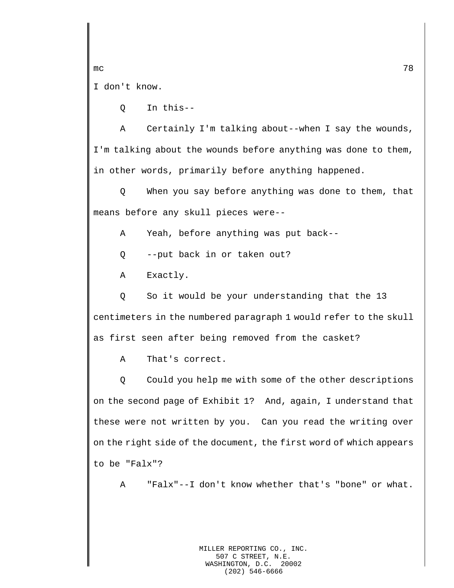```
mc 78
```
I don't know.

Q In this--

A Certainly I'm talking about--when I say the wounds, I'm talking about the wounds before anything was done to them, in other words, primarily before anything happened.

Q When you say before anything was done to them, that means before any skull pieces were--

A Yeah, before anything was put back--

Q --put back in or taken out?

A Exactly.

Q So it would be your understanding that the 13 centimeters in the numbered paragraph 1 would refer to the skull as first seen after being removed from the casket?

A That's correct.

Q Could you help me with some of the other descriptions on the second page of Exhibit 1? And, again, I understand that these were not written by you. Can you read the writing over on the right side of the document, the first word of which appears to be "Falx"?

A "Falx"--I don't know whether that's "bone" or what.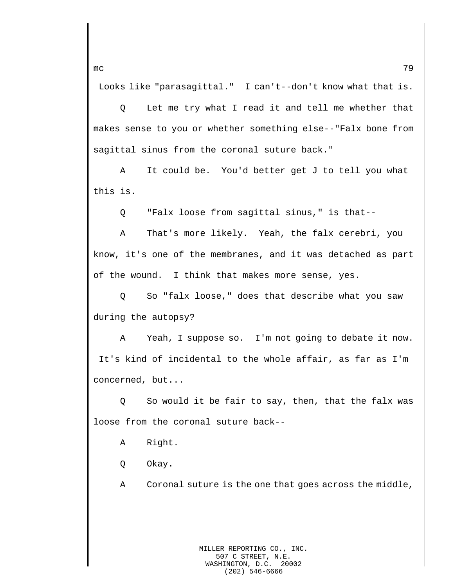Looks like "parasagittal." I can't--don't know what that is.

Q Let me try what I read it and tell me whether that makes sense to you or whether something else--"Falx bone from sagittal sinus from the coronal suture back."

A It could be. You'd better get J to tell you what this is.

Q "Falx loose from sagittal sinus," is that--

A That's more likely. Yeah, the falx cerebri, you know, it's one of the membranes, and it was detached as part of the wound. I think that makes more sense, yes.

Q So "falx loose," does that describe what you saw during the autopsy?

A Yeah, I suppose so. I'm not going to debate it now. It's kind of incidental to the whole affair, as far as I'm concerned, but...

Q So would it be fair to say, then, that the falx was loose from the coronal suture back--

- A Right.
- Q Okay.

A Coronal suture is the one that goes across the middle,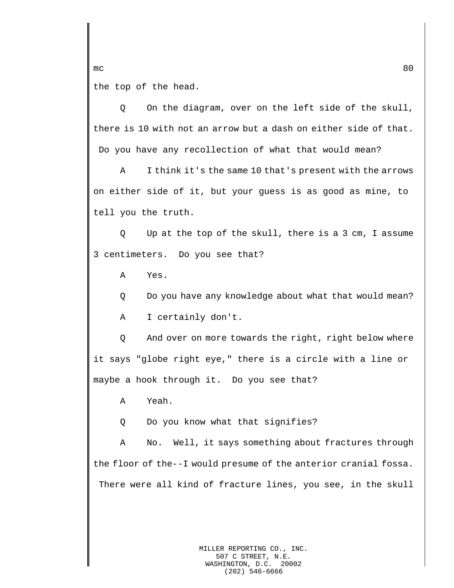the top of the head.

Q On the diagram, over on the left side of the skull, there is 10 with not an arrow but a dash on either side of that. Do you have any recollection of what that would mean?

A I think it's the same 10 that's present with the arrows on either side of it, but your guess is as good as mine, to tell you the truth.

Q Up at the top of the skull, there is a 3 cm, I assume 3 centimeters. Do you see that?

A Yes.

Q Do you have any knowledge about what that would mean?

A I certainly don't.

Q And over on more towards the right, right below where it says "globe right eye," there is a circle with a line or maybe a hook through it. Do you see that?

A Yeah.

Q Do you know what that signifies?

A No. Well, it says something about fractures through the floor of the--I would presume of the anterior cranial fossa. There were all kind of fracture lines, you see, in the skull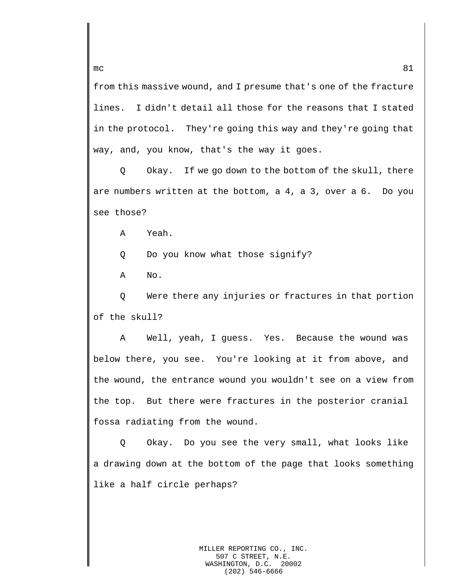from this massive wound, and I presume that's one of the fracture lines. I didn't detail all those for the reasons that I stated in the protocol. They're going this way and they're going that way, and, you know, that's the way it goes.

Q Okay. If we go down to the bottom of the skull, there are numbers written at the bottom, a 4, a 3, over a 6. Do you see those?

A Yeah.

Q Do you know what those signify?

A No.

Q Were there any injuries or fractures in that portion of the skull?

A Well, yeah, I guess. Yes. Because the wound was below there, you see. You're looking at it from above, and the wound, the entrance wound you wouldn't see on a view from the top. But there were fractures in the posterior cranial fossa radiating from the wound.

Q Okay. Do you see the very small, what looks like a drawing down at the bottom of the page that looks something like a half circle perhaps?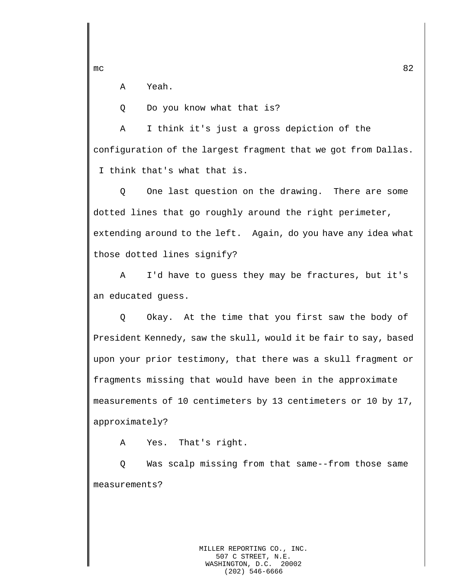A Yeah.

Q Do you know what that is?

A I think it's just a gross depiction of the configuration of the largest fragment that we got from Dallas. I think that's what that is.

Q One last question on the drawing. There are some dotted lines that go roughly around the right perimeter, extending around to the left. Again, do you have any idea what those dotted lines signify?

A I'd have to guess they may be fractures, but it's an educated guess.

Q Okay. At the time that you first saw the body of President Kennedy, saw the skull, would it be fair to say, based upon your prior testimony, that there was a skull fragment or fragments missing that would have been in the approximate measurements of 10 centimeters by 13 centimeters or 10 by 17, approximately?

A Yes. That's right.

Q Was scalp missing from that same--from those same measurements?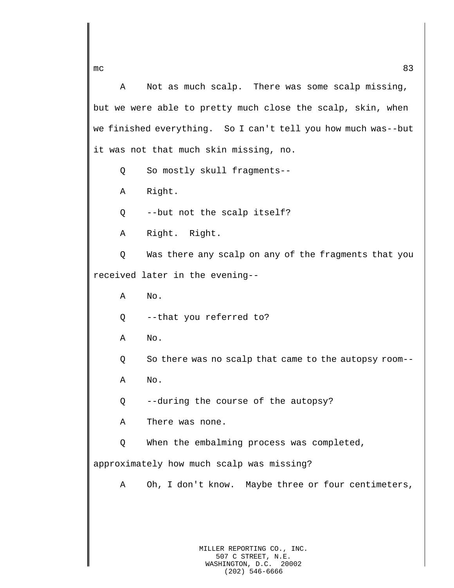mc  $83$ A Not as much scalp. There was some scalp missing, but we were able to pretty much close the scalp, skin, when we finished everything. So I can't tell you how much was--but it was not that much skin missing, no. Q So mostly skull fragments-- A Right. Q --but not the scalp itself? A Right. Right. Q Was there any scalp on any of the fragments that you received later in the evening-- A No. Q --that you referred to? A No. Q So there was no scalp that came to the autopsy room-- A No. Q --during the course of the autopsy? A There was none. Q When the embalming process was completed, approximately how much scalp was missing? A Oh, I don't know. Maybe three or four centimeters,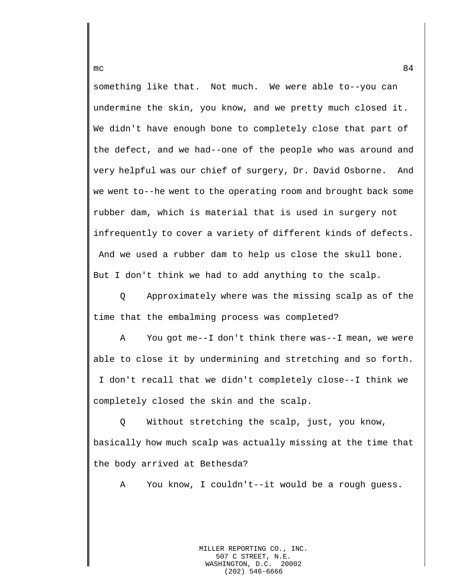something like that. Not much. We were able to--you can undermine the skin, you know, and we pretty much closed it. We didn't have enough bone to completely close that part of the defect, and we had--one of the people who was around and very helpful was our chief of surgery, Dr. David Osborne. And we went to--he went to the operating room and brought back some rubber dam, which is material that is used in surgery not infrequently to cover a variety of different kinds of defects. And we used a rubber dam to help us close the skull bone. But I don't think we had to add anything to the scalp.

Q Approximately where was the missing scalp as of the time that the embalming process was completed?

A You got me--I don't think there was--I mean, we were able to close it by undermining and stretching and so forth. I don't recall that we didn't completely close--I think we completely closed the skin and the scalp.

Q Without stretching the scalp, just, you know, basically how much scalp was actually missing at the time that the body arrived at Bethesda?

A You know, I couldn't--it would be a rough guess.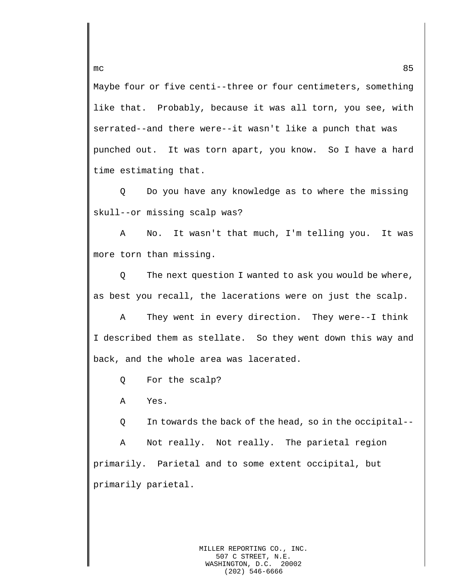Maybe four or five centi--three or four centimeters, something like that. Probably, because it was all torn, you see, with serrated--and there were--it wasn't like a punch that was punched out. It was torn apart, you know. So I have a hard time estimating that.

Q Do you have any knowledge as to where the missing skull--or missing scalp was?

A No. It wasn't that much, I'm telling you. It was more torn than missing.

Q The next question I wanted to ask you would be where, as best you recall, the lacerations were on just the scalp.

A They went in every direction. They were--I think I described them as stellate. So they went down this way and back, and the whole area was lacerated.

Q For the scalp?

A Yes.

Q In towards the back of the head, so in the occipital--

A Not really. Not really. The parietal region primarily. Parietal and to some extent occipital, but primarily parietal.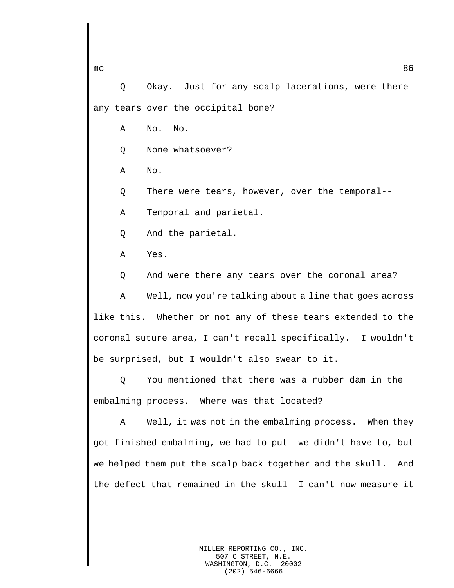Q Okay. Just for any scalp lacerations, were there any tears over the occipital bone?

A No. No.

Q None whatsoever?

A No.

Q There were tears, however, over the temporal--

A Temporal and parietal.

Q And the parietal.

A Yes.

Q And were there any tears over the coronal area?

A Well, now you're talking about a line that goes across like this. Whether or not any of these tears extended to the coronal suture area, I can't recall specifically. I wouldn't be surprised, but I wouldn't also swear to it.

Q You mentioned that there was a rubber dam in the embalming process. Where was that located?

A Well, it was not in the embalming process. When they got finished embalming, we had to put--we didn't have to, but we helped them put the scalp back together and the skull. And the defect that remained in the skull--I can't now measure it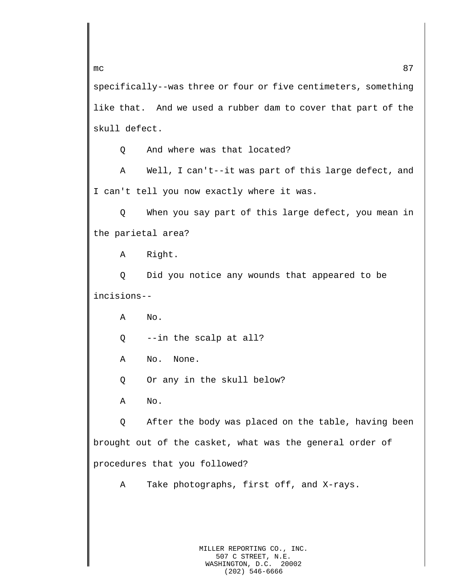specifically--was three or four or five centimeters, something like that. And we used a rubber dam to cover that part of the skull defect.

Q And where was that located?

A Well, I can't--it was part of this large defect, and I can't tell you now exactly where it was.

Q When you say part of this large defect, you mean in the parietal area?

A Right.

Q Did you notice any wounds that appeared to be incisions--

A No.

Q --in the scalp at all?

A No. None.

Q Or any in the skull below?

A No.

Q After the body was placed on the table, having been brought out of the casket, what was the general order of procedures that you followed?

A Take photographs, first off, and X-rays.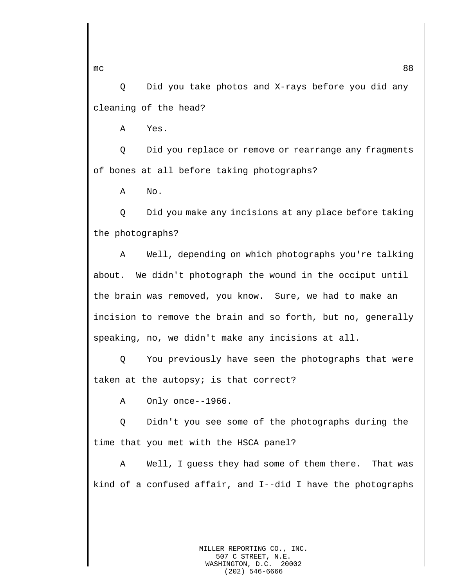Q Did you take photos and X-rays before you did any cleaning of the head?

A Yes.

Q Did you replace or remove or rearrange any fragments of bones at all before taking photographs?

A No.

Q Did you make any incisions at any place before taking the photographs?

A Well, depending on which photographs you're talking about. We didn't photograph the wound in the occiput until the brain was removed, you know. Sure, we had to make an incision to remove the brain and so forth, but no, generally speaking, no, we didn't make any incisions at all.

Q You previously have seen the photographs that were taken at the autopsy; is that correct?

A Only once--1966.

Q Didn't you see some of the photographs during the time that you met with the HSCA panel?

A Well, I guess they had some of them there. That was kind of a confused affair, and I--did I have the photographs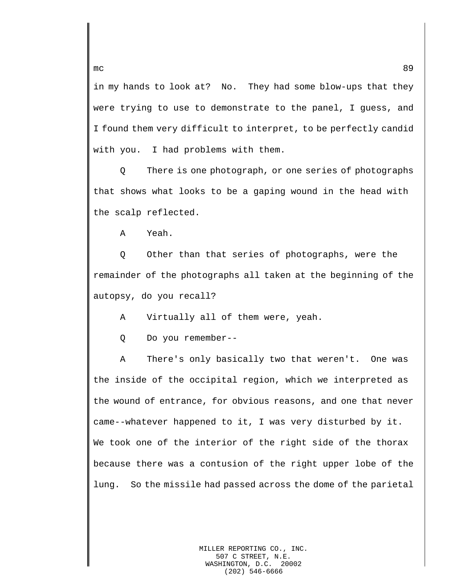in my hands to look at? No. They had some blow-ups that they were trying to use to demonstrate to the panel, I guess, and I found them very difficult to interpret, to be perfectly candid with you. I had problems with them.

Q There is one photograph, or one series of photographs that shows what looks to be a gaping wound in the head with the scalp reflected.

A Yeah.

Q Other than that series of photographs, were the remainder of the photographs all taken at the beginning of the autopsy, do you recall?

A Virtually all of them were, yeah.

Q Do you remember--

A There's only basically two that weren't. One was the inside of the occipital region, which we interpreted as the wound of entrance, for obvious reasons, and one that never came--whatever happened to it, I was very disturbed by it. We took one of the interior of the right side of the thorax because there was a contusion of the right upper lobe of the lung. So the missile had passed across the dome of the parietal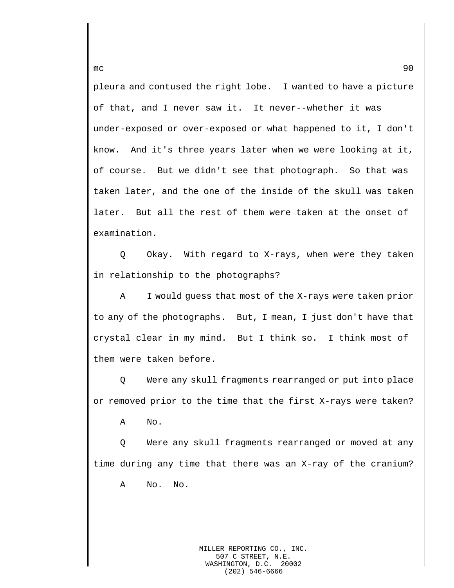pleura and contused the right lobe. I wanted to have a picture of that, and I never saw it. It never--whether it was under-exposed or over-exposed or what happened to it, I don't know. And it's three years later when we were looking at it, of course. But we didn't see that photograph. So that was taken later, and the one of the inside of the skull was taken later. But all the rest of them were taken at the onset of examination.

Q Okay. With regard to X-rays, when were they taken in relationship to the photographs?

A I would guess that most of the X-rays were taken prior to any of the photographs. But, I mean, I just don't have that crystal clear in my mind. But I think so. I think most of them were taken before.

Q Were any skull fragments rearranged or put into place or removed prior to the time that the first X-rays were taken?

A No.

Q Were any skull fragments rearranged or moved at any time during any time that there was an X-ray of the cranium?

A No. No.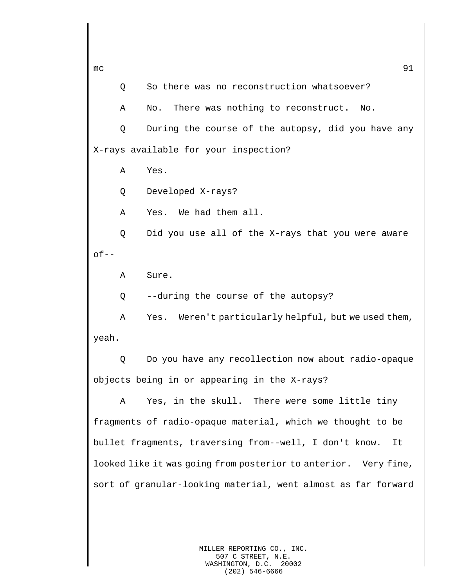Q So there was no reconstruction whatsoever?

A No. There was nothing to reconstruct. No.

Q During the course of the autopsy, did you have any X-rays available for your inspection?

A Yes.

Q Developed X-rays?

A Yes. We had them all.

Q Did you use all of the X-rays that you were aware  $of--$ 

A Sure.

Q --during the course of the autopsy?

A Yes. Weren't particularly helpful, but we used them, yeah.

Q Do you have any recollection now about radio-opaque objects being in or appearing in the X-rays?

A Yes, in the skull. There were some little tiny fragments of radio-opaque material, which we thought to be bullet fragments, traversing from--well, I don't know. It looked like it was going from posterior to anterior. Very fine, sort of granular-looking material, went almost as far forward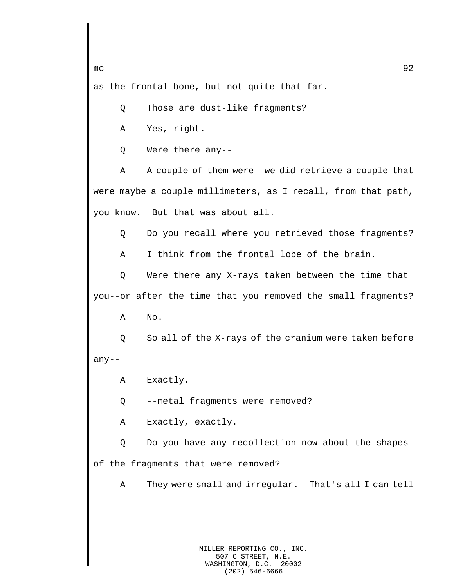as the frontal bone, but not quite that far.

Q Those are dust-like fragments?

A Yes, right.

Q Were there any--

A A couple of them were--we did retrieve a couple that were maybe a couple millimeters, as I recall, from that path, you know. But that was about all.

Q Do you recall where you retrieved those fragments?

A I think from the frontal lobe of the brain.

Q Were there any X-rays taken between the time that you--or after the time that you removed the small fragments? A No.

Q So all of the X-rays of the cranium were taken before any--

A Exactly.

Q --metal fragments were removed?

A Exactly, exactly.

Q Do you have any recollection now about the shapes of the fragments that were removed?

A They were small and irregular. That's all I can tell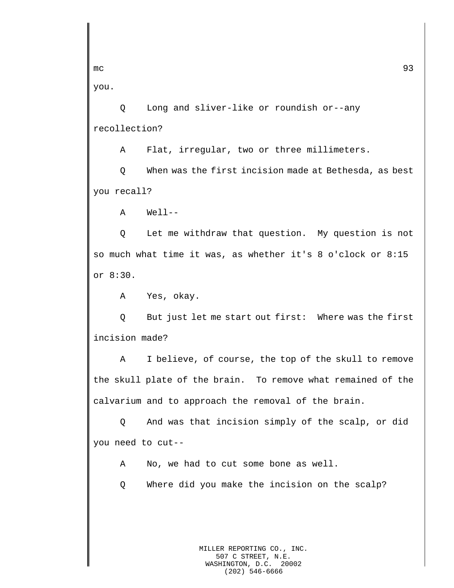you.

Q Long and sliver-like or roundish or--any recollection?

A Flat, irregular, two or three millimeters.

Q When was the first incision made at Bethesda, as best you recall?

A Well--

Q Let me withdraw that question. My question is not so much what time it was, as whether it's 8 o'clock or 8:15 or 8:30.

A Yes, okay.

Q But just let me start out first: Where was the first incision made?

A I believe, of course, the top of the skull to remove the skull plate of the brain. To remove what remained of the calvarium and to approach the removal of the brain.

Q And was that incision simply of the scalp, or did you need to cut--

A No, we had to cut some bone as well.

Q Where did you make the incision on the scalp?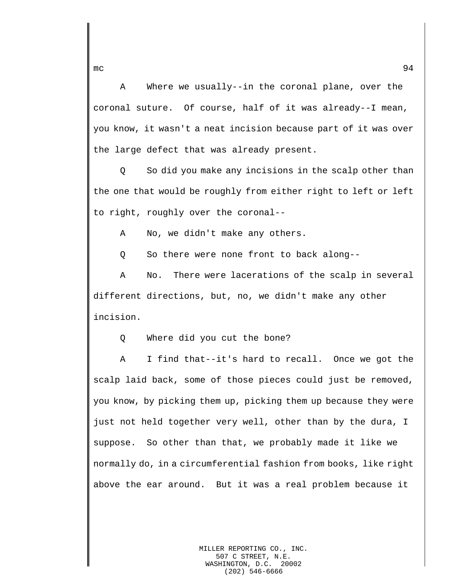A Where we usually--in the coronal plane, over the coronal suture. Of course, half of it was already--I mean, you know, it wasn't a neat incision because part of it was over the large defect that was already present.

Q So did you make any incisions in the scalp other than the one that would be roughly from either right to left or left to right, roughly over the coronal--

A No, we didn't make any others.

Q So there were none front to back along--

A No. There were lacerations of the scalp in several different directions, but, no, we didn't make any other incision.

Q Where did you cut the bone?

A I find that--it's hard to recall. Once we got the scalp laid back, some of those pieces could just be removed, you know, by picking them up, picking them up because they were just not held together very well, other than by the dura, I suppose. So other than that, we probably made it like we normally do, in a circumferential fashion from books, like right above the ear around. But it was a real problem because it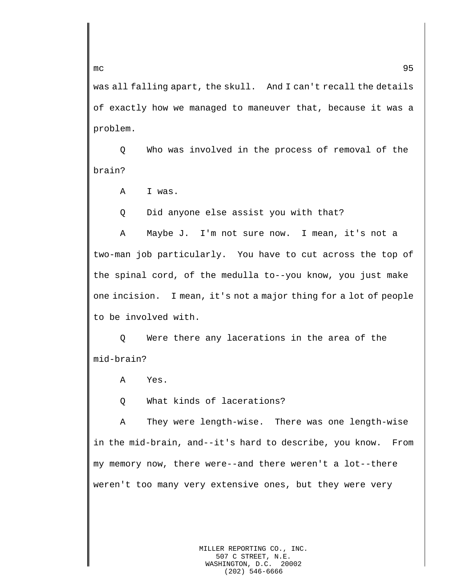was all falling apart, the skull. And I can't recall the details of exactly how we managed to maneuver that, because it was a problem.

Q Who was involved in the process of removal of the brain?

A I was.

Q Did anyone else assist you with that?

A Maybe J. I'm not sure now. I mean, it's not a two-man job particularly. You have to cut across the top of the spinal cord, of the medulla to--you know, you just make one incision. I mean, it's not a major thing for a lot of people to be involved with.

Q Were there any lacerations in the area of the mid-brain?

A Yes.

Q What kinds of lacerations?

A They were length-wise. There was one length-wise in the mid-brain, and--it's hard to describe, you know. From my memory now, there were--and there weren't a lot--there weren't too many very extensive ones, but they were very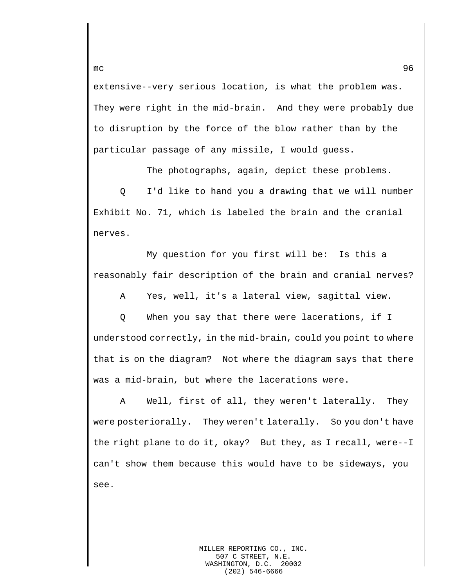extensive--very serious location, is what the problem was. They were right in the mid-brain. And they were probably due to disruption by the force of the blow rather than by the particular passage of any missile, I would guess.

The photographs, again, depict these problems.

Q I'd like to hand you a drawing that we will number Exhibit No. 71, which is labeled the brain and the cranial nerves.

My question for you first will be: Is this a reasonably fair description of the brain and cranial nerves?

A Yes, well, it's a lateral view, sagittal view.

Q When you say that there were lacerations, if I understood correctly, in the mid-brain, could you point to where that is on the diagram? Not where the diagram says that there was a mid-brain, but where the lacerations were.

A Well, first of all, they weren't laterally. They were posteriorally. They weren't laterally. So you don't have the right plane to do it, okay? But they, as I recall, were--I can't show them because this would have to be sideways, you see.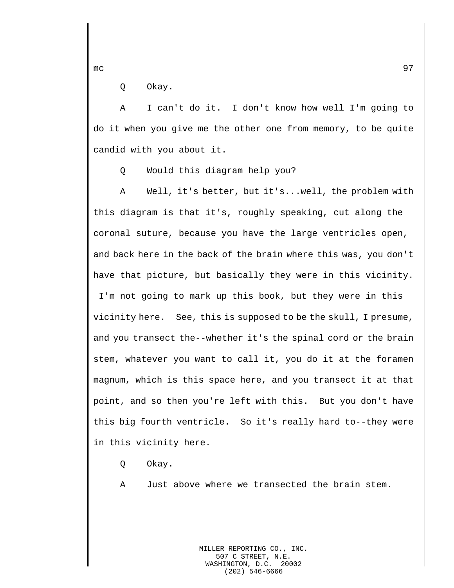Q Okay.

A I can't do it. I don't know how well I'm going to do it when you give me the other one from memory, to be quite candid with you about it.

Q Would this diagram help you?

A Well, it's better, but it's...well, the problem with this diagram is that it's, roughly speaking, cut along the coronal suture, because you have the large ventricles open, and back here in the back of the brain where this was, you don't have that picture, but basically they were in this vicinity. I'm not going to mark up this book, but they were in this vicinity here. See, this is supposed to be the skull, I presume, and you transect the--whether it's the spinal cord or the brain stem, whatever you want to call it, you do it at the foramen magnum, which is this space here, and you transect it at that point, and so then you're left with this. But you don't have this big fourth ventricle. So it's really hard to--they were in this vicinity here.

Q Okay.

A Just above where we transected the brain stem.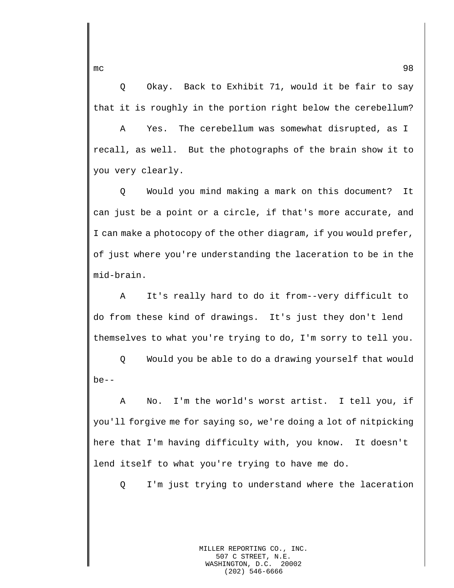Q Okay. Back to Exhibit 71, would it be fair to say that it is roughly in the portion right below the cerebellum?

A Yes. The cerebellum was somewhat disrupted, as I recall, as well. But the photographs of the brain show it to you very clearly.

Q Would you mind making a mark on this document? It can just be a point or a circle, if that's more accurate, and I can make a photocopy of the other diagram, if you would prefer, of just where you're understanding the laceration to be in the mid-brain.

A It's really hard to do it from--very difficult to do from these kind of drawings. It's just they don't lend themselves to what you're trying to do, I'm sorry to tell you.

Q Would you be able to do a drawing yourself that would  $be--$ 

A No. I'm the world's worst artist. I tell you, if you'll forgive me for saying so, we're doing a lot of nitpicking here that I'm having difficulty with, you know. It doesn't lend itself to what you're trying to have me do.

Q I'm just trying to understand where the laceration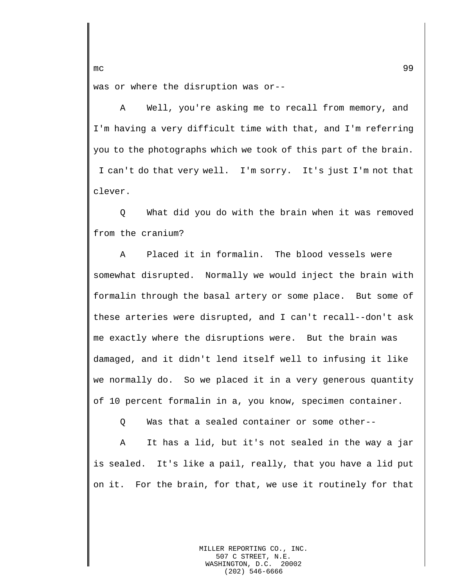was or where the disruption was or--

A Well, you're asking me to recall from memory, and I'm having a very difficult time with that, and I'm referring you to the photographs which we took of this part of the brain. I can't do that very well. I'm sorry. It's just I'm not that clever.

Q What did you do with the brain when it was removed from the cranium?

A Placed it in formalin. The blood vessels were somewhat disrupted. Normally we would inject the brain with formalin through the basal artery or some place. But some of these arteries were disrupted, and I can't recall--don't ask me exactly where the disruptions were. But the brain was damaged, and it didn't lend itself well to infusing it like we normally do. So we placed it in a very generous quantity of 10 percent formalin in a, you know, specimen container.

Q Was that a sealed container or some other--

A It has a lid, but it's not sealed in the way a jar is sealed. It's like a pail, really, that you have a lid put on it. For the brain, for that, we use it routinely for that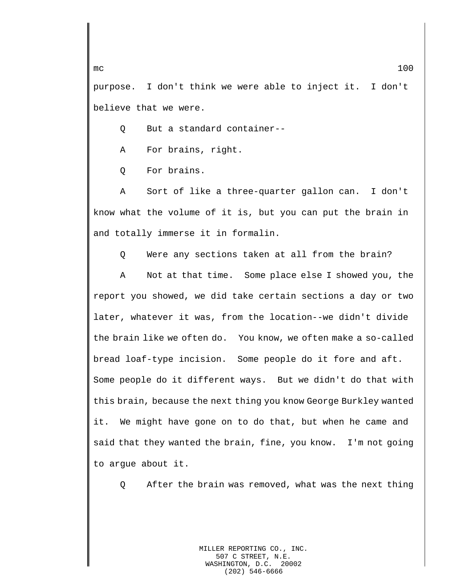purpose. I don't think we were able to inject it. I don't believe that we were.

Q But a standard container--

A For brains, right.

Q For brains.

A Sort of like a three-quarter gallon can. I don't know what the volume of it is, but you can put the brain in and totally immerse it in formalin.

Q Were any sections taken at all from the brain?

A Not at that time. Some place else I showed you, the report you showed, we did take certain sections a day or two later, whatever it was, from the location--we didn't divide the brain like we often do. You know, we often make a so-called bread loaf-type incision. Some people do it fore and aft. Some people do it different ways. But we didn't do that with this brain, because the next thing you know George Burkley wanted it. We might have gone on to do that, but when he came and said that they wanted the brain, fine, you know. I'm not going to argue about it.

Q After the brain was removed, what was the next thing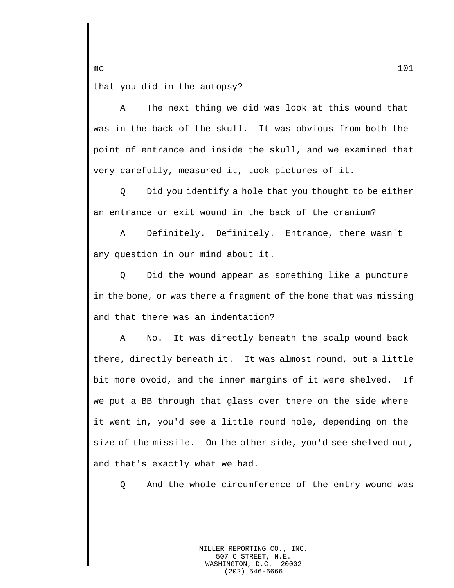that you did in the autopsy?

A The next thing we did was look at this wound that was in the back of the skull. It was obvious from both the point of entrance and inside the skull, and we examined that very carefully, measured it, took pictures of it.

Q Did you identify a hole that you thought to be either an entrance or exit wound in the back of the cranium?

A Definitely. Definitely. Entrance, there wasn't any question in our mind about it.

Q Did the wound appear as something like a puncture in the bone, or was there a fragment of the bone that was missing and that there was an indentation?

A No. It was directly beneath the scalp wound back there, directly beneath it. It was almost round, but a little bit more ovoid, and the inner margins of it were shelved. If we put a BB through that glass over there on the side where it went in, you'd see a little round hole, depending on the size of the missile. On the other side, you'd see shelved out, and that's exactly what we had.

Q And the whole circumference of the entry wound was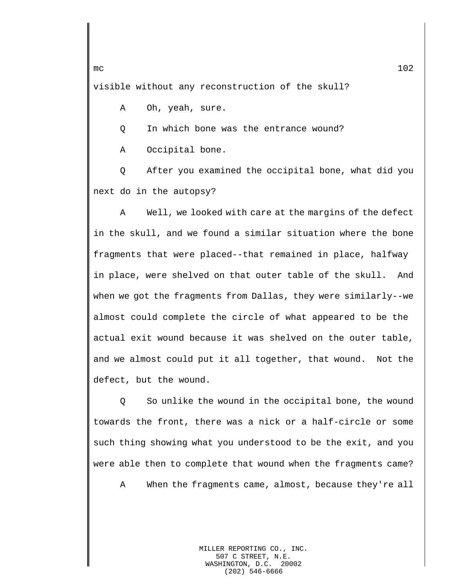visible without any reconstruction of the skull?

A Oh, yeah, sure.

Q In which bone was the entrance wound?

A Occipital bone.

Q After you examined the occipital bone, what did you next do in the autopsy?

A Well, we looked with care at the margins of the defect in the skull, and we found a similar situation where the bone fragments that were placed--that remained in place, halfway in place, were shelved on that outer table of the skull. And when we got the fragments from Dallas, they were similarly--we almost could complete the circle of what appeared to be the actual exit wound because it was shelved on the outer table, and we almost could put it all together, that wound. Not the defect, but the wound.

Q So unlike the wound in the occipital bone, the wound towards the front, there was a nick or a half-circle or some such thing showing what you understood to be the exit, and you were able then to complete that wound when the fragments came?

A When the fragments came, almost, because they're all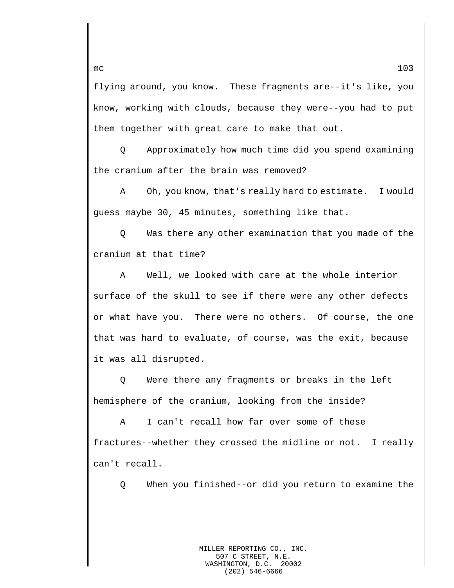flying around, you know. These fragments are--it's like, you know, working with clouds, because they were--you had to put them together with great care to make that out.

Q Approximately how much time did you spend examining the cranium after the brain was removed?

A Oh, you know, that's really hard to estimate. I would guess maybe 30, 45 minutes, something like that.

Q Was there any other examination that you made of the cranium at that time?

A Well, we looked with care at the whole interior surface of the skull to see if there were any other defects or what have you. There were no others. Of course, the one that was hard to evaluate, of course, was the exit, because it was all disrupted.

Q Were there any fragments or breaks in the left hemisphere of the cranium, looking from the inside?

A I can't recall how far over some of these fractures--whether they crossed the midline or not. I really can't recall.

Q When you finished--or did you return to examine the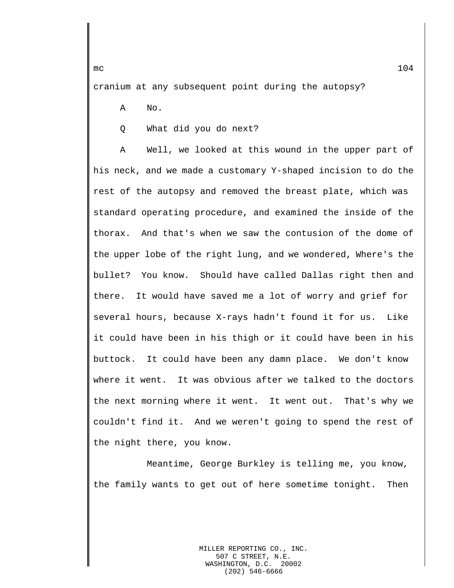cranium at any subsequent point during the autopsy?

A No.

Q What did you do next?

A Well, we looked at this wound in the upper part of his neck, and we made a customary Y-shaped incision to do the rest of the autopsy and removed the breast plate, which was standard operating procedure, and examined the inside of the thorax. And that's when we saw the contusion of the dome of the upper lobe of the right lung, and we wondered, Where's the bullet? You know. Should have called Dallas right then and there. It would have saved me a lot of worry and grief for several hours, because X-rays hadn't found it for us. Like it could have been in his thigh or it could have been in his buttock. It could have been any damn place. We don't know where it went. It was obvious after we talked to the doctors the next morning where it went. It went out. That's why we couldn't find it. And we weren't going to spend the rest of the night there, you know.

Meantime, George Burkley is telling me, you know, the family wants to get out of here sometime tonight. Then

> MILLER REPORTING CO., INC. 507 C STREET, N.E.<br>SHINGTON, D.C. 20002 WASHINGTON, D.C. (202) 546-6666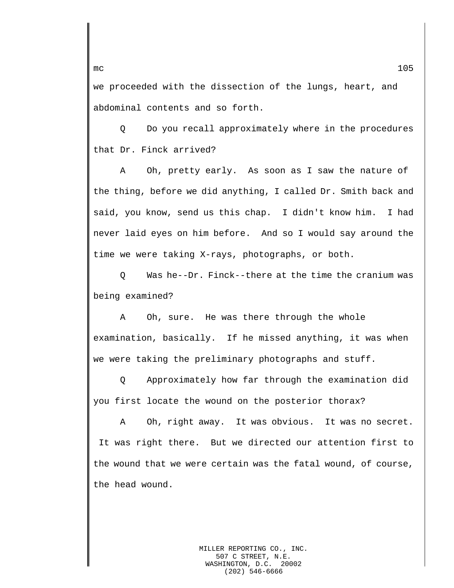we proceeded with the dissection of the lungs, heart, and abdominal contents and so forth.

Q Do you recall approximately where in the procedures that Dr. Finck arrived?

A Oh, pretty early. As soon as I saw the nature of the thing, before we did anything, I called Dr. Smith back and said, you know, send us this chap. I didn't know him. I had never laid eyes on him before. And so I would say around the time we were taking X-rays, photographs, or both.

Q Was he--Dr. Finck--there at the time the cranium was being examined?

A Oh, sure. He was there through the whole examination, basically. If he missed anything, it was when we were taking the preliminary photographs and stuff.

Q Approximately how far through the examination did you first locate the wound on the posterior thorax?

A Oh, right away. It was obvious. It was no secret. It was right there. But we directed our attention first to the wound that we were certain was the fatal wound, of course, the head wound.

mc  $105$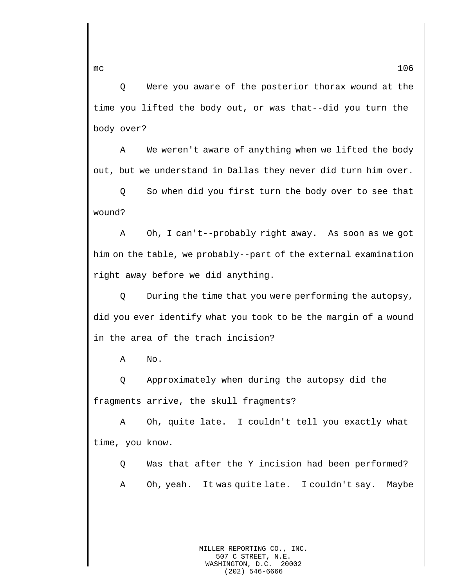Q Were you aware of the posterior thorax wound at the time you lifted the body out, or was that--did you turn the body over?

A We weren't aware of anything when we lifted the body out, but we understand in Dallas they never did turn him over.

Q So when did you first turn the body over to see that wound?

A Oh, I can't--probably right away. As soon as we got him on the table, we probably--part of the external examination right away before we did anything.

Q During the time that you were performing the autopsy, did you ever identify what you took to be the margin of a wound in the area of the trach incision?

A No.

Q Approximately when during the autopsy did the fragments arrive, the skull fragments?

A Oh, quite late. I couldn't tell you exactly what time, you know.

Q Was that after the Y incision had been performed?

A Oh, yeah. It was quite late. I couldn't say. Maybe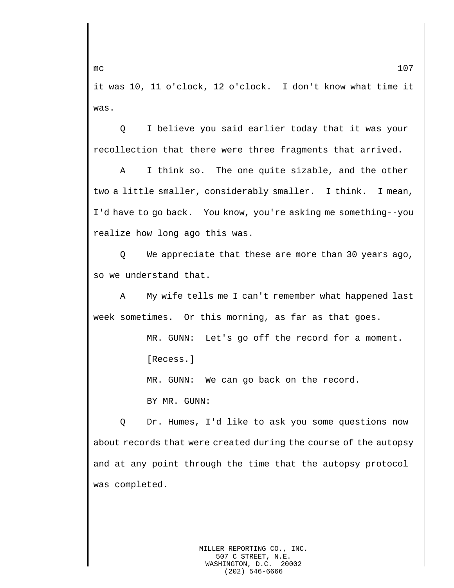it was 10, 11 o'clock, 12 o'clock. I don't know what time it was.

Q I believe you said earlier today that it was your recollection that there were three fragments that arrived.

A I think so. The one quite sizable, and the other two a little smaller, considerably smaller. I think. I mean, I'd have to go back. You know, you're asking me something--you realize how long ago this was.

Q We appreciate that these are more than 30 years ago, so we understand that.

A My wife tells me I can't remember what happened last week sometimes. Or this morning, as far as that goes.

MR. GUNN: Let's go off the record for a moment.

[Recess.]

MR. GUNN: We can go back on the record.

BY MR. GUNN:

Q Dr. Humes, I'd like to ask you some questions now about records that were created during the course of the autopsy and at any point through the time that the autopsy protocol was completed.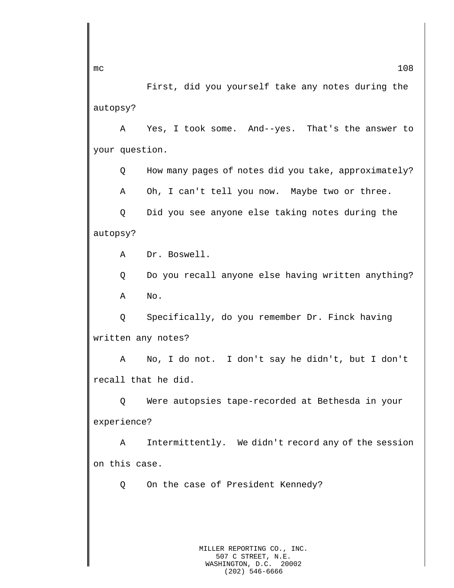First, did you yourself take any notes during the autopsy?

A Yes, I took some. And--yes. That's the answer to your question.

Q How many pages of notes did you take, approximately?

A Oh, I can't tell you now. Maybe two or three.

Q Did you see anyone else taking notes during the autopsy?

A Dr. Boswell.

Q Do you recall anyone else having written anything? A No.

Q Specifically, do you remember Dr. Finck having written any notes?

A No, I do not. I don't say he didn't, but I don't recall that he did.

Q Were autopsies tape-recorded at Bethesda in your experience?

A Intermittently. We didn't record any of the session on this case.

Q On the case of President Kennedy?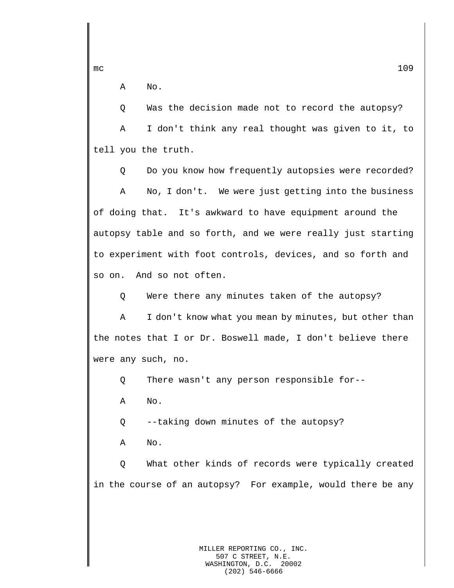A No.

Q Was the decision made not to record the autopsy?

A I don't think any real thought was given to it, to tell you the truth.

Q Do you know how frequently autopsies were recorded? A No, I don't. We were just getting into the business of doing that. It's awkward to have equipment around the autopsy table and so forth, and we were really just starting to experiment with foot controls, devices, and so forth and so on. And so not often.

Q Were there any minutes taken of the autopsy?

A I don't know what you mean by minutes, but other than the notes that I or Dr. Boswell made, I don't believe there were any such, no.

Q There wasn't any person responsible for--

A No.

Q --taking down minutes of the autopsy?

A No.

Q What other kinds of records were typically created in the course of an autopsy? For example, would there be any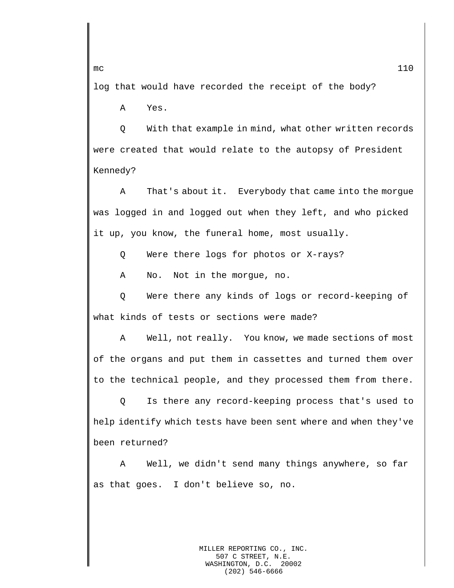log that would have recorded the receipt of the body?

A Yes.

Q With that example in mind, what other written records were created that would relate to the autopsy of President Kennedy?

A That's about it. Everybody that came into the morgue was logged in and logged out when they left, and who picked it up, you know, the funeral home, most usually.

Q Were there logs for photos or X-rays?

A No. Not in the morgue, no.

Q Were there any kinds of logs or record-keeping of what kinds of tests or sections were made?

A Well, not really. You know, we made sections of most of the organs and put them in cassettes and turned them over to the technical people, and they processed them from there.

Q Is there any record-keeping process that's used to help identify which tests have been sent where and when they've been returned?

A Well, we didn't send many things anywhere, so far as that goes. I don't believe so, no.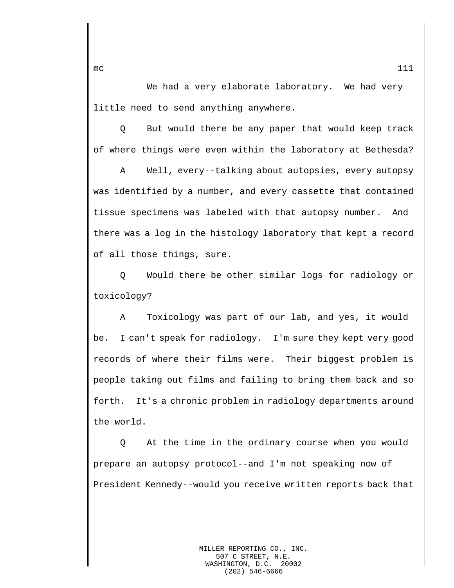We had a very elaborate laboratory. We had very little need to send anything anywhere.

Q But would there be any paper that would keep track of where things were even within the laboratory at Bethesda?

A Well, every--talking about autopsies, every autopsy was identified by a number, and every cassette that contained tissue specimens was labeled with that autopsy number. And there was a log in the histology laboratory that kept a record of all those things, sure.

Q Would there be other similar logs for radiology or toxicology?

A Toxicology was part of our lab, and yes, it would be. I can't speak for radiology. I'm sure they kept very good records of where their films were. Their biggest problem is people taking out films and failing to bring them back and so forth. It's a chronic problem in radiology departments around the world.

Q At the time in the ordinary course when you would prepare an autopsy protocol--and I'm not speaking now of President Kennedy--would you receive written reports back that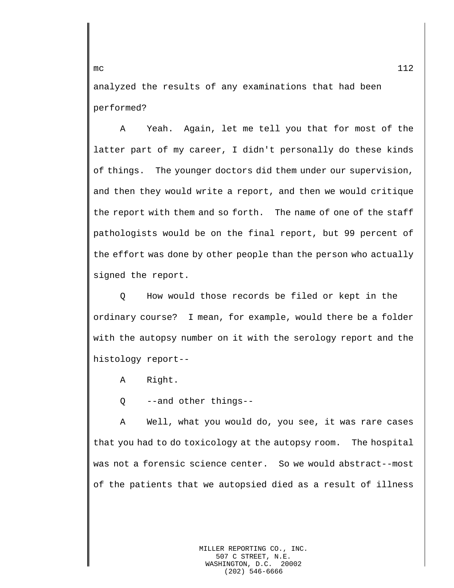analyzed the results of any examinations that had been performed?

A Yeah. Again, let me tell you that for most of the latter part of my career, I didn't personally do these kinds of things. The younger doctors did them under our supervision, and then they would write a report, and then we would critique the report with them and so forth. The name of one of the staff pathologists would be on the final report, but 99 percent of the effort was done by other people than the person who actually signed the report.

Q How would those records be filed or kept in the ordinary course? I mean, for example, would there be a folder with the autopsy number on it with the serology report and the histology report--

- A Right.
- Q --and other things--

A Well, what you would do, you see, it was rare cases that you had to do toxicology at the autopsy room. The hospital was not a forensic science center. So we would abstract--most of the patients that we autopsied died as a result of illness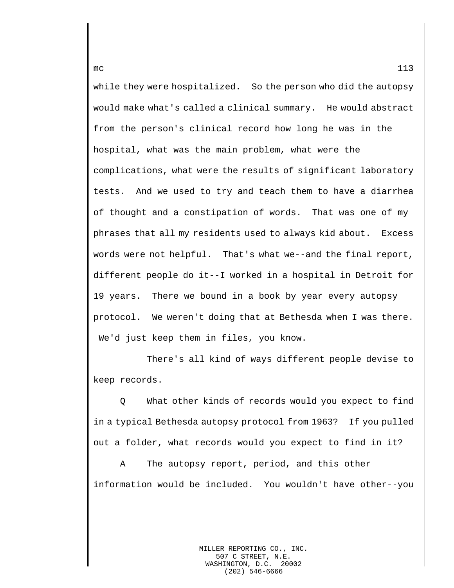while they were hospitalized. So the person who did the autopsy would make what's called a clinical summary. He would abstract from the person's clinical record how long he was in the hospital, what was the main problem, what were the complications, what were the results of significant laboratory tests. And we used to try and teach them to have a diarrhea of thought and a constipation of words. That was one of my phrases that all my residents used to always kid about. Excess words were not helpful. That's what we--and the final report, different people do it--I worked in a hospital in Detroit for 19 years. There we bound in a book by year every autopsy protocol. We weren't doing that at Bethesda when I was there. We'd just keep them in files, you know.

There's all kind of ways different people devise to keep records.

Q What other kinds of records would you expect to find in a typical Bethesda autopsy protocol from 1963? If you pulled out a folder, what records would you expect to find in it?

A The autopsy report, period, and this other information would be included. You wouldn't have other--you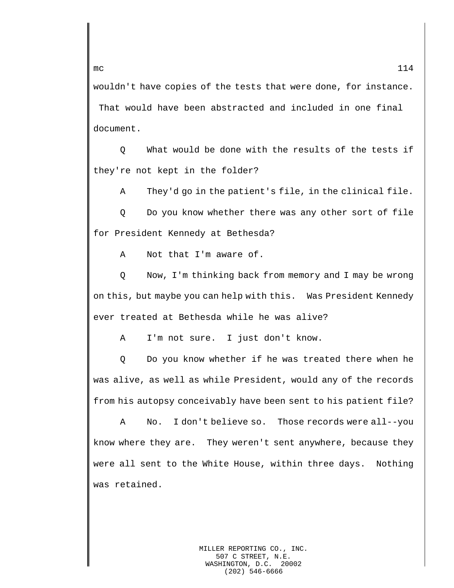wouldn't have copies of the tests that were done, for instance. That would have been abstracted and included in one final document.

Q What would be done with the results of the tests if they're not kept in the folder?

A They'd go in the patient's file, in the clinical file.

Q Do you know whether there was any other sort of file for President Kennedy at Bethesda?

A Not that I'm aware of.

Q Now, I'm thinking back from memory and I may be wrong on this, but maybe you can help with this. Was President Kennedy ever treated at Bethesda while he was alive?

A I'm not sure. I just don't know.

Q Do you know whether if he was treated there when he was alive, as well as while President, would any of the records from his autopsy conceivably have been sent to his patient file?

A No. I don't believe so. Those records were all--you know where they are. They weren't sent anywhere, because they were all sent to the White House, within three days. Nothing was retained.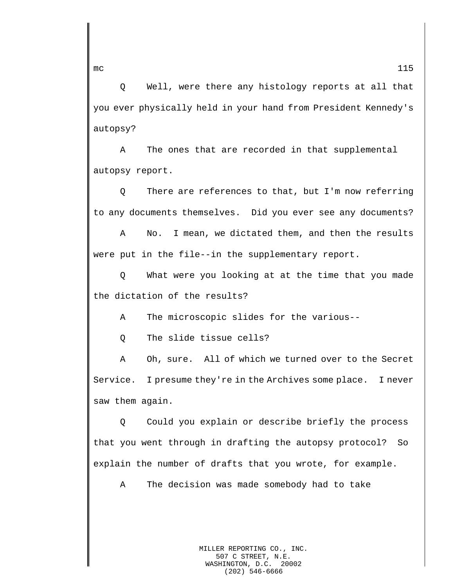Q Well, were there any histology reports at all that you ever physically held in your hand from President Kennedy's autopsy?

A The ones that are recorded in that supplemental autopsy report.

Q There are references to that, but I'm now referring to any documents themselves. Did you ever see any documents?

A No. I mean, we dictated them, and then the results were put in the file--in the supplementary report.

Q What were you looking at at the time that you made the dictation of the results?

A The microscopic slides for the various--

Q The slide tissue cells?

A Oh, sure. All of which we turned over to the Secret Service. I presume they're in the Archives some place. I never saw them again.

Q Could you explain or describe briefly the process that you went through in drafting the autopsy protocol? So explain the number of drafts that you wrote, for example.

A The decision was made somebody had to take

MILLER REPORTING CO., INC. 507 C STREET, N.E. WASHINGTON, D.C. 20002 (202) 546-6666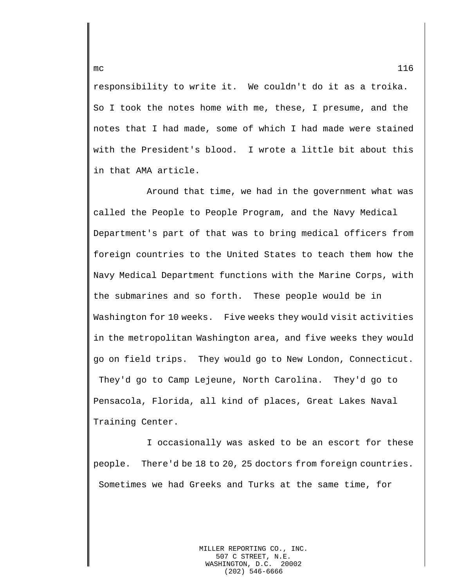responsibility to write it. We couldn't do it as a troika. So I took the notes home with me, these, I presume, and the notes that I had made, some of which I had made were stained with the President's blood. I wrote a little bit about this in that AMA article.

Around that time, we had in the government what was called the People to People Program, and the Navy Medical Department's part of that was to bring medical officers from foreign countries to the United States to teach them how the Navy Medical Department functions with the Marine Corps, with the submarines and so forth. These people would be in Washington for 10 weeks. Five weeks they would visit activities in the metropolitan Washington area, and five weeks they would go on field trips. They would go to New London, Connecticut. They'd go to Camp Lejeune, North Carolina. They'd go to Pensacola, Florida, all kind of places, Great Lakes Naval Training Center.

I occasionally was asked to be an escort for these people. There'd be 18 to 20, 25 doctors from foreign countries. Sometimes we had Greeks and Turks at the same time, for

> MILLER REPORTING CO., INC. 507 C STREET, N.E. WASHINGTON, D.C. 20002 (202) 546-6666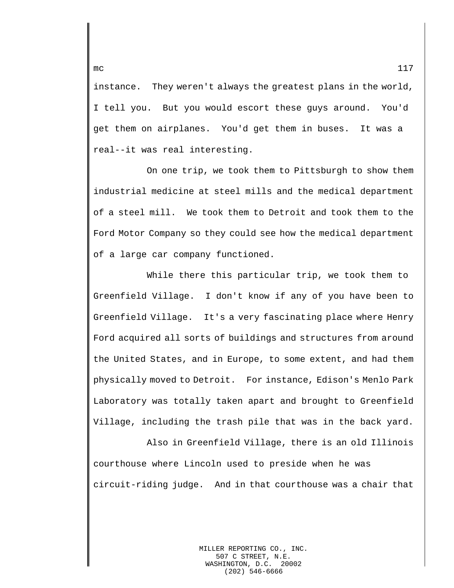instance. They weren't always the greatest plans in the world, I tell you. But you would escort these guys around. You'd get them on airplanes. You'd get them in buses. It was a real--it was real interesting.

On one trip, we took them to Pittsburgh to show them industrial medicine at steel mills and the medical department of a steel mill. We took them to Detroit and took them to the Ford Motor Company so they could see how the medical department of a large car company functioned.

While there this particular trip, we took them to Greenfield Village. I don't know if any of you have been to Greenfield Village. It's a very fascinating place where Henry Ford acquired all sorts of buildings and structures from around the United States, and in Europe, to some extent, and had them physically moved to Detroit. For instance, Edison's Menlo Park Laboratory was totally taken apart and brought to Greenfield Village, including the trash pile that was in the back yard.

Also in Greenfield Village, there is an old Illinois courthouse where Lincoln used to preside when he was circuit-riding judge. And in that courthouse was a chair that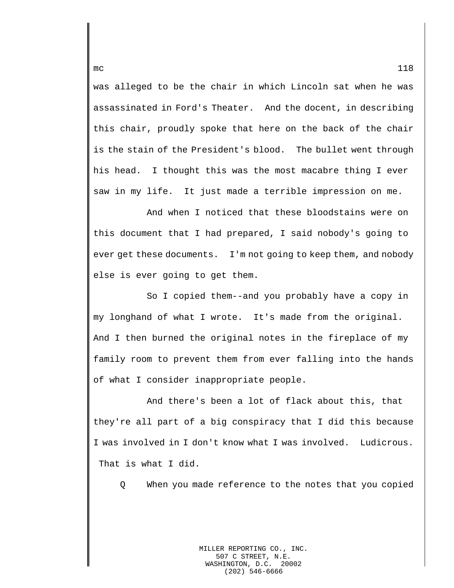was alleged to be the chair in which Lincoln sat when he was assassinated in Ford's Theater. And the docent, in describing this chair, proudly spoke that here on the back of the chair is the stain of the President's blood. The bullet went through his head. I thought this was the most macabre thing I ever saw in my life. It just made a terrible impression on me.

And when I noticed that these bloodstains were on this document that I had prepared, I said nobody's going to ever get these documents. I'm not going to keep them, and nobody else is ever going to get them.

So I copied them--and you probably have a copy in my longhand of what I wrote. It's made from the original. And I then burned the original notes in the fireplace of my family room to prevent them from ever falling into the hands of what I consider inappropriate people.

And there's been a lot of flack about this, that they're all part of a big conspiracy that I did this because I was involved in I don't know what I was involved. Ludicrous. That is what I did.

Q When you made reference to the notes that you copied

MILLER REPORTING CO., INC. 507 C STREET, N.E. WASHINGTON, D.C. 20002 (202) 546-6666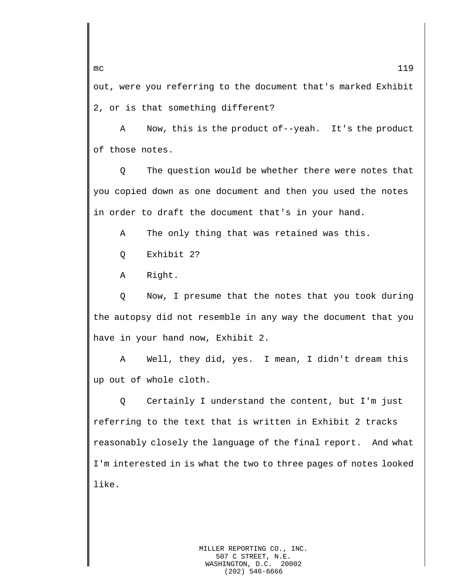out, were you referring to the document that's marked Exhibit 2, or is that something different?

A Now, this is the product of--yeah. It's the product of those notes.

Q The question would be whether there were notes that you copied down as one document and then you used the notes in order to draft the document that's in your hand.

A The only thing that was retained was this.

- Q Exhibit 2?
- A Right.

Q Now, I presume that the notes that you took during the autopsy did not resemble in any way the document that you have in your hand now, Exhibit 2.

A Well, they did, yes. I mean, I didn't dream this up out of whole cloth.

Q Certainly I understand the content, but I'm just referring to the text that is written in Exhibit 2 tracks reasonably closely the language of the final report. And what I'm interested in is what the two to three pages of notes looked like.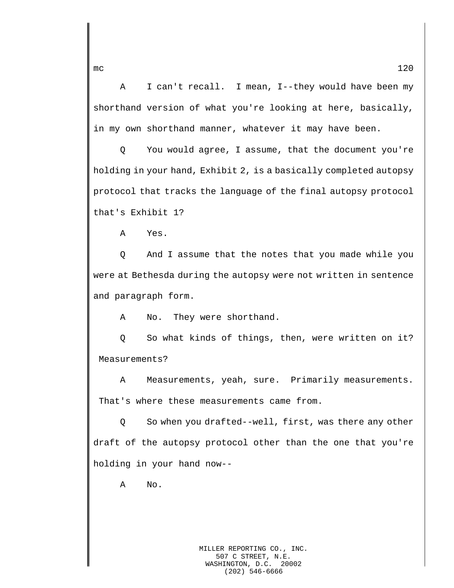A I can't recall. I mean, I--they would have been my shorthand version of what you're looking at here, basically, in my own shorthand manner, whatever it may have been.

Q You would agree, I assume, that the document you're holding in your hand, Exhibit 2, is a basically completed autopsy protocol that tracks the language of the final autopsy protocol that's Exhibit 1?

A Yes.

Q And I assume that the notes that you made while you were at Bethesda during the autopsy were not written in sentence and paragraph form.

A No. They were shorthand.

Q So what kinds of things, then, were written on it? Measurements?

A Measurements, yeah, sure. Primarily measurements. That's where these measurements came from.

Q So when you drafted--well, first, was there any other draft of the autopsy protocol other than the one that you're holding in your hand now--

A No.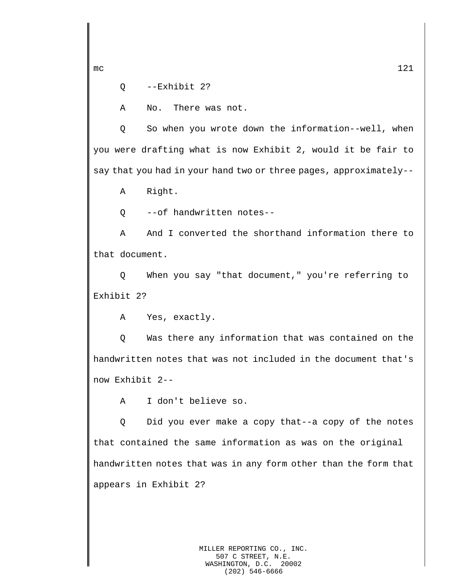Q --Exhibit 2?

A No. There was not.

Q So when you wrote down the information--well, when you were drafting what is now Exhibit 2, would it be fair to say that you had in your hand two or three pages, approximately--

A Right.

Q --of handwritten notes--

A And I converted the shorthand information there to that document.

Q When you say "that document," you're referring to Exhibit 2?

A Yes, exactly.

Q Was there any information that was contained on the handwritten notes that was not included in the document that's now Exhibit 2--

A I don't believe so.

Q Did you ever make a copy that--a copy of the notes that contained the same information as was on the original handwritten notes that was in any form other than the form that appears in Exhibit 2?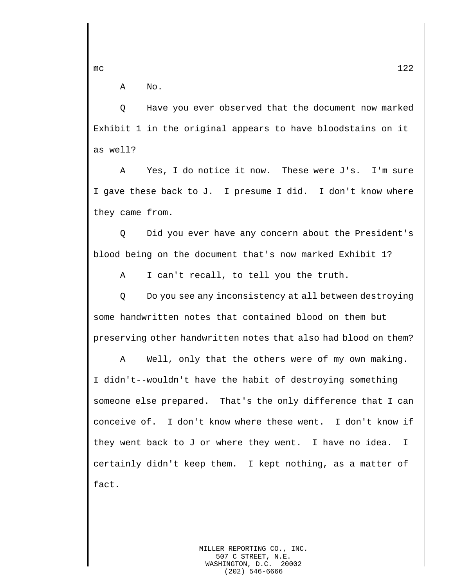A No.

Q Have you ever observed that the document now marked Exhibit 1 in the original appears to have bloodstains on it as well?

A Yes, I do notice it now. These were J's. I'm sure I gave these back to J. I presume I did. I don't know where they came from.

Q Did you ever have any concern about the President's blood being on the document that's now marked Exhibit 1?

A I can't recall, to tell you the truth.

Q Do you see any inconsistency at all between destroying some handwritten notes that contained blood on them but preserving other handwritten notes that also had blood on them?

A Well, only that the others were of my own making. I didn't--wouldn't have the habit of destroying something someone else prepared. That's the only difference that I can conceive of. I don't know where these went. I don't know if they went back to J or where they went. I have no idea. I certainly didn't keep them. I kept nothing, as a matter of fact.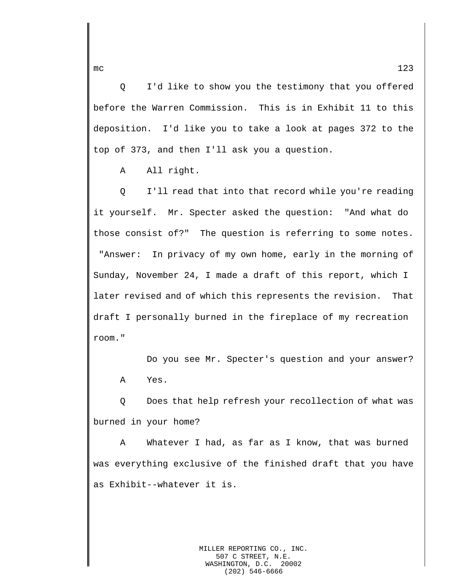Q I'd like to show you the testimony that you offered before the Warren Commission. This is in Exhibit 11 to this deposition. I'd like you to take a look at pages 372 to the top of 373, and then I'll ask you a question.

A All right.

Q I'll read that into that record while you're reading it yourself. Mr. Specter asked the question: "And what do those consist of?" The question is referring to some notes. "Answer: In privacy of my own home, early in the morning of Sunday, November 24, I made a draft of this report, which I later revised and of which this represents the revision. That draft I personally burned in the fireplace of my recreation room."

Do you see Mr. Specter's question and your answer? A Yes.

Q Does that help refresh your recollection of what was burned in your home?

A Whatever I had, as far as I know, that was burned was everything exclusive of the finished draft that you have as Exhibit--whatever it is.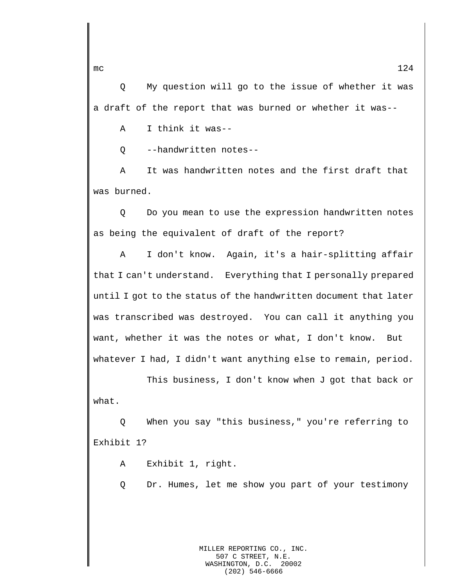Q My question will go to the issue of whether it was a draft of the report that was burned or whether it was--

A I think it was--

Q --handwritten notes--

A It was handwritten notes and the first draft that was burned.

Q Do you mean to use the expression handwritten notes as being the equivalent of draft of the report?

A I don't know. Again, it's a hair-splitting affair that I can't understand. Everything that I personally prepared until I got to the status of the handwritten document that later was transcribed was destroyed. You can call it anything you want, whether it was the notes or what, I don't know. But whatever I had, I didn't want anything else to remain, period.

This business, I don't know when J got that back or what.

Q When you say "this business," you're referring to Exhibit 1?

A Exhibit 1, right.

Q Dr. Humes, let me show you part of your testimony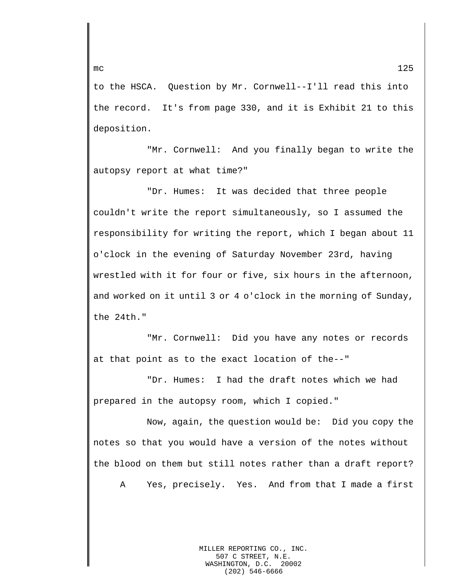to the HSCA. Question by Mr. Cornwell--I'll read this into the record. It's from page 330, and it is Exhibit 21 to this deposition.

"Mr. Cornwell: And you finally began to write the autopsy report at what time?"

"Dr. Humes: It was decided that three people couldn't write the report simultaneously, so I assumed the responsibility for writing the report, which I began about 11 o'clock in the evening of Saturday November 23rd, having wrestled with it for four or five, six hours in the afternoon, and worked on it until 3 or 4 o'clock in the morning of Sunday, the 24th."

"Mr. Cornwell: Did you have any notes or records at that point as to the exact location of the--"

"Dr. Humes: I had the draft notes which we had prepared in the autopsy room, which I copied."

Now, again, the question would be: Did you copy the notes so that you would have a version of the notes without the blood on them but still notes rather than a draft report?

A Yes, precisely. Yes. And from that I made a first

MILLER REPORTING CO., INC. 507 C STREET, N.E. WASHINGTON, D.C. 20002 (202) 546-6666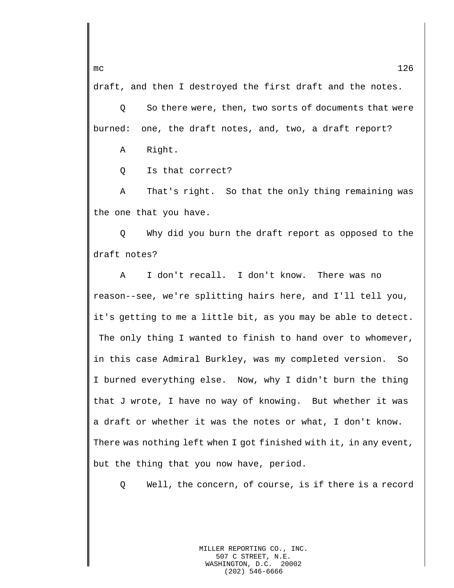draft, and then I destroyed the first draft and the notes.

Q So there were, then, two sorts of documents that were burned: one, the draft notes, and, two, a draft report?

A Right.

Q Is that correct?

A That's right. So that the only thing remaining was the one that you have.

Q Why did you burn the draft report as opposed to the draft notes?

A I don't recall. I don't know. There was no reason--see, we're splitting hairs here, and I'll tell you, it's getting to me a little bit, as you may be able to detect. The only thing I wanted to finish to hand over to whomever, in this case Admiral Burkley, was my completed version. So I burned everything else. Now, why I didn't burn the thing that J wrote, I have no way of knowing. But whether it was a draft or whether it was the notes or what, I don't know. There was nothing left when I got finished with it, in any event, but the thing that you now have, period.

Q Well, the concern, of course, is if there is a record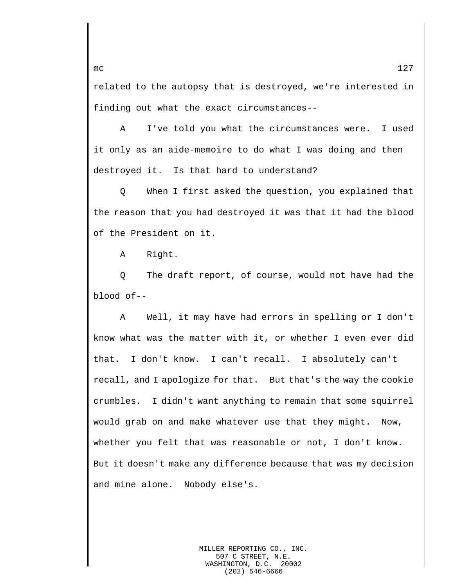related to the autopsy that is destroyed, we're interested in finding out what the exact circumstances--

A I've told you what the circumstances were. I used it only as an aide-memoire to do what I was doing and then destroyed it. Is that hard to understand?

Q When I first asked the question, you explained that the reason that you had destroyed it was that it had the blood of the President on it.

A Right.

Q The draft report, of course, would not have had the blood of--

A Well, it may have had errors in spelling or I don't know what was the matter with it, or whether I even ever did that. I don't know. I can't recall. I absolutely can't recall, and I apologize for that. But that's the way the cookie crumbles. I didn't want anything to remain that some squirrel would grab on and make whatever use that they might. Now, whether you felt that was reasonable or not, I don't know. But it doesn't make any difference because that was my decision and mine alone. Nobody else's.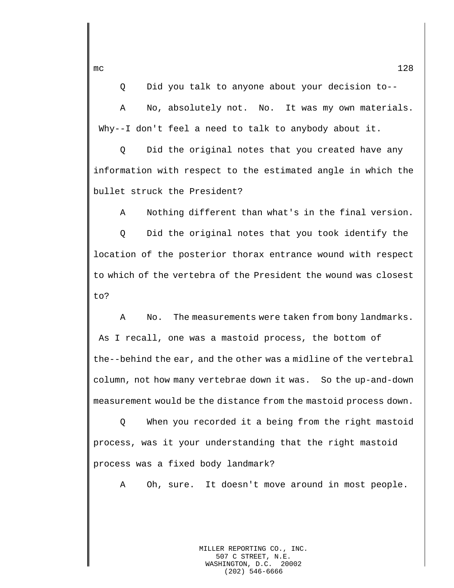Q Did you talk to anyone about your decision to--

A No, absolutely not. No. It was my own materials. Why--I don't feel a need to talk to anybody about it.

Q Did the original notes that you created have any information with respect to the estimated angle in which the bullet struck the President?

A Nothing different than what's in the final version.

Q Did the original notes that you took identify the location of the posterior thorax entrance wound with respect to which of the vertebra of the President the wound was closest to?

A No. The measurements were taken from bony landmarks. As I recall, one was a mastoid process, the bottom of the--behind the ear, and the other was a midline of the vertebral column, not how many vertebrae down it was. So the up-and-down measurement would be the distance from the mastoid process down.

Q When you recorded it a being from the right mastoid process, was it your understanding that the right mastoid process was a fixed body landmark?

A Oh, sure. It doesn't move around in most people.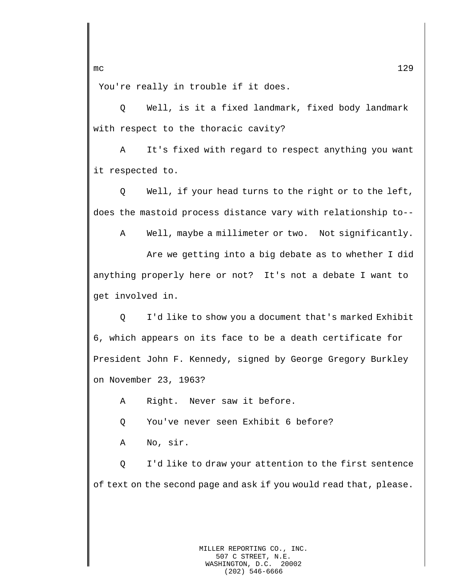You're really in trouble if it does.

Q Well, is it a fixed landmark, fixed body landmark with respect to the thoracic cavity?

A It's fixed with regard to respect anything you want it respected to.

Q Well, if your head turns to the right or to the left, does the mastoid process distance vary with relationship to--

A Well, maybe a millimeter or two. Not significantly.

Are we getting into a big debate as to whether I did anything properly here or not? It's not a debate I want to get involved in.

Q I'd like to show you a document that's marked Exhibit 6, which appears on its face to be a death certificate for President John F. Kennedy, signed by George Gregory Burkley on November 23, 1963?

A Right. Never saw it before.

Q You've never seen Exhibit 6 before?

A No, sir.

Q I'd like to draw your attention to the first sentence of text on the second page and ask if you would read that, please.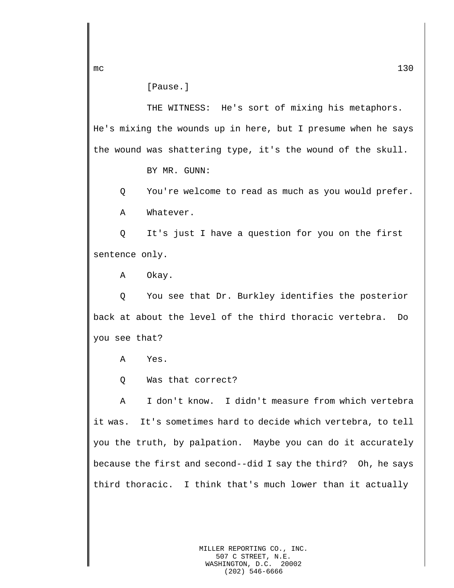[Pause.]

THE WITNESS: He's sort of mixing his metaphors. He's mixing the wounds up in here, but I presume when he says the wound was shattering type, it's the wound of the skull.

BY MR. GUNN:

Q You're welcome to read as much as you would prefer.

A Whatever.

Q It's just I have a question for you on the first sentence only.

A Okay.

Q You see that Dr. Burkley identifies the posterior back at about the level of the third thoracic vertebra. Do you see that?

A Yes.

Q Was that correct?

A I don't know. I didn't measure from which vertebra it was. It's sometimes hard to decide which vertebra, to tell you the truth, by palpation. Maybe you can do it accurately because the first and second--did I say the third? Oh, he says third thoracic. I think that's much lower than it actually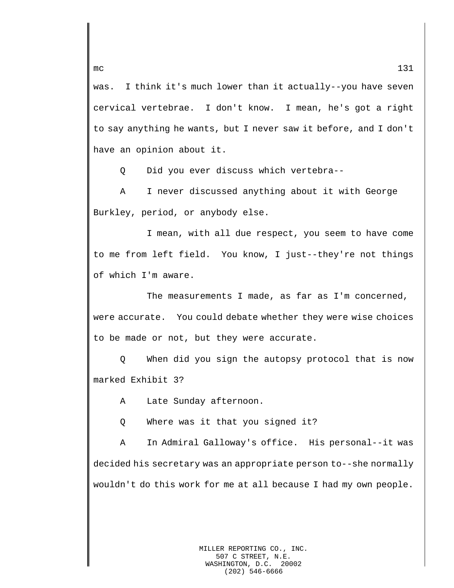was. I think it's much lower than it actually--you have seven cervical vertebrae. I don't know. I mean, he's got a right to say anything he wants, but I never saw it before, and I don't have an opinion about it.

Q Did you ever discuss which vertebra--

A I never discussed anything about it with George Burkley, period, or anybody else.

I mean, with all due respect, you seem to have come to me from left field. You know, I just--they're not things of which I'm aware.

The measurements I made, as far as I'm concerned, were accurate. You could debate whether they were wise choices to be made or not, but they were accurate.

Q When did you sign the autopsy protocol that is now marked Exhibit 3?

A Late Sunday afternoon.

Q Where was it that you signed it?

A In Admiral Galloway's office. His personal--it was decided his secretary was an appropriate person to--she normally wouldn't do this work for me at all because I had my own people.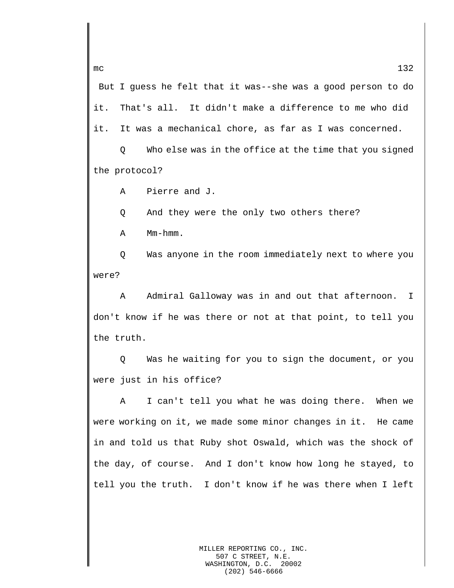But I guess he felt that it was--she was a good person to do it. That's all. It didn't make a difference to me who did it. It was a mechanical chore, as far as I was concerned.

Q Who else was in the office at the time that you signed the protocol?

A Pierre and J.

Q And they were the only two others there?

A Mm-hmm.

Q Was anyone in the room immediately next to where you were?

A Admiral Galloway was in and out that afternoon. I don't know if he was there or not at that point, to tell you the truth.

Q Was he waiting for you to sign the document, or you were just in his office?

A I can't tell you what he was doing there. When we were working on it, we made some minor changes in it. He came in and told us that Ruby shot Oswald, which was the shock of the day, of course. And I don't know how long he stayed, to tell you the truth. I don't know if he was there when I left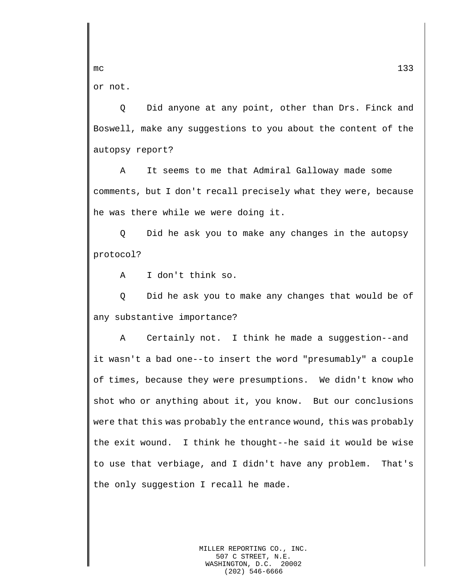or not.

Q Did anyone at any point, other than Drs. Finck and Boswell, make any suggestions to you about the content of the autopsy report?

A It seems to me that Admiral Galloway made some comments, but I don't recall precisely what they were, because he was there while we were doing it.

Q Did he ask you to make any changes in the autopsy protocol?

A I don't think so.

Q Did he ask you to make any changes that would be of any substantive importance?

A Certainly not. I think he made a suggestion--and it wasn't a bad one--to insert the word "presumably" a couple of times, because they were presumptions. We didn't know who shot who or anything about it, you know. But our conclusions were that this was probably the entrance wound, this was probably the exit wound. I think he thought--he said it would be wise to use that verbiage, and I didn't have any problem. That's the only suggestion I recall he made.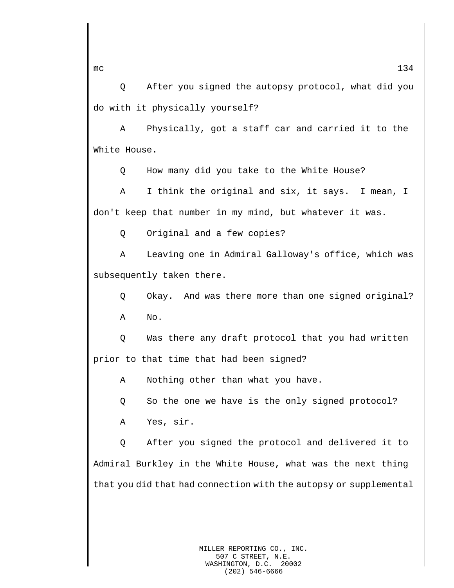Q After you signed the autopsy protocol, what did you do with it physically yourself?

A Physically, got a staff car and carried it to the White House.

Q How many did you take to the White House?

A I think the original and six, it says. I mean, I don't keep that number in my mind, but whatever it was.

Q Original and a few copies?

A Leaving one in Admiral Galloway's office, which was subsequently taken there.

Q Okay. And was there more than one signed original?

A No.

Q Was there any draft protocol that you had written prior to that time that had been signed?

A Nothing other than what you have.

Q So the one we have is the only signed protocol?

A Yes, sir.

Q After you signed the protocol and delivered it to Admiral Burkley in the White House, what was the next thing that you did that had connection with the autopsy or supplemental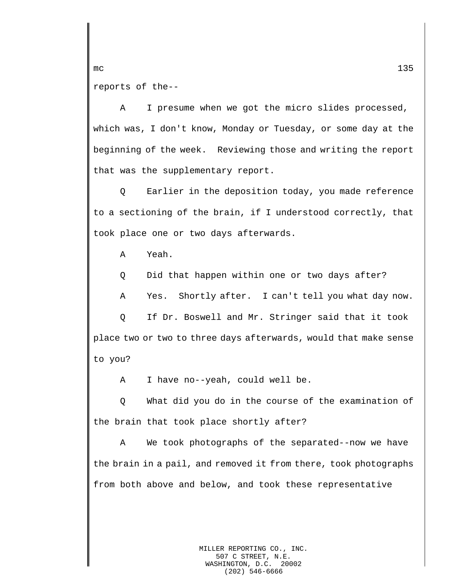reports of the--

A I presume when we got the micro slides processed, which was, I don't know, Monday or Tuesday, or some day at the beginning of the week. Reviewing those and writing the report that was the supplementary report.

Q Earlier in the deposition today, you made reference to a sectioning of the brain, if I understood correctly, that took place one or two days afterwards.

A Yeah.

Q Did that happen within one or two days after?

A Yes. Shortly after. I can't tell you what day now.

Q If Dr. Boswell and Mr. Stringer said that it took place two or two to three days afterwards, would that make sense to you?

A I have no--yeah, could well be.

Q What did you do in the course of the examination of the brain that took place shortly after?

A We took photographs of the separated--now we have the brain in a pail, and removed it from there, took photographs from both above and below, and took these representative

mc  $\sim$  135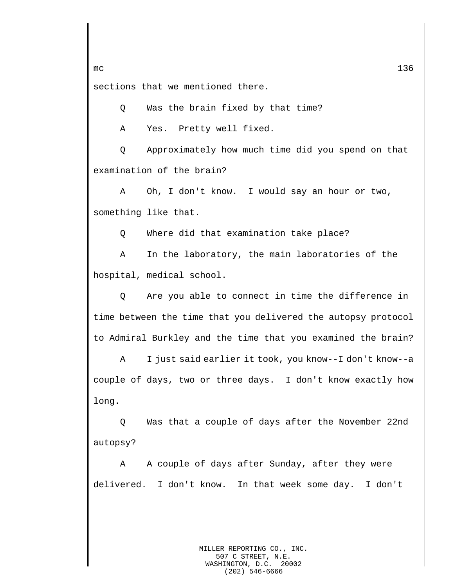sections that we mentioned there.

Q Was the brain fixed by that time?

A Yes. Pretty well fixed.

Q Approximately how much time did you spend on that examination of the brain?

A Oh, I don't know. I would say an hour or two, something like that.

Q Where did that examination take place?

A In the laboratory, the main laboratories of the hospital, medical school.

Q Are you able to connect in time the difference in time between the time that you delivered the autopsy protocol to Admiral Burkley and the time that you examined the brain?

A I just said earlier it took, you know--I don't know--a couple of days, two or three days. I don't know exactly how long.

Q Was that a couple of days after the November 22nd autopsy?

A A couple of days after Sunday, after they were delivered. I don't know. In that week some day. I don't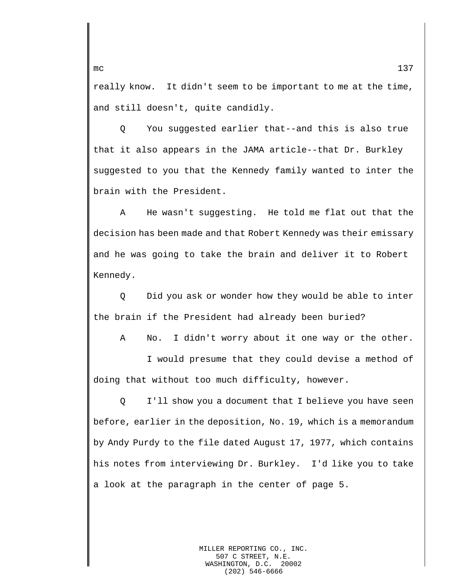really know. It didn't seem to be important to me at the time, and still doesn't, quite candidly.

Q You suggested earlier that--and this is also true that it also appears in the JAMA article--that Dr. Burkley suggested to you that the Kennedy family wanted to inter the brain with the President.

A He wasn't suggesting. He told me flat out that the decision has been made and that Robert Kennedy was their emissary and he was going to take the brain and deliver it to Robert Kennedy.

Q Did you ask or wonder how they would be able to inter the brain if the President had already been buried?

A No. I didn't worry about it one way or the other.

I would presume that they could devise a method of doing that without too much difficulty, however.

Q I'll show you a document that I believe you have seen before, earlier in the deposition, No. 19, which is a memorandum by Andy Purdy to the file dated August 17, 1977, which contains his notes from interviewing Dr. Burkley. I'd like you to take a look at the paragraph in the center of page 5.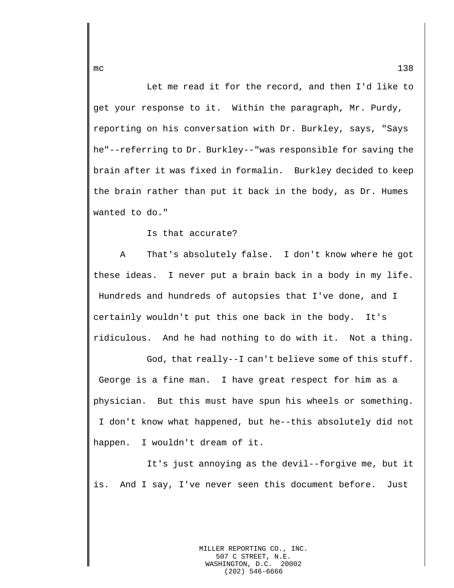Let me read it for the record, and then I'd like to get your response to it. Within the paragraph, Mr. Purdy, reporting on his conversation with Dr. Burkley, says, "Says he"--referring to Dr. Burkley--"was responsible for saving the brain after it was fixed in formalin. Burkley decided to keep the brain rather than put it back in the body, as Dr. Humes wanted to do."

Is that accurate?

A That's absolutely false. I don't know where he got these ideas. I never put a brain back in a body in my life. Hundreds and hundreds of autopsies that I've done, and I certainly wouldn't put this one back in the body. It's ridiculous. And he had nothing to do with it. Not a thing.

God, that really--I can't believe some of this stuff. George is a fine man. I have great respect for him as a physician. But this must have spun his wheels or something. I don't know what happened, but he--this absolutely did not happen. I wouldn't dream of it.

It's just annoying as the devil--forgive me, but it is. And I say, I've never seen this document before. Just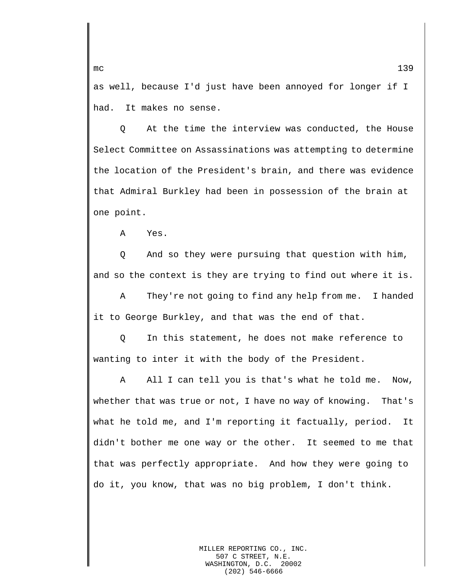as well, because I'd just have been annoyed for longer if I had. It makes no sense.

Q At the time the interview was conducted, the House Select Committee on Assassinations was attempting to determine the location of the President's brain, and there was evidence that Admiral Burkley had been in possession of the brain at one point.

A Yes.

Q And so they were pursuing that question with him, and so the context is they are trying to find out where it is.

A They're not going to find any help from me. I handed it to George Burkley, and that was the end of that.

Q In this statement, he does not make reference to wanting to inter it with the body of the President.

A All I can tell you is that's what he told me. Now, whether that was true or not, I have no way of knowing. That's what he told me, and I'm reporting it factually, period. It didn't bother me one way or the other. It seemed to me that that was perfectly appropriate. And how they were going to do it, you know, that was no big problem, I don't think.

mc  $\sim$  139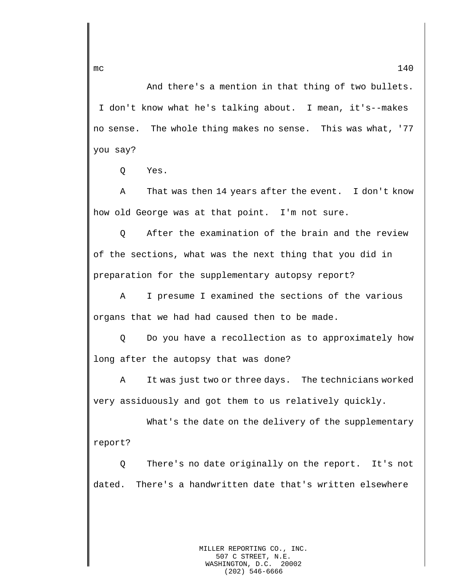And there's a mention in that thing of two bullets. I don't know what he's talking about. I mean, it's--makes no sense. The whole thing makes no sense. This was what, '77 you say?

Q Yes.

A That was then 14 years after the event. I don't know how old George was at that point. I'm not sure.

Q After the examination of the brain and the review of the sections, what was the next thing that you did in preparation for the supplementary autopsy report?

A I presume I examined the sections of the various organs that we had had caused then to be made.

Q Do you have a recollection as to approximately how long after the autopsy that was done?

A It was just two or three days. The technicians worked very assiduously and got them to us relatively quickly.

What's the date on the delivery of the supplementary report?

Q There's no date originally on the report. It's not dated. There's a handwritten date that's written elsewhere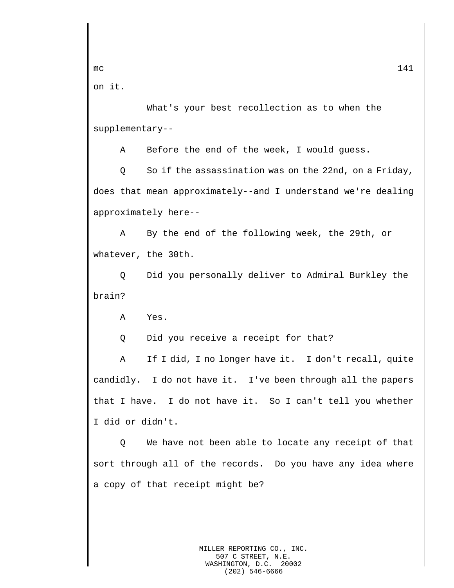on it.

What's your best recollection as to when the supplementary--

A Before the end of the week, I would guess.

Q So if the assassination was on the 22nd, on a Friday, does that mean approximately--and I understand we're dealing approximately here--

A By the end of the following week, the 29th, or whatever, the 30th.

Q Did you personally deliver to Admiral Burkley the brain?

A Yes.

Q Did you receive a receipt for that?

A If I did, I no longer have it. I don't recall, quite candidly. I do not have it. I've been through all the papers that I have. I do not have it. So I can't tell you whether I did or didn't.

Q We have not been able to locate any receipt of that sort through all of the records. Do you have any idea where a copy of that receipt might be?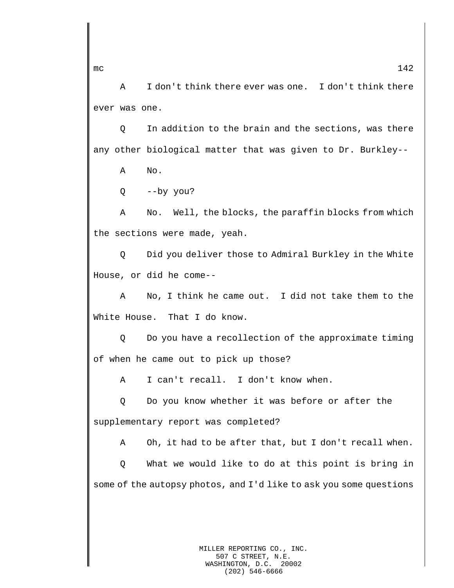A I don't think there ever was one. I don't think there ever was one.

Q In addition to the brain and the sections, was there any other biological matter that was given to Dr. Burkley--

A No.

Q --by you?

A No. Well, the blocks, the paraffin blocks from which the sections were made, yeah.

Q Did you deliver those to Admiral Burkley in the White House, or did he come--

A No, I think he came out. I did not take them to the White House. That I do know.

Q Do you have a recollection of the approximate timing of when he came out to pick up those?

A I can't recall. I don't know when.

Q Do you know whether it was before or after the supplementary report was completed?

A Oh, it had to be after that, but I don't recall when.

Q What we would like to do at this point is bring in some of the autopsy photos, and I'd like to ask you some questions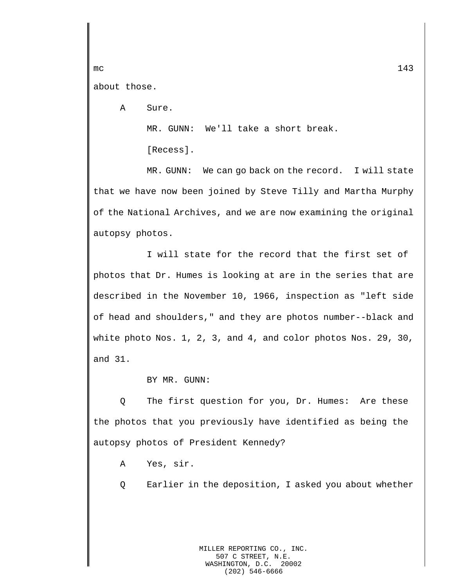```
mc 143
```
about those.

A Sure.

MR. GUNN: We'll take a short break.

[Recess].

MR. GUNN: We can go back on the record. I will state that we have now been joined by Steve Tilly and Martha Murphy of the National Archives, and we are now examining the original autopsy photos.

I will state for the record that the first set of photos that Dr. Humes is looking at are in the series that are described in the November 10, 1966, inspection as "left side of head and shoulders," and they are photos number--black and white photo Nos. 1, 2, 3, and 4, and color photos Nos. 29, 30, and 31.

BY MR. GUNN:

Q The first question for you, Dr. Humes: Are these the photos that you previously have identified as being the autopsy photos of President Kennedy?

A Yes, sir.

Q Earlier in the deposition, I asked you about whether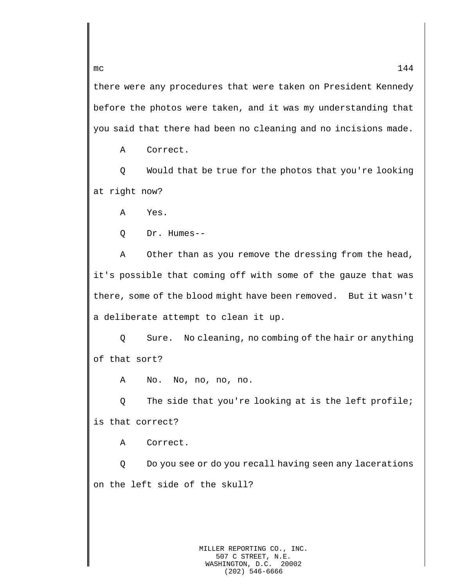there were any procedures that were taken on President Kennedy before the photos were taken, and it was my understanding that you said that there had been no cleaning and no incisions made.

A Correct.

Q Would that be true for the photos that you're looking at right now?

A Yes.

Q Dr. Humes--

A Other than as you remove the dressing from the head, it's possible that coming off with some of the gauze that was there, some of the blood might have been removed. But it wasn't a deliberate attempt to clean it up.

Q Sure. No cleaning, no combing of the hair or anything of that sort?

A No. No, no, no, no.

Q The side that you're looking at is the left profile; is that correct?

A Correct.

Q Do you see or do you recall having seen any lacerations on the left side of the skull?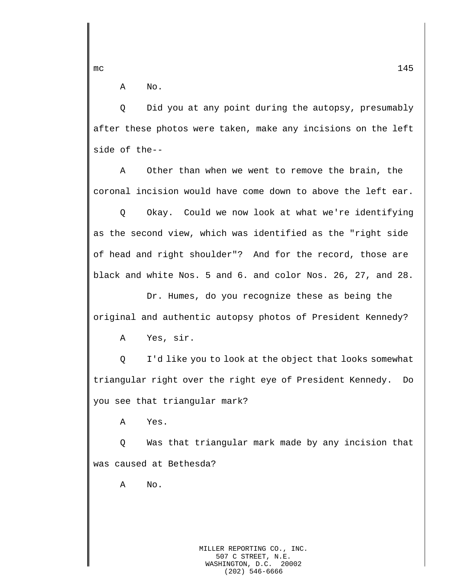A No.

Q Did you at any point during the autopsy, presumably after these photos were taken, make any incisions on the left side of the--

A Other than when we went to remove the brain, the coronal incision would have come down to above the left ear.

Q Okay. Could we now look at what we're identifying as the second view, which was identified as the "right side of head and right shoulder"? And for the record, those are black and white Nos. 5 and 6. and color Nos. 26, 27, and 28.

Dr. Humes, do you recognize these as being the original and authentic autopsy photos of President Kennedy?

A Yes, sir.

Q I'd like you to look at the object that looks somewhat triangular right over the right eye of President Kennedy. Do you see that triangular mark?

A Yes.

Q Was that triangular mark made by any incision that was caused at Bethesda?

A No.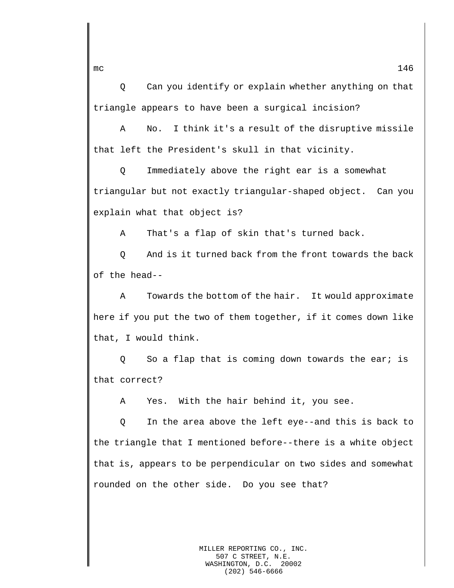Q Can you identify or explain whether anything on that triangle appears to have been a surgical incision?

A No. I think it's a result of the disruptive missile that left the President's skull in that vicinity.

Q Immediately above the right ear is a somewhat triangular but not exactly triangular-shaped object. Can you explain what that object is?

A That's a flap of skin that's turned back.

Q And is it turned back from the front towards the back of the head--

A Towards the bottom of the hair. It would approximate here if you put the two of them together, if it comes down like that, I would think.

Q So a flap that is coming down towards the ear; is that correct?

A Yes. With the hair behind it, you see.

Q In the area above the left eye--and this is back to the triangle that I mentioned before--there is a white object that is, appears to be perpendicular on two sides and somewhat rounded on the other side. Do you see that?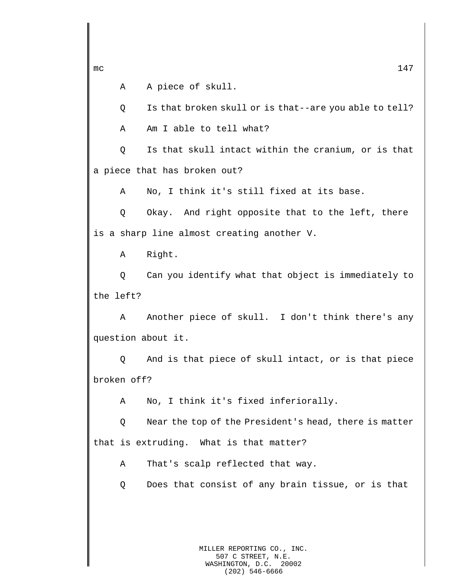A A piece of skull.

Q Is that broken skull or is that--are you able to tell?

A Am I able to tell what?

Q Is that skull intact within the cranium, or is that a piece that has broken out?

A No, I think it's still fixed at its base.

Q Okay. And right opposite that to the left, there is a sharp line almost creating another V.

A Right.

Q Can you identify what that object is immediately to the left?

A Another piece of skull. I don't think there's any question about it.

Q And is that piece of skull intact, or is that piece broken off?

A No, I think it's fixed inferiorally.

Q Near the top of the President's head, there is matter that is extruding. What is that matter?

A That's scalp reflected that way.

Q Does that consist of any brain tissue, or is that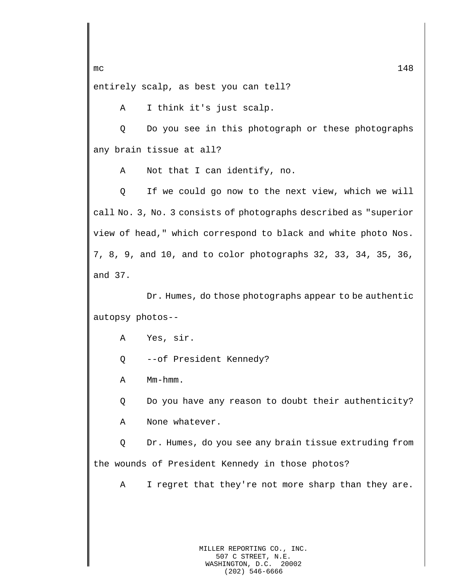entirely scalp, as best you can tell?

A I think it's just scalp.

Q Do you see in this photograph or these photographs any brain tissue at all?

A Not that I can identify, no.

Q If we could go now to the next view, which we will call No. 3, No. 3 consists of photographs described as "superior view of head," which correspond to black and white photo Nos. 7, 8, 9, and 10, and to color photographs 32, 33, 34, 35, 36, and 37.

Dr. Humes, do those photographs appear to be authentic autopsy photos--

A Yes, sir.

Q --of President Kennedy?

A Mm-hmm.

Q Do you have any reason to doubt their authenticity?

A None whatever.

Q Dr. Humes, do you see any brain tissue extruding from the wounds of President Kennedy in those photos?

A I regret that they're not more sharp than they are.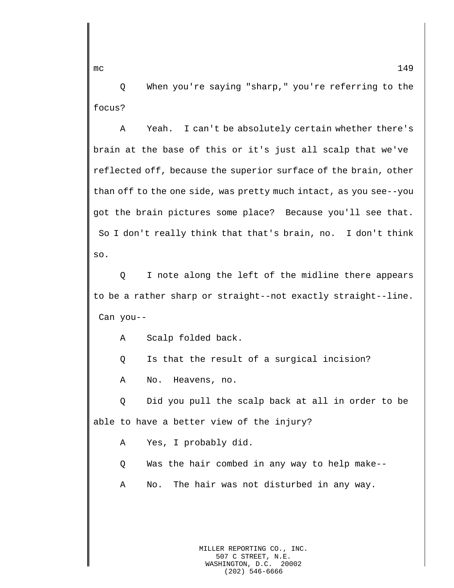Q When you're saying "sharp," you're referring to the focus?

A Yeah. I can't be absolutely certain whether there's brain at the base of this or it's just all scalp that we've reflected off, because the superior surface of the brain, other than off to the one side, was pretty much intact, as you see--you got the brain pictures some place? Because you'll see that. So I don't really think that that's brain, no. I don't think so.

Q I note along the left of the midline there appears to be a rather sharp or straight--not exactly straight--line. Can you--

A Scalp folded back.

Q Is that the result of a surgical incision?

A No. Heavens, no.

Q Did you pull the scalp back at all in order to be able to have a better view of the injury?

A Yes, I probably did.

Q Was the hair combed in any way to help make--

A No. The hair was not disturbed in any way.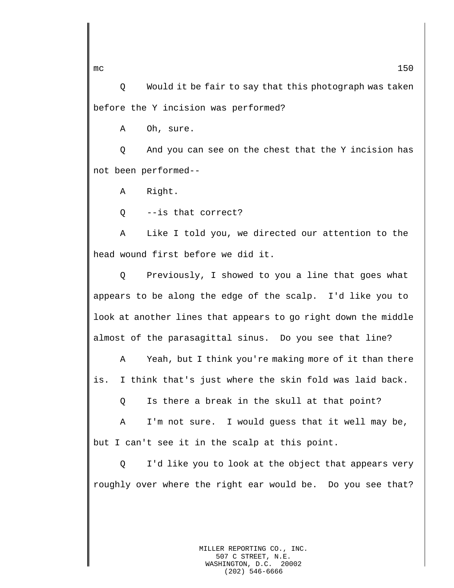Q Would it be fair to say that this photograph was taken before the Y incision was performed?

A Oh, sure.

Q And you can see on the chest that the Y incision has not been performed--

A Right.

Q --is that correct?

A Like I told you, we directed our attention to the head wound first before we did it.

Q Previously, I showed to you a line that goes what appears to be along the edge of the scalp. I'd like you to look at another lines that appears to go right down the middle almost of the parasagittal sinus. Do you see that line?

A Yeah, but I think you're making more of it than there is. I think that's just where the skin fold was laid back.

Q Is there a break in the skull at that point?

A I'm not sure. I would guess that it well may be, but I can't see it in the scalp at this point.

Q I'd like you to look at the object that appears very roughly over where the right ear would be. Do you see that?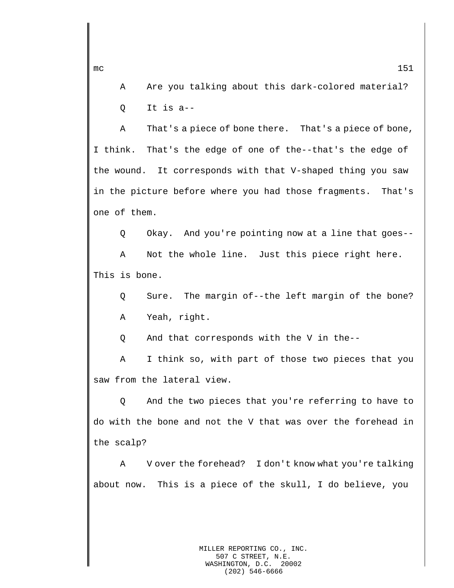A Are you talking about this dark-colored material? Q It is a--

A That's a piece of bone there. That's a piece of bone, I think. That's the edge of one of the--that's the edge of the wound. It corresponds with that V-shaped thing you saw in the picture before where you had those fragments. That's one of them.

Q Okay. And you're pointing now at a line that goes--

A Not the whole line. Just this piece right here. This is bone.

Q Sure. The margin of--the left margin of the bone?

A Yeah, right.

Q And that corresponds with the V in the--

A I think so, with part of those two pieces that you saw from the lateral view.

Q And the two pieces that you're referring to have to do with the bone and not the V that was over the forehead in the scalp?

A V over the forehead? I don't know what you're talking about now. This is a piece of the skull, I do believe, you

> MILLER REPORTING CO., INC. 507 C STREET, N.E. WASHINGTON, D.C. 20002 (202) 546-6666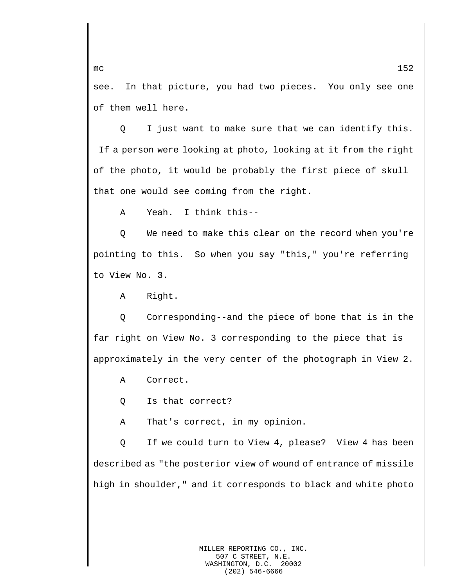see. In that picture, you had two pieces. You only see one of them well here.

Q I just want to make sure that we can identify this. If a person were looking at photo, looking at it from the right of the photo, it would be probably the first piece of skull that one would see coming from the right.

A Yeah. I think this--

Q We need to make this clear on the record when you're pointing to this. So when you say "this," you're referring to View No. 3.

A Right.

Q Corresponding--and the piece of bone that is in the far right on View No. 3 corresponding to the piece that is approximately in the very center of the photograph in View 2.

A Correct.

Q Is that correct?

A That's correct, in my opinion.

Q If we could turn to View 4, please? View 4 has been described as "the posterior view of wound of entrance of missile high in shoulder," and it corresponds to black and white photo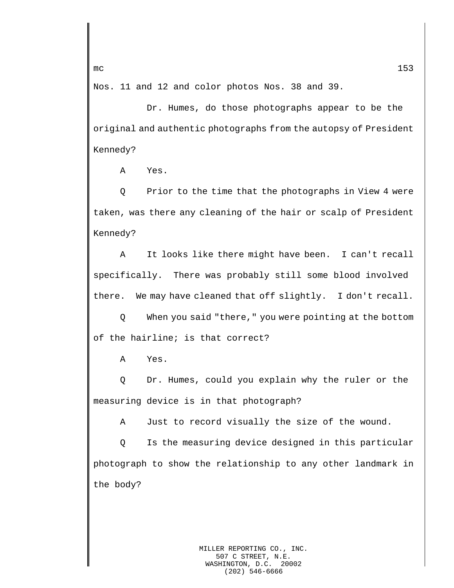Nos. 11 and 12 and color photos Nos. 38 and 39.

Dr. Humes, do those photographs appear to be the original and authentic photographs from the autopsy of President Kennedy?

A Yes.

Q Prior to the time that the photographs in View 4 were taken, was there any cleaning of the hair or scalp of President Kennedy?

A It looks like there might have been. I can't recall specifically. There was probably still some blood involved there. We may have cleaned that off slightly. I don't recall.

Q When you said "there," you were pointing at the bottom of the hairline; is that correct?

A Yes.

Q Dr. Humes, could you explain why the ruler or the measuring device is in that photograph?

A Just to record visually the size of the wound.

Q Is the measuring device designed in this particular photograph to show the relationship to any other landmark in the body?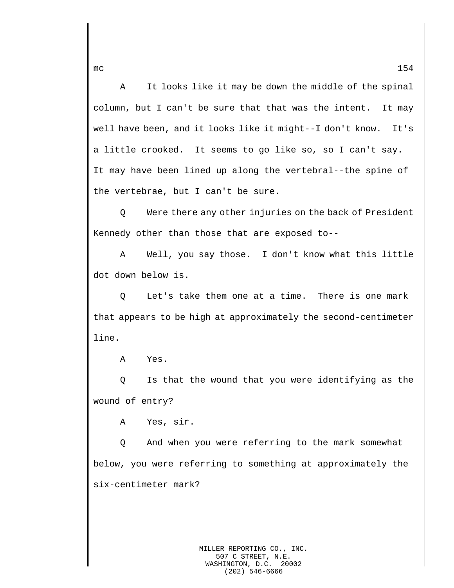A It looks like it may be down the middle of the spinal column, but I can't be sure that that was the intent. It may well have been, and it looks like it might--I don't know. It's a little crooked. It seems to go like so, so I can't say. It may have been lined up along the vertebral--the spine of the vertebrae, but I can't be sure.

Q Were there any other injuries on the back of President Kennedy other than those that are exposed to--

A Well, you say those. I don't know what this little dot down below is.

Q Let's take them one at a time. There is one mark that appears to be high at approximately the second-centimeter line.

A Yes.

Q Is that the wound that you were identifying as the wound of entry?

A Yes, sir.

Q And when you were referring to the mark somewhat below, you were referring to something at approximately the six-centimeter mark?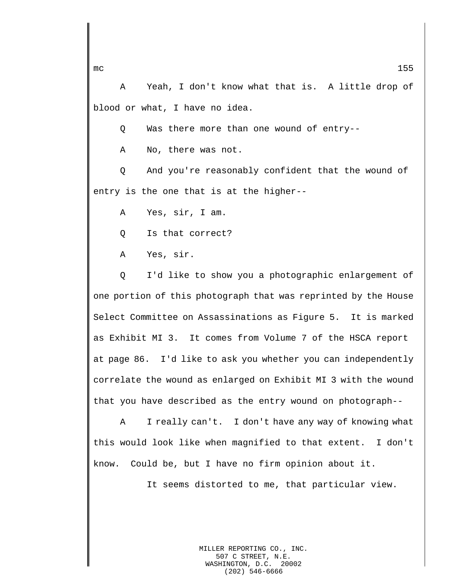A Yeah, I don't know what that is. A little drop of blood or what, I have no idea.

Q Was there more than one wound of entry--

A No, there was not.

Q And you're reasonably confident that the wound of entry is the one that is at the higher--

A Yes, sir, I am.

Q Is that correct?

A Yes, sir.

Q I'd like to show you a photographic enlargement of one portion of this photograph that was reprinted by the House Select Committee on Assassinations as Figure 5. It is marked as Exhibit MI 3. It comes from Volume 7 of the HSCA report at page 86. I'd like to ask you whether you can independently correlate the wound as enlarged on Exhibit MI 3 with the wound that you have described as the entry wound on photograph--

A I really can't. I don't have any way of knowing what this would look like when magnified to that extent. I don't know. Could be, but I have no firm opinion about it.

It seems distorted to me, that particular view.

MILLER REPORTING CO., INC. 507 C STREET, N.E.<br>SHINGTON, D.C. 20002 WASHINGTON, D.C. (202) 546-6666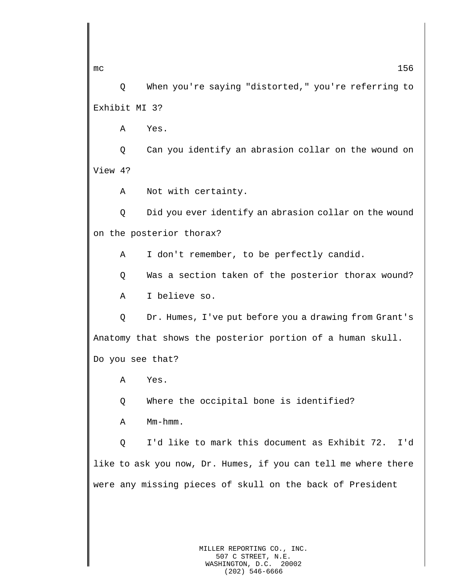Q When you're saying "distorted," you're referring to Exhibit MI 3?

A Yes.

Q Can you identify an abrasion collar on the wound on View 4?

A Not with certainty.

Q Did you ever identify an abrasion collar on the wound on the posterior thorax?

A I don't remember, to be perfectly candid.

Q Was a section taken of the posterior thorax wound? A I believe so.

Q Dr. Humes, I've put before you a drawing from Grant's Anatomy that shows the posterior portion of a human skull. Do you see that?

A Yes.

Q Where the occipital bone is identified?

A Mm-hmm.

Q I'd like to mark this document as Exhibit 72. I'd like to ask you now, Dr. Humes, if you can tell me where there were any missing pieces of skull on the back of President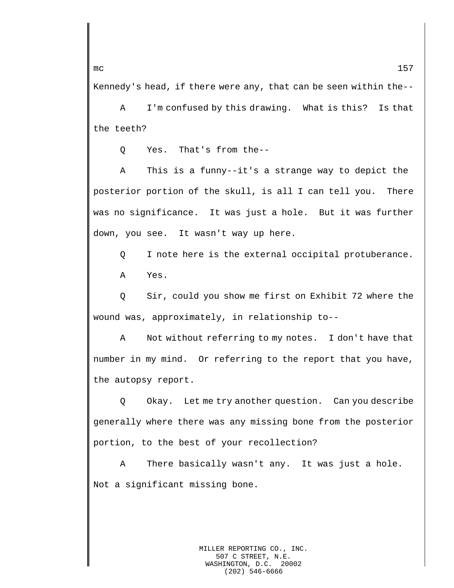Kennedy's head, if there were any, that can be seen within the--

A I'm confused by this drawing. What is this? Is that the teeth?

Q Yes. That's from the--

A This is a funny--it's a strange way to depict the posterior portion of the skull, is all I can tell you. There was no significance. It was just a hole. But it was further down, you see. It wasn't way up here.

Q I note here is the external occipital protuberance. A Yes.

Q Sir, could you show me first on Exhibit 72 where the wound was, approximately, in relationship to--

A Not without referring to my notes. I don't have that number in my mind. Or referring to the report that you have, the autopsy report.

Q Okay. Let me try another question. Can you describe generally where there was any missing bone from the posterior portion, to the best of your recollection?

A There basically wasn't any. It was just a hole. Not a significant missing bone.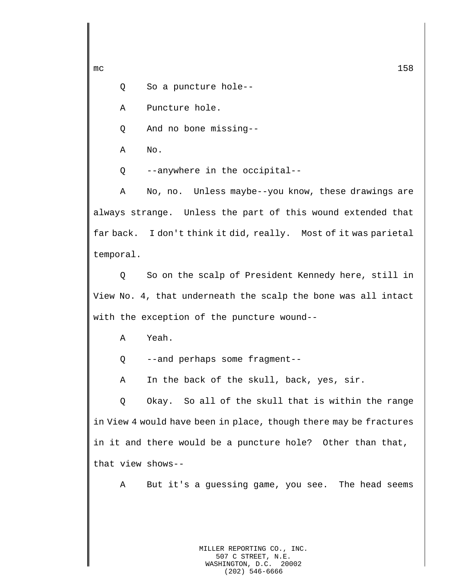Q So a puncture hole--

A Puncture hole.

Q And no bone missing--

A No.

Q --anywhere in the occipital--

A No, no. Unless maybe--you know, these drawings are always strange. Unless the part of this wound extended that far back. I don't think it did, really. Most of it was parietal temporal.

Q So on the scalp of President Kennedy here, still in View No. 4, that underneath the scalp the bone was all intact with the exception of the puncture wound--

A Yeah.

Q --and perhaps some fragment--

A In the back of the skull, back, yes, sir.

Q Okay. So all of the skull that is within the range in View 4 would have been in place, though there may be fractures in it and there would be a puncture hole? Other than that, that view shows--

A But it's a guessing game, you see. The head seems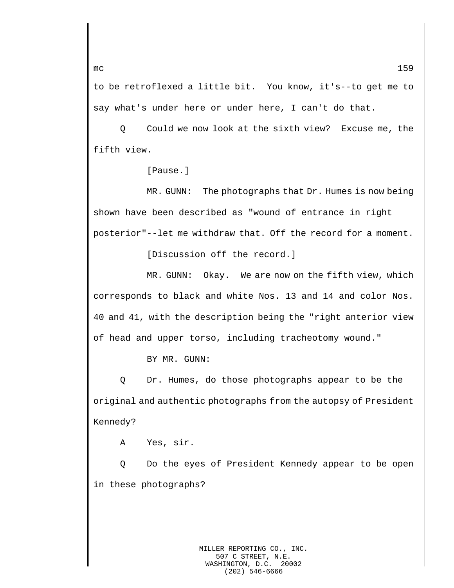to be retroflexed a little bit. You know, it's--to get me to say what's under here or under here, I can't do that.

Q Could we now look at the sixth view? Excuse me, the fifth view.

[Pause.]

MR. GUNN: The photographs that Dr. Humes is now being shown have been described as "wound of entrance in right posterior"--let me withdraw that. Off the record for a moment.

[Discussion off the record.]

MR. GUNN: Okay. We are now on the fifth view, which corresponds to black and white Nos. 13 and 14 and color Nos. 40 and 41, with the description being the "right anterior view of head and upper torso, including tracheotomy wound."

BY MR. GUNN:

Q Dr. Humes, do those photographs appear to be the original and authentic photographs from the autopsy of President Kennedy?

A Yes, sir.

Q Do the eyes of President Kennedy appear to be open in these photographs?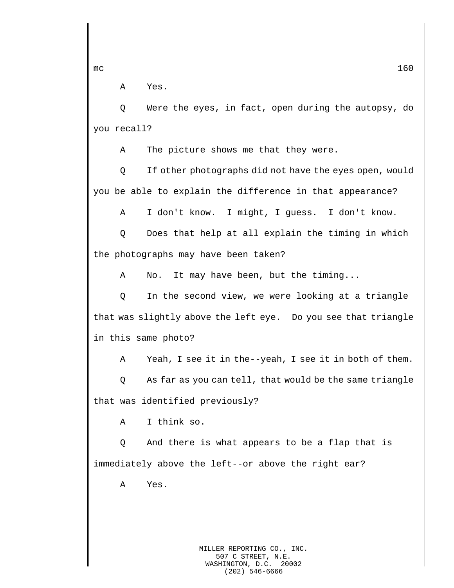A Yes.

Q Were the eyes, in fact, open during the autopsy, do you recall?

A The picture shows me that they were.

Q If other photographs did not have the eyes open, would you be able to explain the difference in that appearance?

A I don't know. I might, I guess. I don't know.

Q Does that help at all explain the timing in which the photographs may have been taken?

A No. It may have been, but the timing...

Q In the second view, we were looking at a triangle that was slightly above the left eye. Do you see that triangle in this same photo?

A Yeah, I see it in the--yeah, I see it in both of them.

Q As far as you can tell, that would be the same triangle that was identified previously?

A I think so.

Q And there is what appears to be a flap that is immediately above the left--or above the right ear?

A Yes.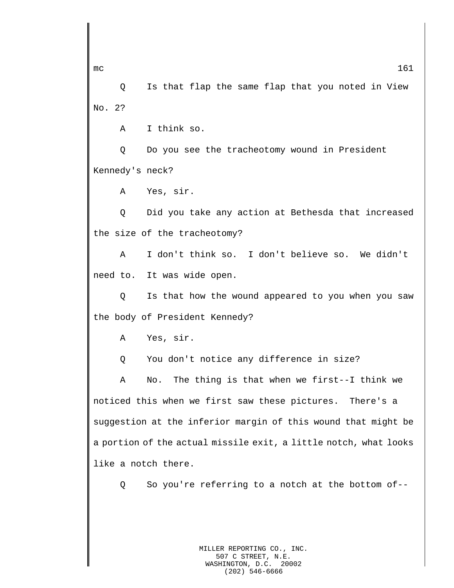Q Is that flap the same flap that you noted in View No. 2?

A I think so.

Q Do you see the tracheotomy wound in President Kennedy's neck?

A Yes, sir.

Q Did you take any action at Bethesda that increased the size of the tracheotomy?

A I don't think so. I don't believe so. We didn't need to. It was wide open.

Q Is that how the wound appeared to you when you saw the body of President Kennedy?

A Yes, sir.

Q You don't notice any difference in size?

A No. The thing is that when we first--I think we noticed this when we first saw these pictures. There's a suggestion at the inferior margin of this wound that might be a portion of the actual missile exit, a little notch, what looks like a notch there.

Q So you're referring to a notch at the bottom of--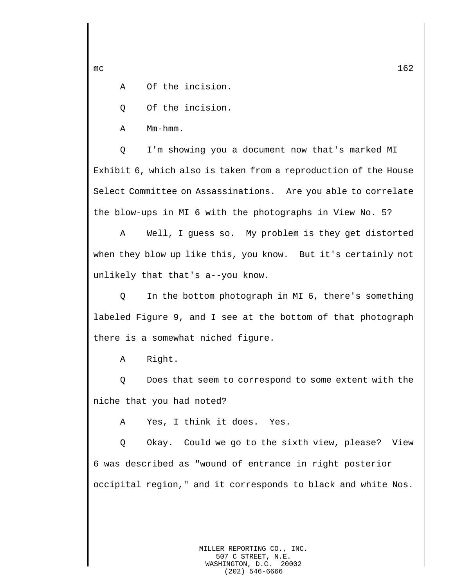A Of the incision.

Q Of the incision.

A Mm-hmm.

Q I'm showing you a document now that's marked MI Exhibit 6, which also is taken from a reproduction of the House Select Committee on Assassinations. Are you able to correlate the blow-ups in MI 6 with the photographs in View No. 5?

A Well, I guess so. My problem is they get distorted when they blow up like this, you know. But it's certainly not unlikely that that's a--you know.

Q In the bottom photograph in MI 6, there's something labeled Figure 9, and I see at the bottom of that photograph there is a somewhat niched figure.

A Right.

Q Does that seem to correspond to some extent with the niche that you had noted?

A Yes, I think it does. Yes.

Q Okay. Could we go to the sixth view, please? View 6 was described as "wound of entrance in right posterior occipital region," and it corresponds to black and white Nos.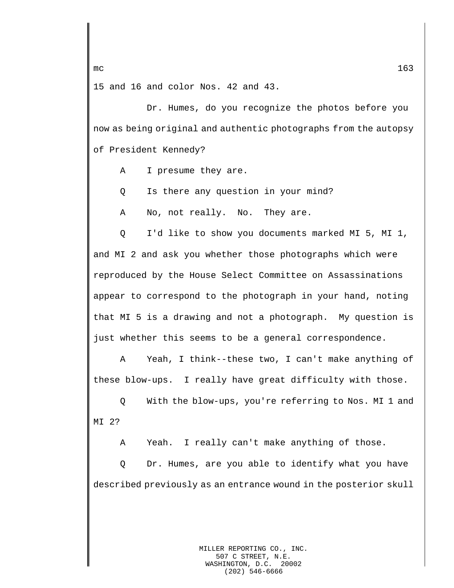15 and 16 and color Nos. 42 and 43.

Dr. Humes, do you recognize the photos before you now as being original and authentic photographs from the autopsy of President Kennedy?

A I presume they are.

Q Is there any question in your mind?

A No, not really. No. They are.

Q I'd like to show you documents marked MI 5, MI 1, and MI 2 and ask you whether those photographs which were reproduced by the House Select Committee on Assassinations appear to correspond to the photograph in your hand, noting that MI 5 is a drawing and not a photograph. My question is just whether this seems to be a general correspondence.

A Yeah, I think--these two, I can't make anything of these blow-ups. I really have great difficulty with those.

Q With the blow-ups, you're referring to Nos. MI 1 and MI 2?

A Yeah. I really can't make anything of those.

Q Dr. Humes, are you able to identify what you have described previously as an entrance wound in the posterior skull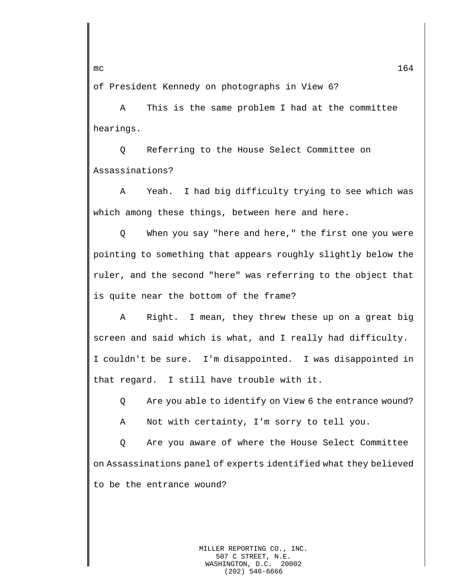of President Kennedy on photographs in View 6?

A This is the same problem I had at the committee hearings.

Q Referring to the House Select Committee on Assassinations?

A Yeah. I had big difficulty trying to see which was which among these things, between here and here.

Q When you say "here and here," the first one you were pointing to something that appears roughly slightly below the ruler, and the second "here" was referring to the object that is quite near the bottom of the frame?

A Right. I mean, they threw these up on a great big screen and said which is what, and I really had difficulty. I couldn't be sure. I'm disappointed. I was disappointed in that regard. I still have trouble with it.

Q Are you able to identify on View 6 the entrance wound?

A Not with certainty, I'm sorry to tell you.

Q Are you aware of where the House Select Committee on Assassinations panel of experts identified what they believed to be the entrance wound?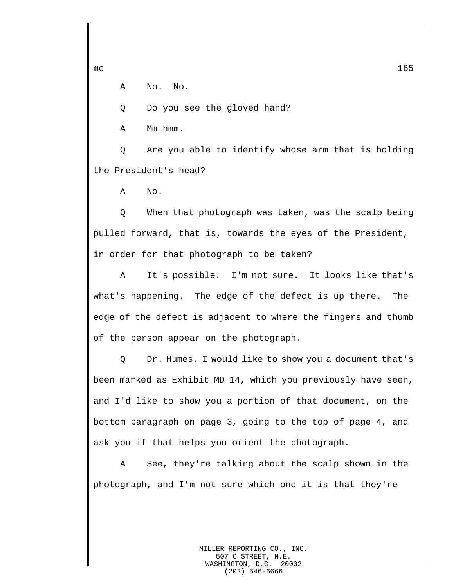A No. No.

Q Do you see the gloved hand?

A Mm-hmm.

Q Are you able to identify whose arm that is holding the President's head?

A No.

Q When that photograph was taken, was the scalp being pulled forward, that is, towards the eyes of the President, in order for that photograph to be taken?

A It's possible. I'm not sure. It looks like that's what's happening. The edge of the defect is up there. The edge of the defect is adjacent to where the fingers and thumb of the person appear on the photograph.

Q Dr. Humes, I would like to show you a document that's been marked as Exhibit MD 14, which you previously have seen, and I'd like to show you a portion of that document, on the bottom paragraph on page 3, going to the top of page 4, and ask you if that helps you orient the photograph.

A See, they're talking about the scalp shown in the photograph, and I'm not sure which one it is that they're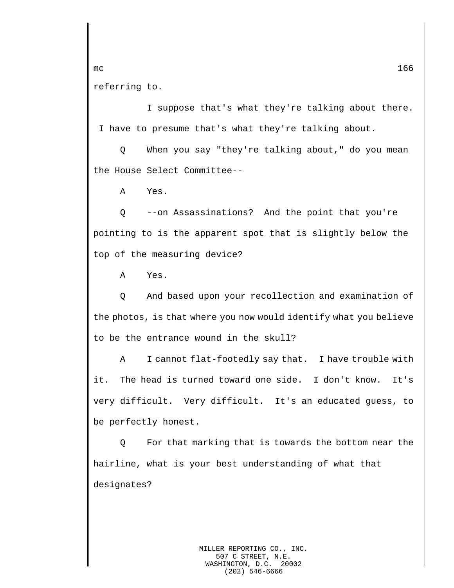referring to.

I suppose that's what they're talking about there. I have to presume that's what they're talking about.

Q When you say "they're talking about," do you mean the House Select Committee--

A Yes.

Q --on Assassinations? And the point that you're pointing to is the apparent spot that is slightly below the top of the measuring device?

A Yes.

Q And based upon your recollection and examination of the photos, is that where you now would identify what you believe to be the entrance wound in the skull?

A I cannot flat-footedly say that. I have trouble with it. The head is turned toward one side. I don't know. It's very difficult. Very difficult. It's an educated guess, to be perfectly honest.

Q For that marking that is towards the bottom near the hairline, what is your best understanding of what that designates?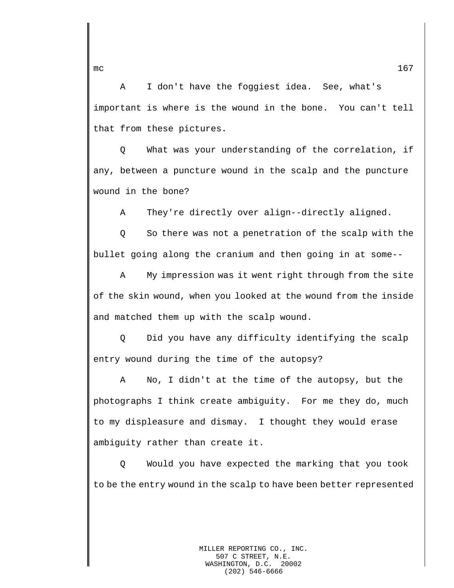A I don't have the foggiest idea. See, what's important is where is the wound in the bone. You can't tell that from these pictures.

Q What was your understanding of the correlation, if any, between a puncture wound in the scalp and the puncture wound in the bone?

A They're directly over align--directly aligned.

Q So there was not a penetration of the scalp with the bullet going along the cranium and then going in at some--

A My impression was it went right through from the site of the skin wound, when you looked at the wound from the inside and matched them up with the scalp wound.

Q Did you have any difficulty identifying the scalp entry wound during the time of the autopsy?

A No, I didn't at the time of the autopsy, but the photographs I think create ambiguity. For me they do, much to my displeasure and dismay. I thought they would erase ambiguity rather than create it.

Q Would you have expected the marking that you took to be the entry wound in the scalp to have been better represented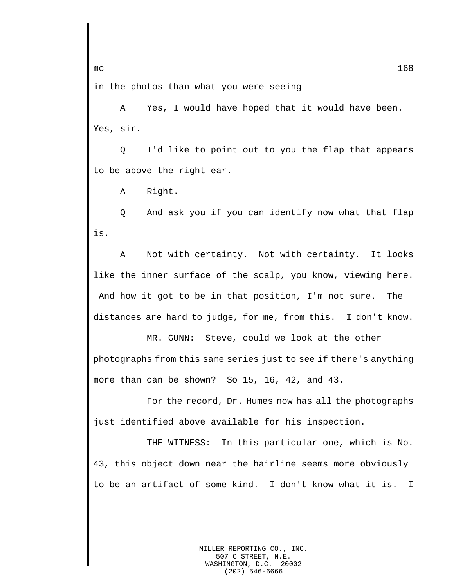in the photos than what you were seeing--

A Yes, I would have hoped that it would have been. Yes, sir.

Q I'd like to point out to you the flap that appears to be above the right ear.

A Right.

Q And ask you if you can identify now what that flap is.

A Not with certainty. Not with certainty. It looks like the inner surface of the scalp, you know, viewing here. And how it got to be in that position, I'm not sure. The distances are hard to judge, for me, from this. I don't know.

MR. GUNN: Steve, could we look at the other photographs from this same series just to see if there's anything more than can be shown? So 15, 16, 42, and 43.

For the record, Dr. Humes now has all the photographs just identified above available for his inspection.

THE WITNESS: In this particular one, which is No. 43, this object down near the hairline seems more obviously to be an artifact of some kind. I don't know what it is. I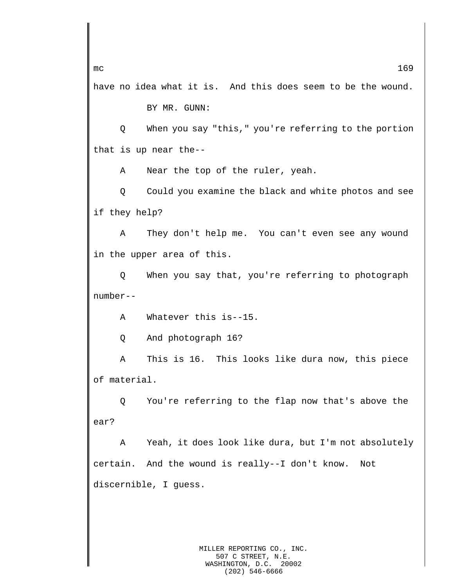have no idea what it is. And this does seem to be the wound.

BY MR. GUNN:

Q When you say "this," you're referring to the portion that is up near the--

A Near the top of the ruler, yeah.

Q Could you examine the black and white photos and see if they help?

A They don't help me. You can't even see any wound in the upper area of this.

Q When you say that, you're referring to photograph number--

A Whatever this is--15.

Q And photograph 16?

A This is 16. This looks like dura now, this piece of material.

Q You're referring to the flap now that's above the ear?

A Yeah, it does look like dura, but I'm not absolutely certain. And the wound is really--I don't know. Not discernible, I guess.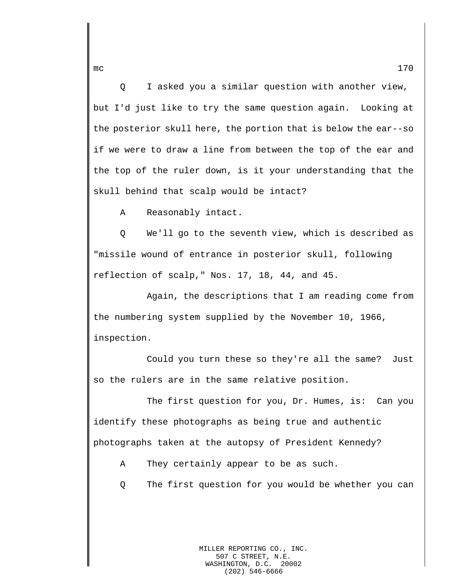Q I asked you a similar question with another view, but I'd just like to try the same question again. Looking at the posterior skull here, the portion that is below the ear--so if we were to draw a line from between the top of the ear and the top of the ruler down, is it your understanding that the skull behind that scalp would be intact?

A Reasonably intact.

Q We'll go to the seventh view, which is described as "missile wound of entrance in posterior skull, following reflection of scalp," Nos. 17, 18, 44, and 45.

Again, the descriptions that I am reading come from the numbering system supplied by the November 10, 1966, inspection.

Could you turn these so they're all the same? Just so the rulers are in the same relative position.

The first question for you, Dr. Humes, is: Can you identify these photographs as being true and authentic photographs taken at the autopsy of President Kennedy?

A They certainly appear to be as such.

Q The first question for you would be whether you can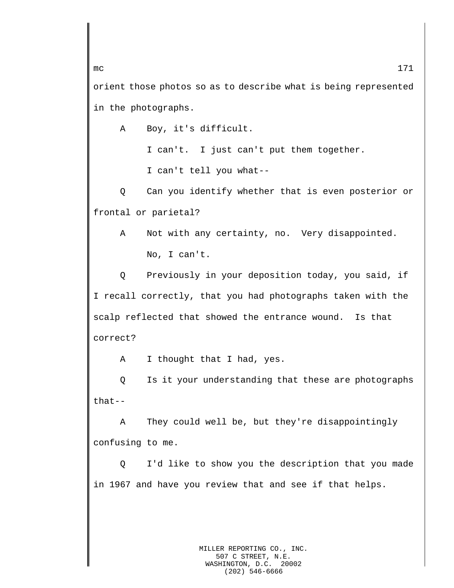orient those photos so as to describe what is being represented in the photographs.

A Boy, it's difficult.

I can't. I just can't put them together.

I can't tell you what--

Q Can you identify whether that is even posterior or frontal or parietal?

A Not with any certainty, no. Very disappointed. No, I can't.

Q Previously in your deposition today, you said, if I recall correctly, that you had photographs taken with the scalp reflected that showed the entrance wound. Is that correct?

A I thought that I had, yes.

Q Is it your understanding that these are photographs that--

A They could well be, but they're disappointingly confusing to me.

Q I'd like to show you the description that you made in 1967 and have you review that and see if that helps.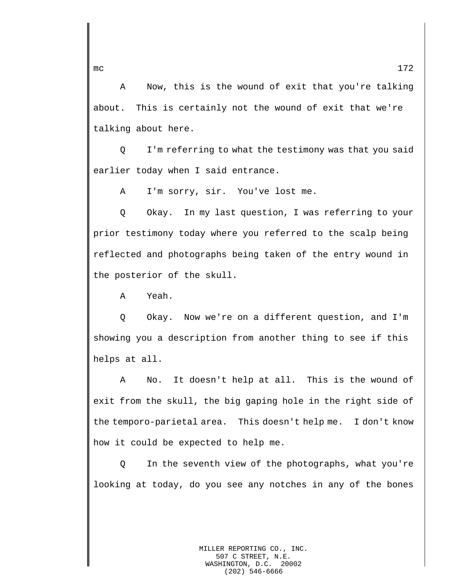A Now, this is the wound of exit that you're talking about. This is certainly not the wound of exit that we're talking about here.

Q I'm referring to what the testimony was that you said earlier today when I said entrance.

A I'm sorry, sir. You've lost me.

Q Okay. In my last question, I was referring to your prior testimony today where you referred to the scalp being reflected and photographs being taken of the entry wound in the posterior of the skull.

A Yeah.

Q Okay. Now we're on a different question, and I'm showing you a description from another thing to see if this helps at all.

A No. It doesn't help at all. This is the wound of exit from the skull, the big gaping hole in the right side of the temporo-parietal area. This doesn't help me. I don't know how it could be expected to help me.

Q In the seventh view of the photographs, what you're looking at today, do you see any notches in any of the bones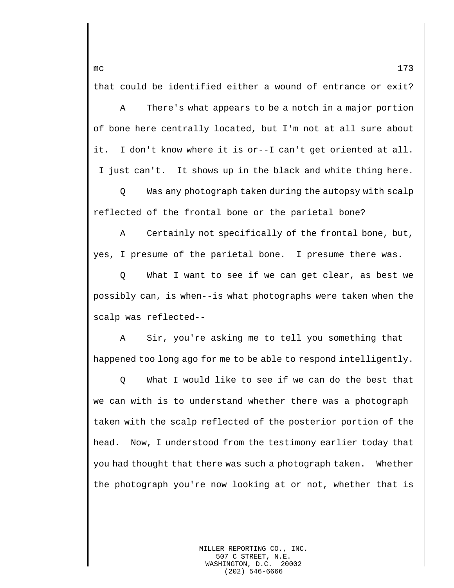that could be identified either a wound of entrance or exit?

A There's what appears to be a notch in a major portion of bone here centrally located, but I'm not at all sure about it. I don't know where it is or--I can't get oriented at all. I just can't. It shows up in the black and white thing here.

Q Was any photograph taken during the autopsy with scalp reflected of the frontal bone or the parietal bone?

A Certainly not specifically of the frontal bone, but, yes, I presume of the parietal bone. I presume there was.

Q What I want to see if we can get clear, as best we possibly can, is when--is what photographs were taken when the scalp was reflected--

A Sir, you're asking me to tell you something that happened too long ago for me to be able to respond intelligently.

Q What I would like to see if we can do the best that we can with is to understand whether there was a photograph taken with the scalp reflected of the posterior portion of the head. Now, I understood from the testimony earlier today that you had thought that there was such a photograph taken. Whether the photograph you're now looking at or not, whether that is

mc  $\sim$  173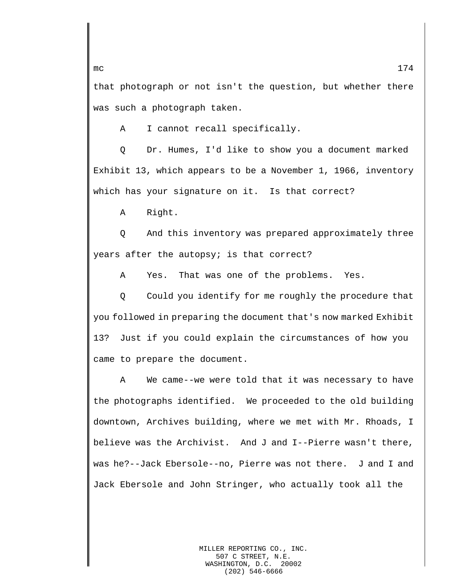that photograph or not isn't the question, but whether there was such a photograph taken.

A I cannot recall specifically.

Q Dr. Humes, I'd like to show you a document marked Exhibit 13, which appears to be a November 1, 1966, inventory which has your signature on it. Is that correct?

A Right.

Q And this inventory was prepared approximately three years after the autopsy; is that correct?

A Yes. That was one of the problems. Yes.

Q Could you identify for me roughly the procedure that you followed in preparing the document that's now marked Exhibit 13? Just if you could explain the circumstances of how you came to prepare the document.

A We came--we were told that it was necessary to have the photographs identified. We proceeded to the old building downtown, Archives building, where we met with Mr. Rhoads, I believe was the Archivist. And J and I--Pierre wasn't there, was he?--Jack Ebersole--no, Pierre was not there. J and I and Jack Ebersole and John Stringer, who actually took all the

mc  $174$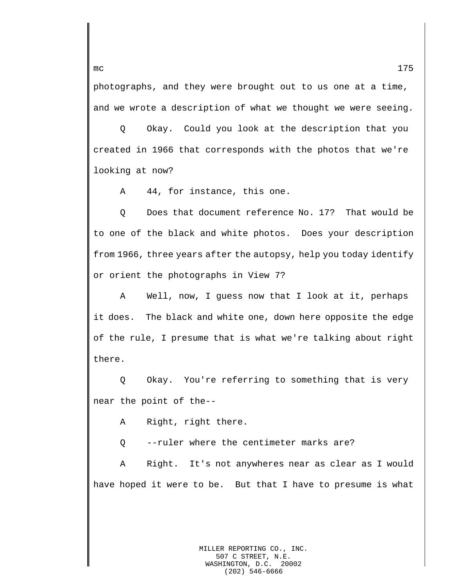photographs, and they were brought out to us one at a time, and we wrote a description of what we thought we were seeing.

Q Okay. Could you look at the description that you created in 1966 that corresponds with the photos that we're looking at now?

A 44, for instance, this one.

Q Does that document reference No. 17? That would be to one of the black and white photos. Does your description from 1966, three years after the autopsy, help you today identify or orient the photographs in View 7?

A Well, now, I guess now that I look at it, perhaps it does. The black and white one, down here opposite the edge of the rule, I presume that is what we're talking about right there.

Q Okay. You're referring to something that is very near the point of the--

A Right, right there.

Q --ruler where the centimeter marks are?

A Right. It's not anywheres near as clear as I would have hoped it were to be. But that I have to presume is what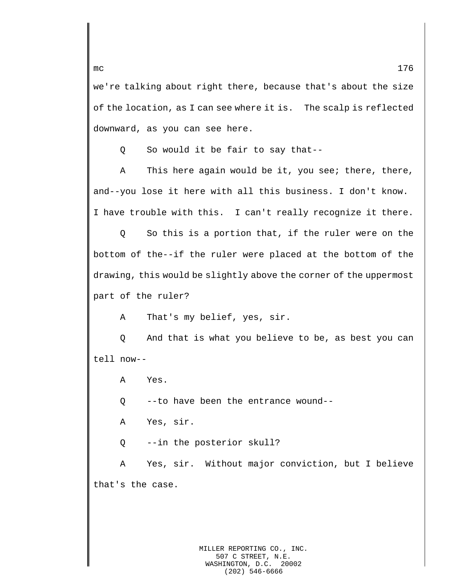we're talking about right there, because that's about the size of the location, as I can see where it is. The scalp is reflected downward, as you can see here.

Q So would it be fair to say that--

A This here again would be it, you see; there, there, and--you lose it here with all this business. I don't know. I have trouble with this. I can't really recognize it there.

Q So this is a portion that, if the ruler were on the bottom of the--if the ruler were placed at the bottom of the drawing, this would be slightly above the corner of the uppermost part of the ruler?

A That's my belief, yes, sir.

Q And that is what you believe to be, as best you can tell now--

A Yes.

Q --to have been the entrance wound--

A Yes, sir.

Q --in the posterior skull?

A Yes, sir. Without major conviction, but I believe that's the case.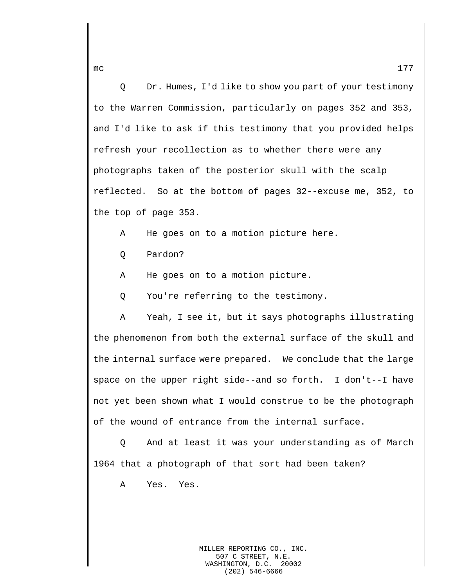Q Dr. Humes, I'd like to show you part of your testimony to the Warren Commission, particularly on pages 352 and 353, and I'd like to ask if this testimony that you provided helps refresh your recollection as to whether there were any photographs taken of the posterior skull with the scalp reflected. So at the bottom of pages 32--excuse me, 352, to the top of page 353.

A He goes on to a motion picture here.

Q Pardon?

A He goes on to a motion picture.

Q You're referring to the testimony.

A Yeah, I see it, but it says photographs illustrating the phenomenon from both the external surface of the skull and the internal surface were prepared. We conclude that the large space on the upper right side--and so forth. I don't--I have not yet been shown what I would construe to be the photograph of the wound of entrance from the internal surface.

Q And at least it was your understanding as of March 1964 that a photograph of that sort had been taken?

A Yes. Yes.

MILLER REPORTING CO., INC. 507 C STREET, N.E.<br>SHINGTON, D.C. 20002 WASHINGTON, D.C. (202) 546-6666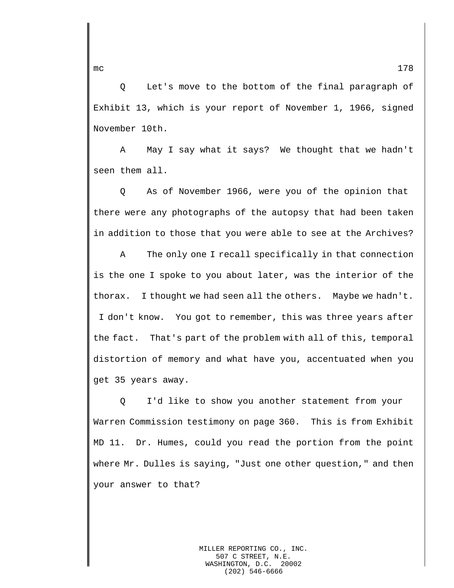Q Let's move to the bottom of the final paragraph of Exhibit 13, which is your report of November 1, 1966, signed November 10th.

A May I say what it says? We thought that we hadn't seen them all.

Q As of November 1966, were you of the opinion that there were any photographs of the autopsy that had been taken in addition to those that you were able to see at the Archives?

A The only one I recall specifically in that connection is the one I spoke to you about later, was the interior of the thorax. I thought we had seen all the others. Maybe we hadn't. I don't know. You got to remember, this was three years after the fact. That's part of the problem with all of this, temporal distortion of memory and what have you, accentuated when you get 35 years away.

Q I'd like to show you another statement from your Warren Commission testimony on page 360. This is from Exhibit MD 11. Dr. Humes, could you read the portion from the point where Mr. Dulles is saying, "Just one other question," and then your answer to that?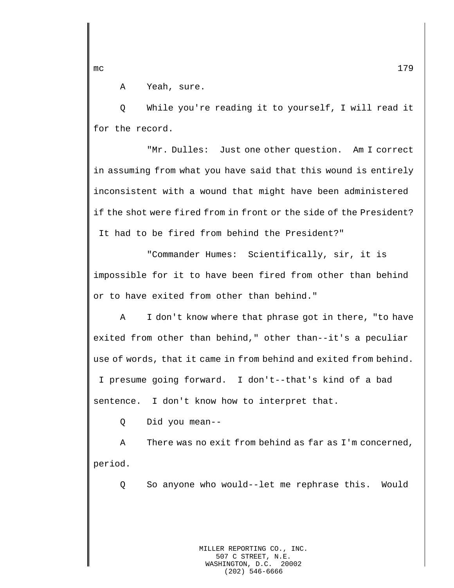A Yeah, sure.

Q While you're reading it to yourself, I will read it for the record.

"Mr. Dulles: Just one other question. Am I correct in assuming from what you have said that this wound is entirely inconsistent with a wound that might have been administered if the shot were fired from in front or the side of the President? It had to be fired from behind the President?"

"Commander Humes: Scientifically, sir, it is impossible for it to have been fired from other than behind or to have exited from other than behind."

A I don't know where that phrase got in there, "to have exited from other than behind," other than--it's a peculiar use of words, that it came in from behind and exited from behind. I presume going forward. I don't--that's kind of a bad sentence. I don't know how to interpret that.

Q Did you mean--

A There was no exit from behind as far as I'm concerned, period.

Q So anyone who would--let me rephrase this. Would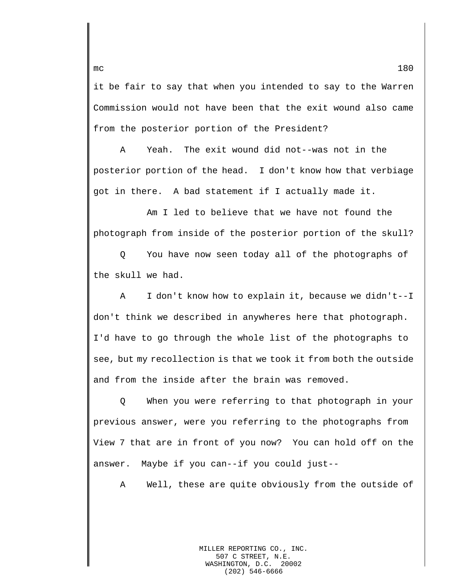it be fair to say that when you intended to say to the Warren Commission would not have been that the exit wound also came from the posterior portion of the President?

A Yeah. The exit wound did not--was not in the posterior portion of the head. I don't know how that verbiage got in there. A bad statement if I actually made it.

Am I led to believe that we have not found the photograph from inside of the posterior portion of the skull?

Q You have now seen today all of the photographs of the skull we had.

A I don't know how to explain it, because we didn't--I don't think we described in anywheres here that photograph. I'd have to go through the whole list of the photographs to see, but my recollection is that we took it from both the outside and from the inside after the brain was removed.

Q When you were referring to that photograph in your previous answer, were you referring to the photographs from View 7 that are in front of you now? You can hold off on the answer. Maybe if you can--if you could just--

A Well, these are quite obviously from the outside of

MILLER REPORTING CO., INC. 507 C STREET, N.E.<br>SHINGTON, D.C. 20002 WASHINGTON, D.C. (202) 546-6666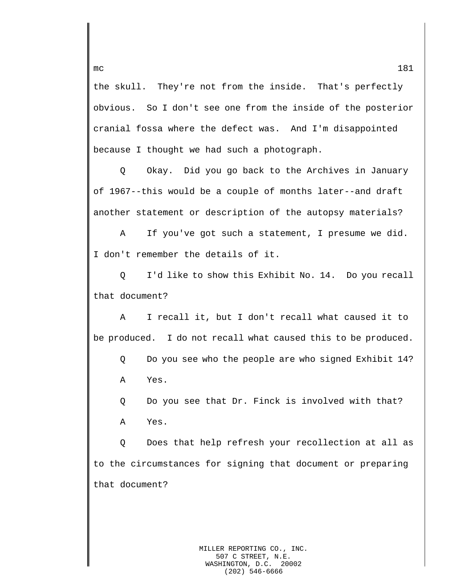the skull. They're not from the inside. That's perfectly obvious. So I don't see one from the inside of the posterior cranial fossa where the defect was. And I'm disappointed because I thought we had such a photograph.

Q Okay. Did you go back to the Archives in January of 1967--this would be a couple of months later--and draft another statement or description of the autopsy materials?

A If you've got such a statement, I presume we did. I don't remember the details of it.

Q I'd like to show this Exhibit No. 14. Do you recall that document?

A I recall it, but I don't recall what caused it to be produced. I do not recall what caused this to be produced.

Q Do you see who the people are who signed Exhibit 14? A Yes.

Q Do you see that Dr. Finck is involved with that?

A Yes.

Q Does that help refresh your recollection at all as to the circumstances for signing that document or preparing that document?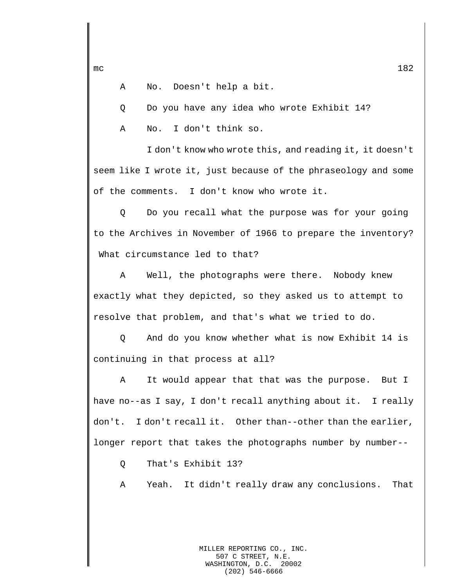A No. Doesn't help a bit.

Q Do you have any idea who wrote Exhibit 14?

A No. I don't think so.

I don't know who wrote this, and reading it, it doesn't seem like I wrote it, just because of the phraseology and some of the comments. I don't know who wrote it.

Q Do you recall what the purpose was for your going to the Archives in November of 1966 to prepare the inventory? What circumstance led to that?

A Well, the photographs were there. Nobody knew exactly what they depicted, so they asked us to attempt to resolve that problem, and that's what we tried to do.

Q And do you know whether what is now Exhibit 14 is continuing in that process at all?

A It would appear that that was the purpose. But I have no--as I say, I don't recall anything about it. I really don't. I don't recall it. Other than--other than the earlier, longer report that takes the photographs number by number--

Q That's Exhibit 13?

A Yeah. It didn't really draw any conclusions. That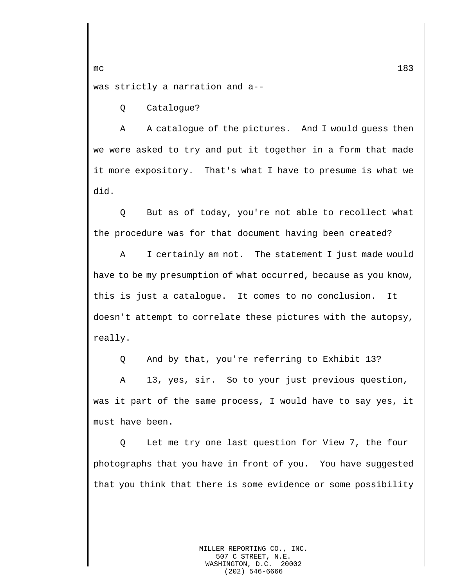was strictly a narration and a--

Q Catalogue?

A A catalogue of the pictures. And I would guess then we were asked to try and put it together in a form that made it more expository. That's what I have to presume is what we did.

Q But as of today, you're not able to recollect what the procedure was for that document having been created?

A I certainly am not. The statement I just made would have to be my presumption of what occurred, because as you know, this is just a catalogue. It comes to no conclusion. It doesn't attempt to correlate these pictures with the autopsy, really.

Q And by that, you're referring to Exhibit 13?

A 13, yes, sir. So to your just previous question, was it part of the same process, I would have to say yes, it must have been.

Q Let me try one last question for View 7, the four photographs that you have in front of you. You have suggested that you think that there is some evidence or some possibility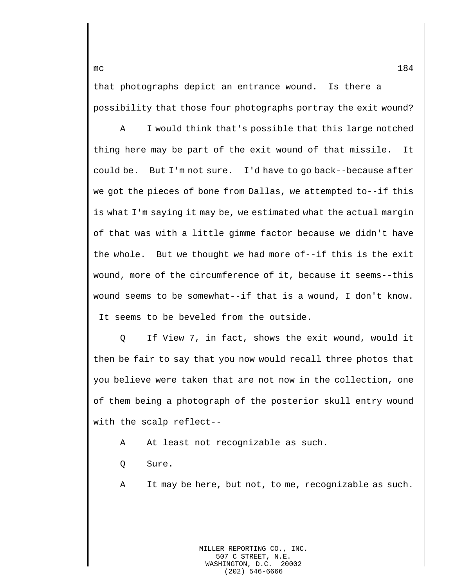that photographs depict an entrance wound. Is there a possibility that those four photographs portray the exit wound?

A I would think that's possible that this large notched thing here may be part of the exit wound of that missile. It could be. But I'm not sure. I'd have to go back--because after we got the pieces of bone from Dallas, we attempted to--if this is what I'm saying it may be, we estimated what the actual margin of that was with a little gimme factor because we didn't have the whole. But we thought we had more of--if this is the exit wound, more of the circumference of it, because it seems--this wound seems to be somewhat--if that is a wound, I don't know. It seems to be beveled from the outside.

Q If View 7, in fact, shows the exit wound, would it then be fair to say that you now would recall three photos that you believe were taken that are not now in the collection, one of them being a photograph of the posterior skull entry wound with the scalp reflect--

- A At least not recognizable as such.
- Q Sure.
- A It may be here, but not, to me, recognizable as such.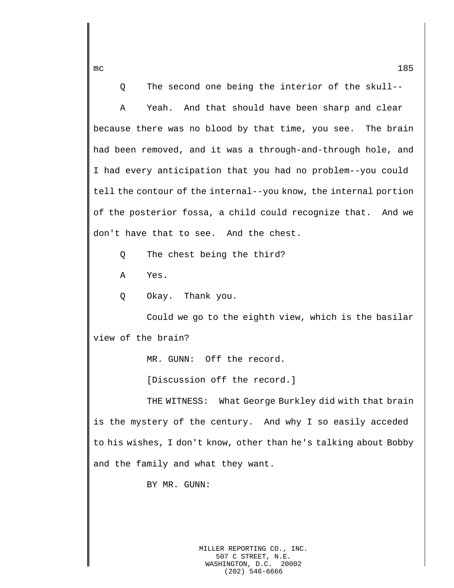Q The second one being the interior of the skull--

A Yeah. And that should have been sharp and clear because there was no blood by that time, you see. The brain had been removed, and it was a through-and-through hole, and I had every anticipation that you had no problem--you could tell the contour of the internal--you know, the internal portion of the posterior fossa, a child could recognize that. And we don't have that to see. And the chest.

Q The chest being the third?

A Yes.

Q Okay. Thank you.

Could we go to the eighth view, which is the basilar view of the brain?

MR. GUNN: Off the record.

[Discussion off the record.]

THE WITNESS: What George Burkley did with that brain is the mystery of the century. And why I so easily acceded to his wishes, I don't know, other than he's talking about Bobby and the family and what they want.

BY MR. GUNN: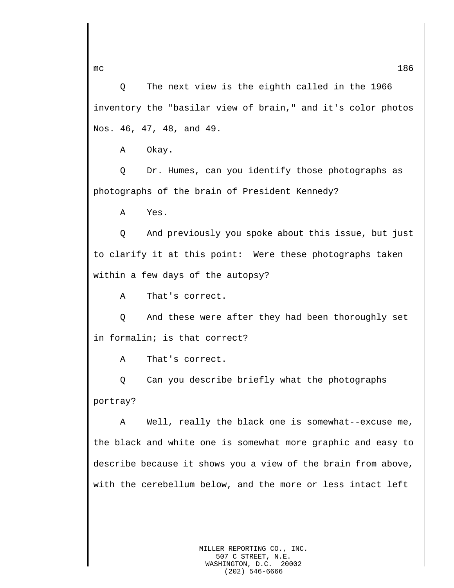Q The next view is the eighth called in the 1966 inventory the "basilar view of brain," and it's color photos Nos. 46, 47, 48, and 49.

A Okay.

Q Dr. Humes, can you identify those photographs as photographs of the brain of President Kennedy?

A Yes.

Q And previously you spoke about this issue, but just to clarify it at this point: Were these photographs taken within a few days of the autopsy?

A That's correct.

Q And these were after they had been thoroughly set in formalin; is that correct?

A That's correct.

Q Can you describe briefly what the photographs portray?

A Well, really the black one is somewhat--excuse me, the black and white one is somewhat more graphic and easy to describe because it shows you a view of the brain from above, with the cerebellum below, and the more or less intact left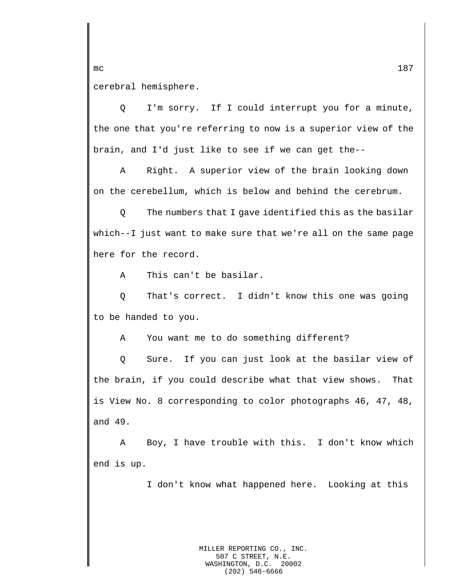cerebral hemisphere.

Q I'm sorry. If I could interrupt you for a minute, the one that you're referring to now is a superior view of the brain, and I'd just like to see if we can get the--

A Right. A superior view of the brain looking down on the cerebellum, which is below and behind the cerebrum.

Q The numbers that I gave identified this as the basilar which--I just want to make sure that we're all on the same page here for the record.

A This can't be basilar.

Q That's correct. I didn't know this one was going to be handed to you.

A You want me to do something different?

Q Sure. If you can just look at the basilar view of the brain, if you could describe what that view shows. That is View No. 8 corresponding to color photographs 46, 47, 48, and 49.

A Boy, I have trouble with this. I don't know which end is up.

I don't know what happened here. Looking at this

MILLER REPORTING CO., INC. 507 C STREET, N.E. WASHINGTON, D.C. 20002 (202) 546-6666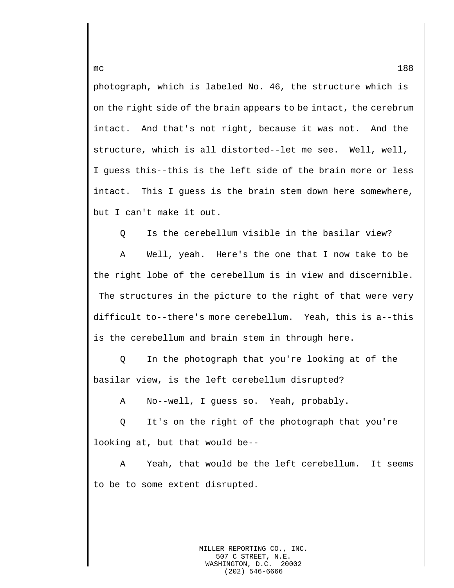photograph, which is labeled No. 46, the structure which is on the right side of the brain appears to be intact, the cerebrum intact. And that's not right, because it was not. And the structure, which is all distorted--let me see. Well, well, I guess this--this is the left side of the brain more or less intact. This I guess is the brain stem down here somewhere, but I can't make it out.

Q Is the cerebellum visible in the basilar view?

A Well, yeah. Here's the one that I now take to be the right lobe of the cerebellum is in view and discernible. The structures in the picture to the right of that were very difficult to--there's more cerebellum. Yeah, this is a--this is the cerebellum and brain stem in through here.

Q In the photograph that you're looking at of the basilar view, is the left cerebellum disrupted?

A No--well, I guess so. Yeah, probably.

Q It's on the right of the photograph that you're looking at, but that would be--

A Yeah, that would be the left cerebellum. It seems to be to some extent disrupted.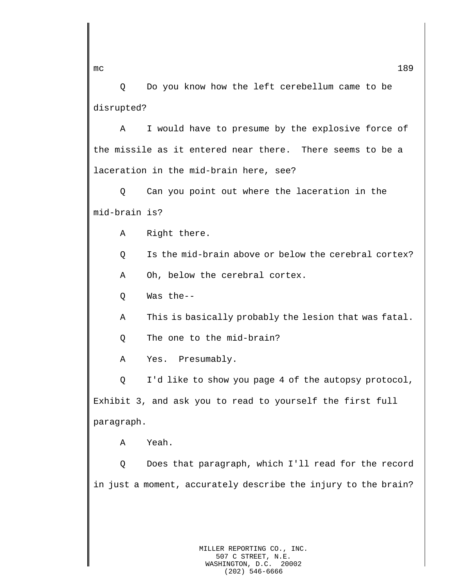Q Do you know how the left cerebellum came to be disrupted?

A I would have to presume by the explosive force of the missile as it entered near there. There seems to be a laceration in the mid-brain here, see?

Q Can you point out where the laceration in the mid-brain is?

A Right there.

Q Is the mid-brain above or below the cerebral cortex?

A Oh, below the cerebral cortex.

Q Was the--

A This is basically probably the lesion that was fatal.

Q The one to the mid-brain?

A Yes. Presumably.

Q I'd like to show you page 4 of the autopsy protocol, Exhibit 3, and ask you to read to yourself the first full paragraph.

A Yeah.

Q Does that paragraph, which I'll read for the record in just a moment, accurately describe the injury to the brain?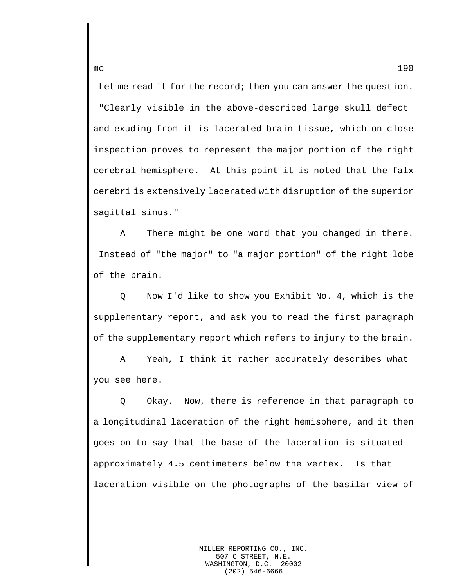Let me read it for the record; then you can answer the question. "Clearly visible in the above-described large skull defect and exuding from it is lacerated brain tissue, which on close inspection proves to represent the major portion of the right cerebral hemisphere. At this point it is noted that the falx cerebri is extensively lacerated with disruption of the superior sagittal sinus."

A There might be one word that you changed in there. Instead of "the major" to "a major portion" of the right lobe of the brain.

Q Now I'd like to show you Exhibit No. 4, which is the supplementary report, and ask you to read the first paragraph of the supplementary report which refers to injury to the brain.

A Yeah, I think it rather accurately describes what you see here.

Q Okay. Now, there is reference in that paragraph to a longitudinal laceration of the right hemisphere, and it then goes on to say that the base of the laceration is situated approximately 4.5 centimeters below the vertex. Is that laceration visible on the photographs of the basilar view of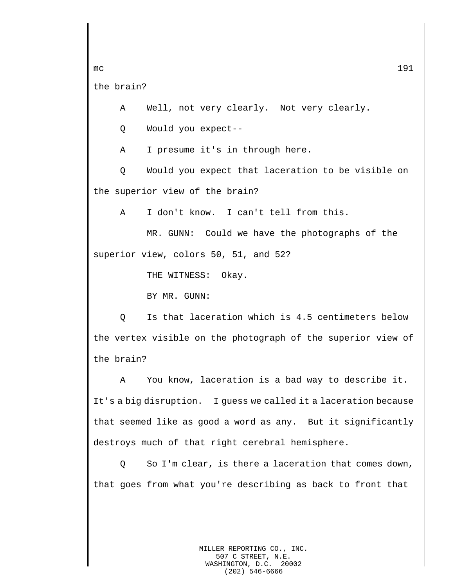the brain?

A Well, not very clearly. Not very clearly.

Q Would you expect--

A I presume it's in through here.

Q Would you expect that laceration to be visible on the superior view of the brain?

A I don't know. I can't tell from this.

MR. GUNN: Could we have the photographs of the superior view, colors 50, 51, and 52?

THE WITNESS: Okay.

BY MR. GUNN:

Q Is that laceration which is 4.5 centimeters below the vertex visible on the photograph of the superior view of the brain?

A You know, laceration is a bad way to describe it. It's a big disruption. I guess we called it a laceration because that seemed like as good a word as any. But it significantly destroys much of that right cerebral hemisphere.

Q So I'm clear, is there a laceration that comes down, that goes from what you're describing as back to front that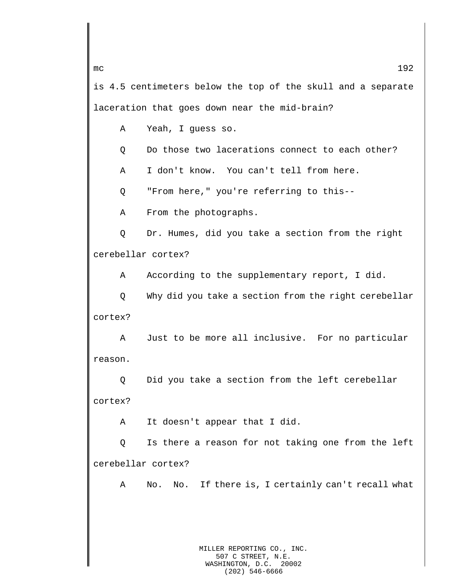is 4.5 centimeters below the top of the skull and a separate laceration that goes down near the mid-brain?

A Yeah, I guess so.

Q Do those two lacerations connect to each other?

A I don't know. You can't tell from here.

Q "From here," you're referring to this--

A From the photographs.

Q Dr. Humes, did you take a section from the right cerebellar cortex?

A According to the supplementary report, I did.

Q Why did you take a section from the right cerebellar cortex?

A Just to be more all inclusive. For no particular reason.

Q Did you take a section from the left cerebellar cortex?

A It doesn't appear that I did.

Q Is there a reason for not taking one from the left cerebellar cortex?

A No. No. If there is, I certainly can't recall what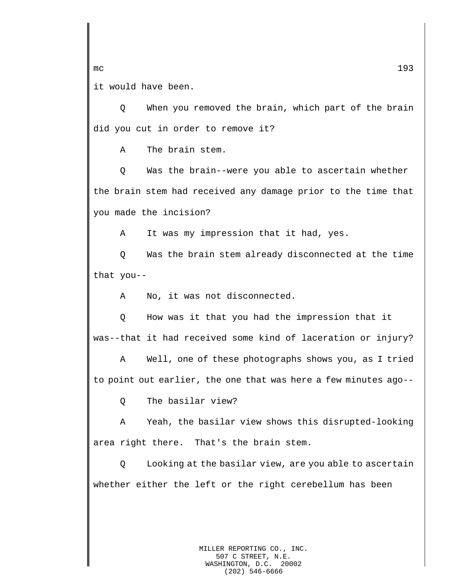it would have been.

Q When you removed the brain, which part of the brain did you cut in order to remove it?

A The brain stem.

Q Was the brain--were you able to ascertain whether the brain stem had received any damage prior to the time that you made the incision?

A It was my impression that it had, yes.

Q Was the brain stem already disconnected at the time that you--

A No, it was not disconnected.

Q How was it that you had the impression that it was--that it had received some kind of laceration or injury?

A Well, one of these photographs shows you, as I tried to point out earlier, the one that was here a few minutes ago--

Q The basilar view?

A Yeah, the basilar view shows this disrupted-looking area right there. That's the brain stem.

Q Looking at the basilar view, are you able to ascertain whether either the left or the right cerebellum has been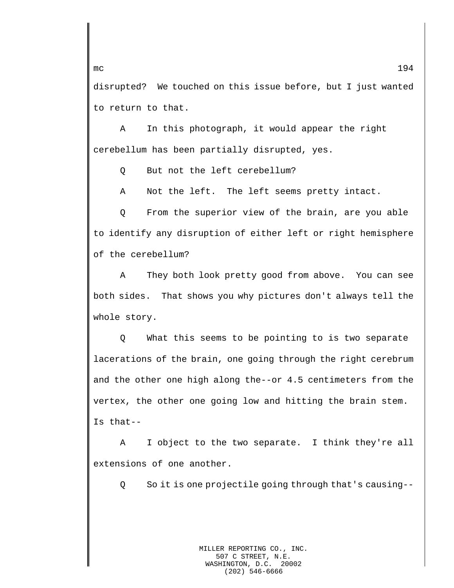disrupted? We touched on this issue before, but I just wanted to return to that.

A In this photograph, it would appear the right cerebellum has been partially disrupted, yes.

Q But not the left cerebellum?

A Not the left. The left seems pretty intact.

Q From the superior view of the brain, are you able to identify any disruption of either left or right hemisphere of the cerebellum?

A They both look pretty good from above. You can see both sides. That shows you why pictures don't always tell the whole story.

Q What this seems to be pointing to is two separate lacerations of the brain, one going through the right cerebrum and the other one high along the--or 4.5 centimeters from the vertex, the other one going low and hitting the brain stem. Is that--

A I object to the two separate. I think they're all extensions of one another.

Q So it is one projectile going through that's causing--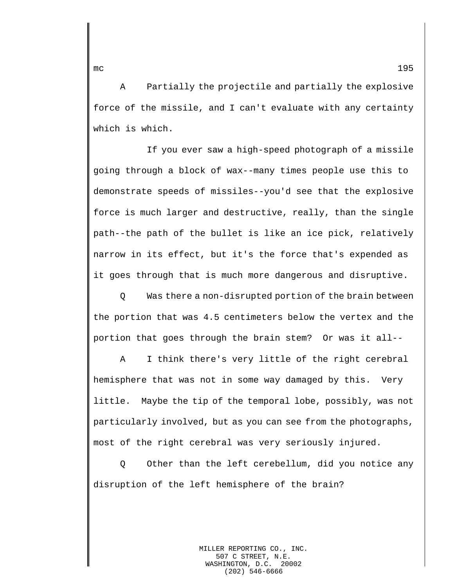A Partially the projectile and partially the explosive force of the missile, and I can't evaluate with any certainty which is which.

If you ever saw a high-speed photograph of a missile going through a block of wax--many times people use this to demonstrate speeds of missiles--you'd see that the explosive force is much larger and destructive, really, than the single path--the path of the bullet is like an ice pick, relatively narrow in its effect, but it's the force that's expended as it goes through that is much more dangerous and disruptive.

Q Was there a non-disrupted portion of the brain between the portion that was 4.5 centimeters below the vertex and the portion that goes through the brain stem? Or was it all--

A I think there's very little of the right cerebral hemisphere that was not in some way damaged by this. Very little. Maybe the tip of the temporal lobe, possibly, was not particularly involved, but as you can see from the photographs, most of the right cerebral was very seriously injured.

Q Other than the left cerebellum, did you notice any disruption of the left hemisphere of the brain?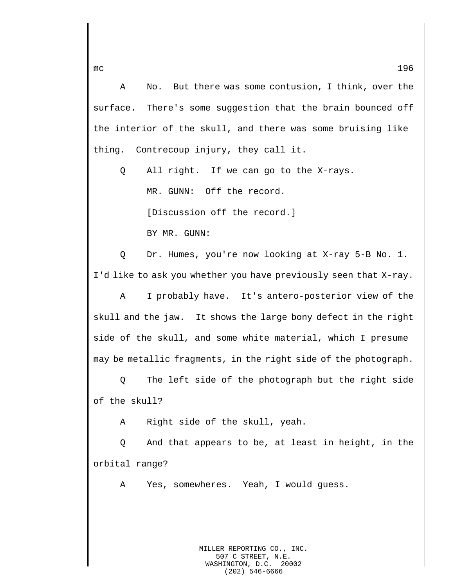A No. But there was some contusion, I think, over the surface. There's some suggestion that the brain bounced off the interior of the skull, and there was some bruising like thing. Contrecoup injury, they call it.

Q All right. If we can go to the X-rays.

MR. GUNN: Off the record.

[Discussion off the record.]

BY MR. GUNN:

Q Dr. Humes, you're now looking at X-ray 5-B No. 1. I'd like to ask you whether you have previously seen that X-ray.

A I probably have. It's antero-posterior view of the skull and the jaw. It shows the large bony defect in the right side of the skull, and some white material, which I presume may be metallic fragments, in the right side of the photograph.

Q The left side of the photograph but the right side of the skull?

A Right side of the skull, yeah.

Q And that appears to be, at least in height, in the orbital range?

A Yes, somewheres. Yeah, I would guess.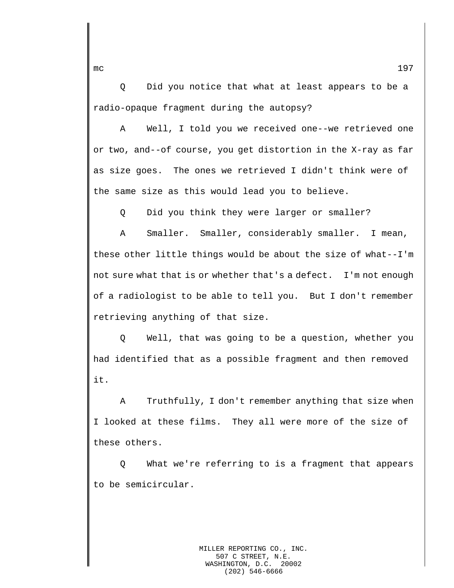Q Did you notice that what at least appears to be a radio-opaque fragment during the autopsy?

A Well, I told you we received one--we retrieved one or two, and--of course, you get distortion in the X-ray as far as size goes. The ones we retrieved I didn't think were of the same size as this would lead you to believe.

Q Did you think they were larger or smaller?

A Smaller. Smaller, considerably smaller. I mean, these other little things would be about the size of what--I'm not sure what that is or whether that's a defect. I'm not enough of a radiologist to be able to tell you. But I don't remember retrieving anything of that size.

Q Well, that was going to be a question, whether you had identified that as a possible fragment and then removed it.

A Truthfully, I don't remember anything that size when I looked at these films. They all were more of the size of these others.

Q What we're referring to is a fragment that appears to be semicircular.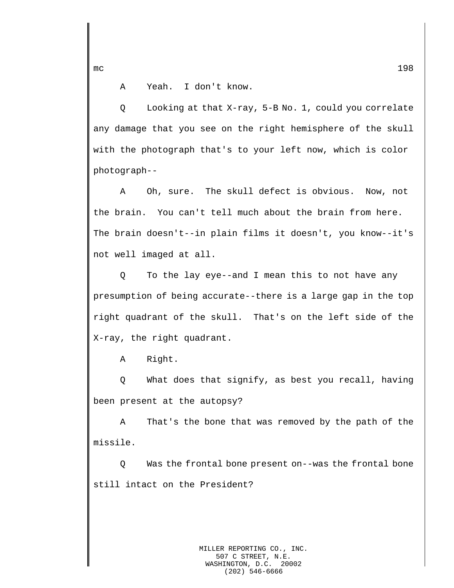A Yeah. I don't know.

Q Looking at that X-ray, 5-B No. 1, could you correlate any damage that you see on the right hemisphere of the skull with the photograph that's to your left now, which is color photograph--

A Oh, sure. The skull defect is obvious. Now, not the brain. You can't tell much about the brain from here. The brain doesn't--in plain films it doesn't, you know--it's not well imaged at all.

Q To the lay eye--and I mean this to not have any presumption of being accurate--there is a large gap in the top right quadrant of the skull. That's on the left side of the X-ray, the right quadrant.

A Right.

Q What does that signify, as best you recall, having been present at the autopsy?

A That's the bone that was removed by the path of the missile.

Q Was the frontal bone present on--was the frontal bone still intact on the President?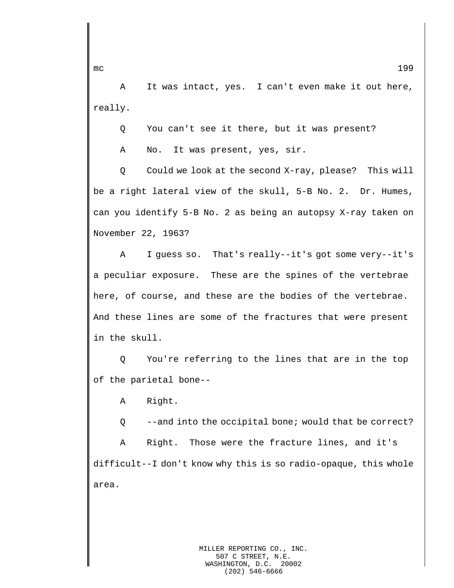A It was intact, yes. I can't even make it out here, really.

Q You can't see it there, but it was present?

A No. It was present, yes, sir.

Q Could we look at the second X-ray, please? This will be a right lateral view of the skull, 5-B No. 2. Dr. Humes, can you identify 5-B No. 2 as being an autopsy X-ray taken on November 22, 1963?

A I guess so. That's really--it's got some very--it's a peculiar exposure. These are the spines of the vertebrae here, of course, and these are the bodies of the vertebrae. And these lines are some of the fractures that were present in the skull.

Q You're referring to the lines that are in the top of the parietal bone--

A Right.

Q --and into the occipital bone; would that be correct?

A Right. Those were the fracture lines, and it's difficult--I don't know why this is so radio-opaque, this whole area.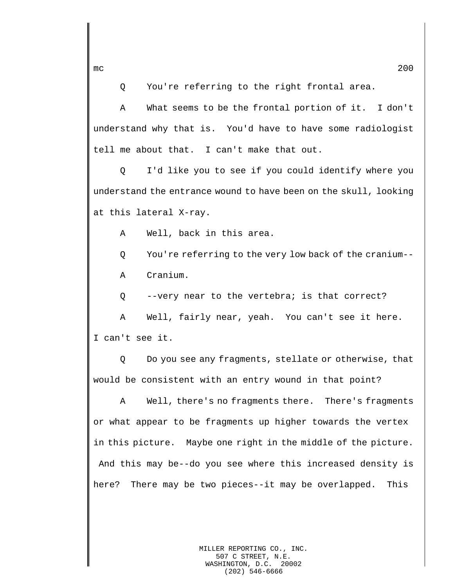Q You're referring to the right frontal area.

A What seems to be the frontal portion of it. I don't understand why that is. You'd have to have some radiologist tell me about that. I can't make that out.

Q I'd like you to see if you could identify where you understand the entrance wound to have been on the skull, looking at this lateral X-ray.

A Well, back in this area.

Q You're referring to the very low back of the cranium-- A Cranium.

Q --very near to the vertebra; is that correct?

A Well, fairly near, yeah. You can't see it here. I can't see it.

Q Do you see any fragments, stellate or otherwise, that would be consistent with an entry wound in that point?

A Well, there's no fragments there. There's fragments or what appear to be fragments up higher towards the vertex in this picture. Maybe one right in the middle of the picture. And this may be--do you see where this increased density is here? There may be two pieces--it may be overlapped. This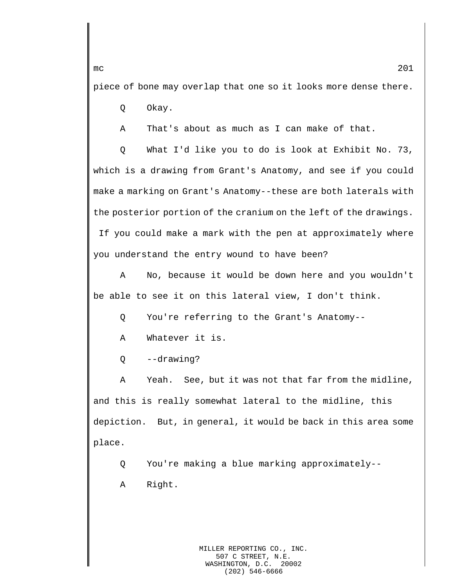piece of bone may overlap that one so it looks more dense there.

Q Okay.

A That's about as much as I can make of that.

Q What I'd like you to do is look at Exhibit No. 73, which is a drawing from Grant's Anatomy, and see if you could make a marking on Grant's Anatomy--these are both laterals with the posterior portion of the cranium on the left of the drawings. If you could make a mark with the pen at approximately where you understand the entry wound to have been?

A No, because it would be down here and you wouldn't be able to see it on this lateral view, I don't think.

Q You're referring to the Grant's Anatomy--

- A Whatever it is.
- Q --drawing?

A Yeah. See, but it was not that far from the midline, and this is really somewhat lateral to the midline, this depiction. But, in general, it would be back in this area some place.

Q You're making a blue marking approximately--

A Right.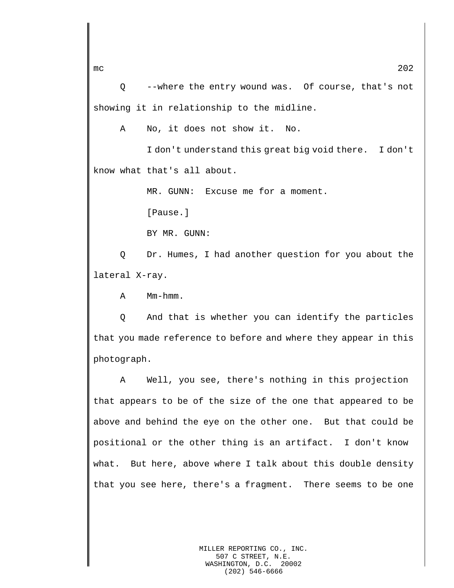Q --where the entry wound was. Of course, that's not showing it in relationship to the midline.

A No, it does not show it. No.

I don't understand this great big void there. I don't know what that's all about.

MR. GUNN: Excuse me for a moment.

[Pause.]

BY MR. GUNN:

Q Dr. Humes, I had another question for you about the lateral X-ray.

A Mm-hmm.

Q And that is whether you can identify the particles that you made reference to before and where they appear in this photograph.

A Well, you see, there's nothing in this projection that appears to be of the size of the one that appeared to be above and behind the eye on the other one. But that could be positional or the other thing is an artifact. I don't know what. But here, above where I talk about this double density that you see here, there's a fragment. There seems to be one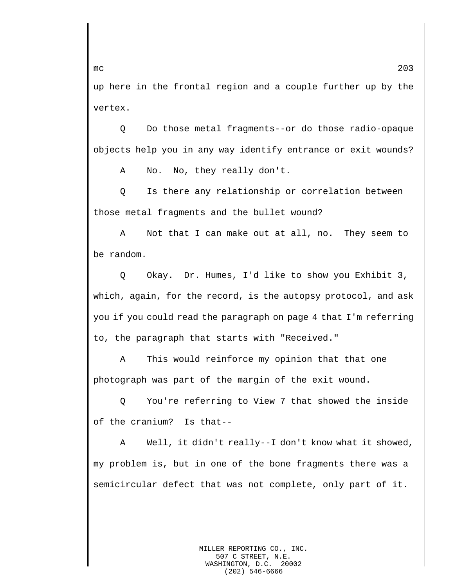up here in the frontal region and a couple further up by the vertex.

Q Do those metal fragments--or do those radio-opaque objects help you in any way identify entrance or exit wounds?

A No. No, they really don't.

Q Is there any relationship or correlation between those metal fragments and the bullet wound?

A Not that I can make out at all, no. They seem to be random.

Q Okay. Dr. Humes, I'd like to show you Exhibit 3, which, again, for the record, is the autopsy protocol, and ask you if you could read the paragraph on page 4 that I'm referring to, the paragraph that starts with "Received."

A This would reinforce my opinion that that one photograph was part of the margin of the exit wound.

Q You're referring to View 7 that showed the inside of the cranium? Is that--

A Well, it didn't really--I don't know what it showed, my problem is, but in one of the bone fragments there was a semicircular defect that was not complete, only part of it.

mc  $203$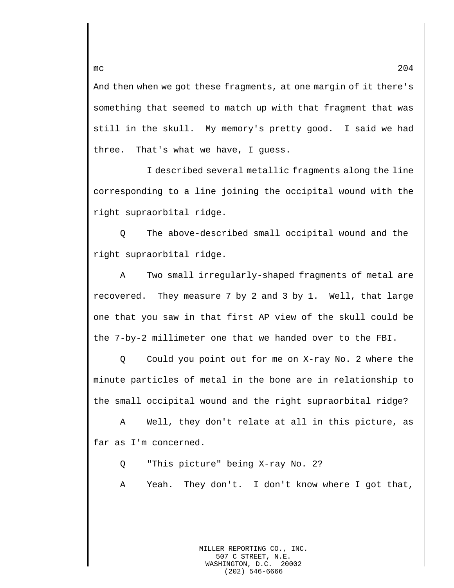And then when we got these fragments, at one margin of it there's something that seemed to match up with that fragment that was still in the skull. My memory's pretty good. I said we had three. That's what we have, I guess.

I described several metallic fragments along the line corresponding to a line joining the occipital wound with the right supraorbital ridge.

Q The above-described small occipital wound and the right supraorbital ridge.

A Two small irregularly-shaped fragments of metal are recovered. They measure 7 by 2 and 3 by 1. Well, that large one that you saw in that first AP view of the skull could be the 7-by-2 millimeter one that we handed over to the FBI.

Q Could you point out for me on X-ray No. 2 where the minute particles of metal in the bone are in relationship to the small occipital wound and the right supraorbital ridge?

A Well, they don't relate at all in this picture, as far as I'm concerned.

Q "This picture" being X-ray No. 2?

A Yeah. They don't. I don't know where I got that,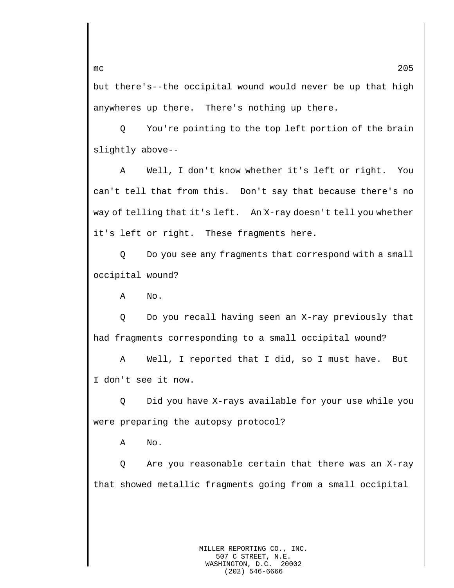but there's--the occipital wound would never be up that high anywheres up there. There's nothing up there.

Q You're pointing to the top left portion of the brain slightly above--

A Well, I don't know whether it's left or right. You can't tell that from this. Don't say that because there's no way of telling that it's left. An X-ray doesn't tell you whether it's left or right. These fragments here.

Q Do you see any fragments that correspond with a small occipital wound?

A No.

Q Do you recall having seen an X-ray previously that had fragments corresponding to a small occipital wound?

A Well, I reported that I did, so I must have. But I don't see it now.

Q Did you have X-rays available for your use while you were preparing the autopsy protocol?

A No.

Q Are you reasonable certain that there was an X-ray that showed metallic fragments going from a small occipital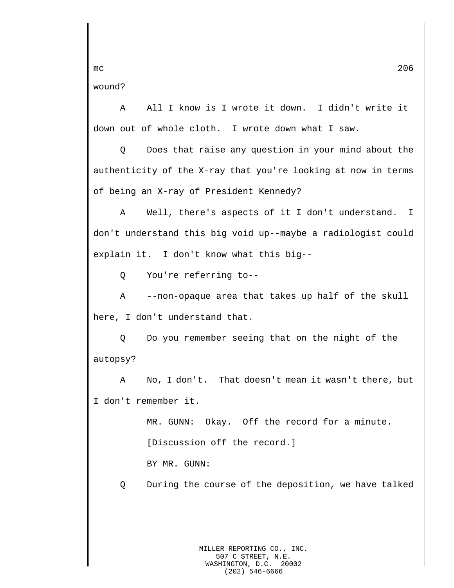wound?

A All I know is I wrote it down. I didn't write it down out of whole cloth. I wrote down what I saw.

Q Does that raise any question in your mind about the authenticity of the X-ray that you're looking at now in terms of being an X-ray of President Kennedy?

A Well, there's aspects of it I don't understand. I don't understand this big void up--maybe a radiologist could explain it. I don't know what this big--

Q You're referring to--

A --non-opaque area that takes up half of the skull here, I don't understand that.

Q Do you remember seeing that on the night of the autopsy?

A No, I don't. That doesn't mean it wasn't there, but I don't remember it.

> MR. GUNN: Okay. Off the record for a minute. [Discussion off the record.]

BY MR. GUNN:

Q During the course of the deposition, we have talked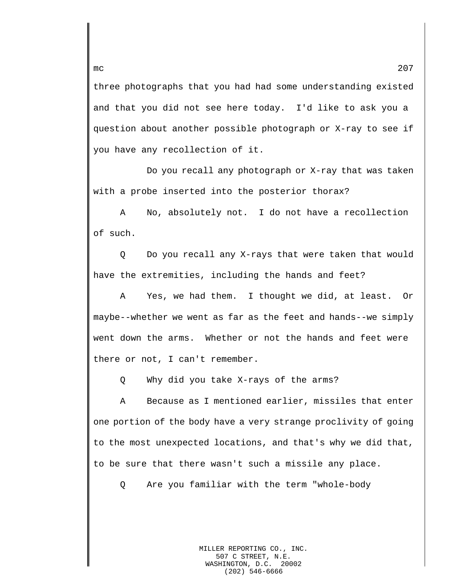three photographs that you had had some understanding existed and that you did not see here today. I'd like to ask you a question about another possible photograph or X-ray to see if you have any recollection of it.

Do you recall any photograph or X-ray that was taken with a probe inserted into the posterior thorax?

A No, absolutely not. I do not have a recollection of such.

Q Do you recall any X-rays that were taken that would have the extremities, including the hands and feet?

A Yes, we had them. I thought we did, at least. Or maybe--whether we went as far as the feet and hands--we simply went down the arms. Whether or not the hands and feet were there or not, I can't remember.

Q Why did you take X-rays of the arms?

A Because as I mentioned earlier, missiles that enter one portion of the body have a very strange proclivity of going to the most unexpected locations, and that's why we did that, to be sure that there wasn't such a missile any place.

Q Are you familiar with the term "whole-body

MILLER REPORTING CO., INC. 507 C STREET, N.E. WASHINGTON, D.C. 20002 (202) 546-6666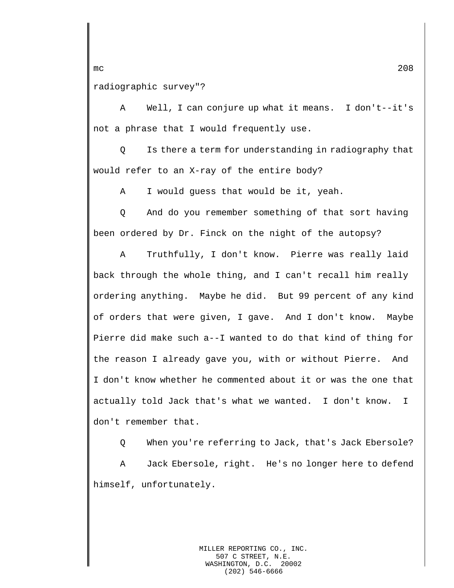radiographic survey"?

A Well, I can conjure up what it means. I don't--it's not a phrase that I would frequently use.

Q Is there a term for understanding in radiography that would refer to an X-ray of the entire body?

A I would guess that would be it, yeah.

Q And do you remember something of that sort having been ordered by Dr. Finck on the night of the autopsy?

A Truthfully, I don't know. Pierre was really laid back through the whole thing, and I can't recall him really ordering anything. Maybe he did. But 99 percent of any kind of orders that were given, I gave. And I don't know. Maybe Pierre did make such a--I wanted to do that kind of thing for the reason I already gave you, with or without Pierre. And I don't know whether he commented about it or was the one that actually told Jack that's what we wanted. I don't know. I don't remember that.

Q When you're referring to Jack, that's Jack Ebersole? A Jack Ebersole, right. He's no longer here to defend himself, unfortunately.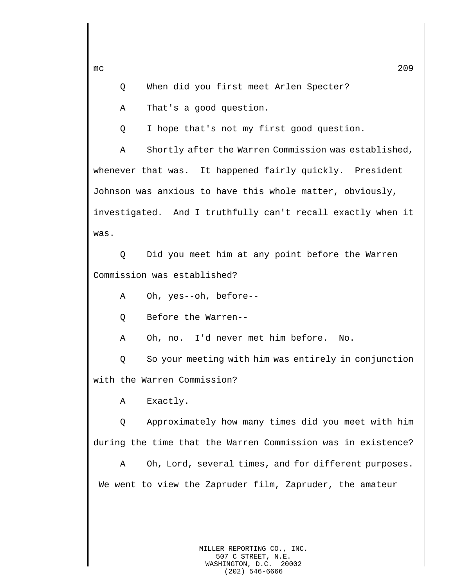Q When did you first meet Arlen Specter?

A That's a good question.

Q I hope that's not my first good question.

A Shortly after the Warren Commission was established, whenever that was. It happened fairly quickly. President Johnson was anxious to have this whole matter, obviously, investigated. And I truthfully can't recall exactly when it was.

Q Did you meet him at any point before the Warren Commission was established?

A Oh, yes--oh, before--

Q Before the Warren--

A Oh, no. I'd never met him before. No.

Q So your meeting with him was entirely in conjunction with the Warren Commission?

A Exactly.

Q Approximately how many times did you meet with him during the time that the Warren Commission was in existence?

A Oh, Lord, several times, and for different purposes. We went to view the Zapruder film, Zapruder, the amateur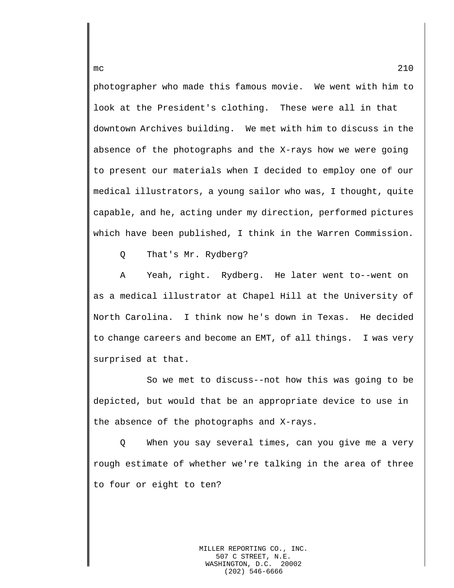photographer who made this famous movie. We went with him to look at the President's clothing. These were all in that downtown Archives building. We met with him to discuss in the absence of the photographs and the X-rays how we were going to present our materials when I decided to employ one of our medical illustrators, a young sailor who was, I thought, quite capable, and he, acting under my direction, performed pictures which have been published, I think in the Warren Commission.

Q That's Mr. Rydberg?

A Yeah, right. Rydberg. He later went to--went on as a medical illustrator at Chapel Hill at the University of North Carolina. I think now he's down in Texas. He decided to change careers and become an EMT, of all things. I was very surprised at that.

So we met to discuss--not how this was going to be depicted, but would that be an appropriate device to use in the absence of the photographs and X-rays.

Q When you say several times, can you give me a very rough estimate of whether we're talking in the area of three to four or eight to ten?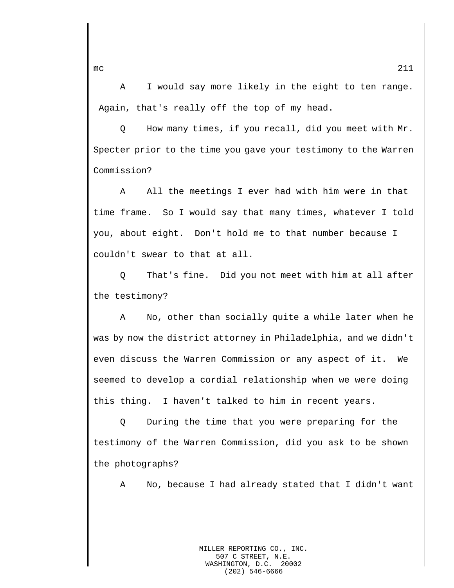A I would say more likely in the eight to ten range. Again, that's really off the top of my head.

Q How many times, if you recall, did you meet with Mr. Specter prior to the time you gave your testimony to the Warren Commission?

A All the meetings I ever had with him were in that time frame. So I would say that many times, whatever I told you, about eight. Don't hold me to that number because I couldn't swear to that at all.

Q That's fine. Did you not meet with him at all after the testimony?

A No, other than socially quite a while later when he was by now the district attorney in Philadelphia, and we didn't even discuss the Warren Commission or any aspect of it. We seemed to develop a cordial relationship when we were doing this thing. I haven't talked to him in recent years.

Q During the time that you were preparing for the testimony of the Warren Commission, did you ask to be shown the photographs?

A No, because I had already stated that I didn't want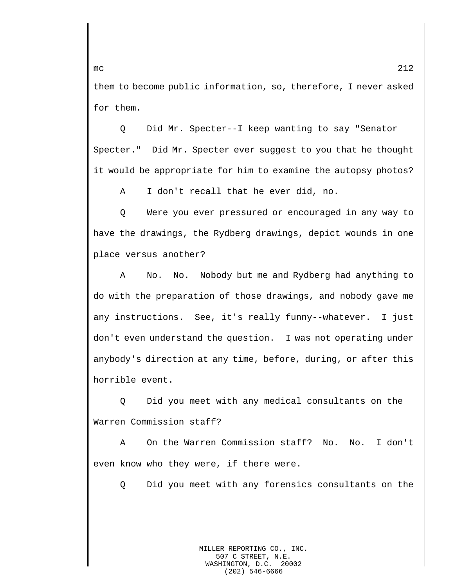them to become public information, so, therefore, I never asked for them.

Q Did Mr. Specter--I keep wanting to say "Senator Specter." Did Mr. Specter ever suggest to you that he thought it would be appropriate for him to examine the autopsy photos?

A I don't recall that he ever did, no.

Q Were you ever pressured or encouraged in any way to have the drawings, the Rydberg drawings, depict wounds in one place versus another?

A No. No. Nobody but me and Rydberg had anything to do with the preparation of those drawings, and nobody gave me any instructions. See, it's really funny--whatever. I just don't even understand the question. I was not operating under anybody's direction at any time, before, during, or after this horrible event.

Q Did you meet with any medical consultants on the Warren Commission staff?

A On the Warren Commission staff? No. No. I don't even know who they were, if there were.

Q Did you meet with any forensics consultants on the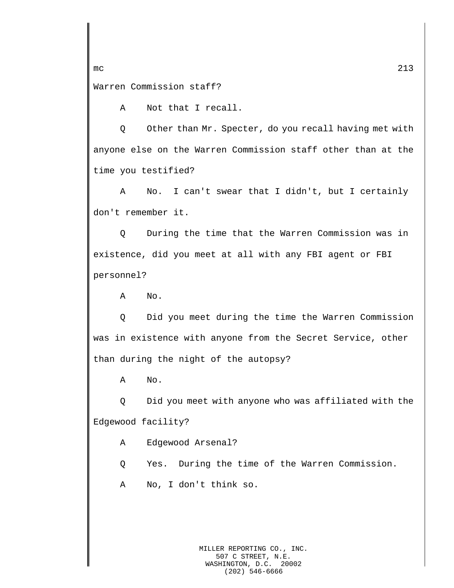Warren Commission staff?

A Not that I recall.

Q Other than Mr. Specter, do you recall having met with anyone else on the Warren Commission staff other than at the time you testified?

A No. I can't swear that I didn't, but I certainly don't remember it.

Q During the time that the Warren Commission was in existence, did you meet at all with any FBI agent or FBI personnel?

A No.

Q Did you meet during the time the Warren Commission was in existence with anyone from the Secret Service, other than during the night of the autopsy?

A No.

Q Did you meet with anyone who was affiliated with the Edgewood facility?

A Edgewood Arsenal?

Q Yes. During the time of the Warren Commission.

A No, I don't think so.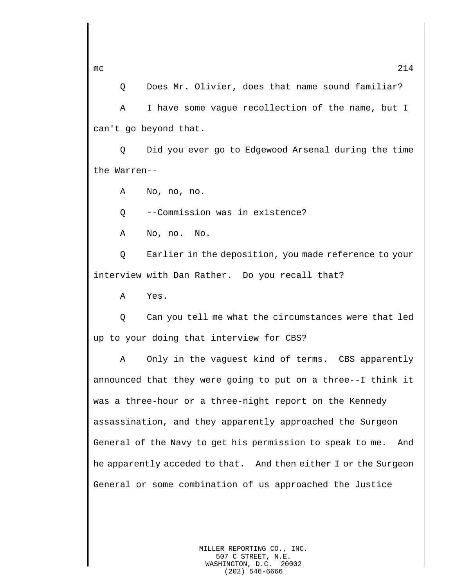Q Does Mr. Olivier, does that name sound familiar? A I have some vague recollection of the name, but I can't go beyond that.

Q Did you ever go to Edgewood Arsenal during the time the Warren--

A No, no, no.

Q --Commission was in existence?

A No, no. No.

Q Earlier in the deposition, you made reference to your interview with Dan Rather. Do you recall that?

A Yes.

Q Can you tell me what the circumstances were that led up to your doing that interview for CBS?

A Only in the vaguest kind of terms. CBS apparently announced that they were going to put on a three--I think it was a three-hour or a three-night report on the Kennedy assassination, and they apparently approached the Surgeon General of the Navy to get his permission to speak to me. And he apparently acceded to that. And then either I or the Surgeon General or some combination of us approached the Justice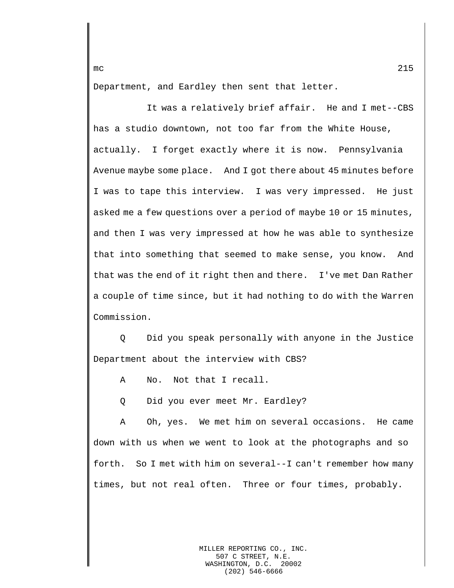Department, and Eardley then sent that letter.

It was a relatively brief affair. He and I met--CBS has a studio downtown, not too far from the White House, actually. I forget exactly where it is now. Pennsylvania Avenue maybe some place. And I got there about 45 minutes before I was to tape this interview. I was very impressed. He just asked me a few questions over a period of maybe 10 or 15 minutes, and then I was very impressed at how he was able to synthesize that into something that seemed to make sense, you know. And that was the end of it right then and there. I've met Dan Rather a couple of time since, but it had nothing to do with the Warren Commission.

Q Did you speak personally with anyone in the Justice Department about the interview with CBS?

A No. Not that I recall.

Q Did you ever meet Mr. Eardley?

A Oh, yes. We met him on several occasions. He came down with us when we went to look at the photographs and so forth. So I met with him on several--I can't remember how many times, but not real often. Three or four times, probably.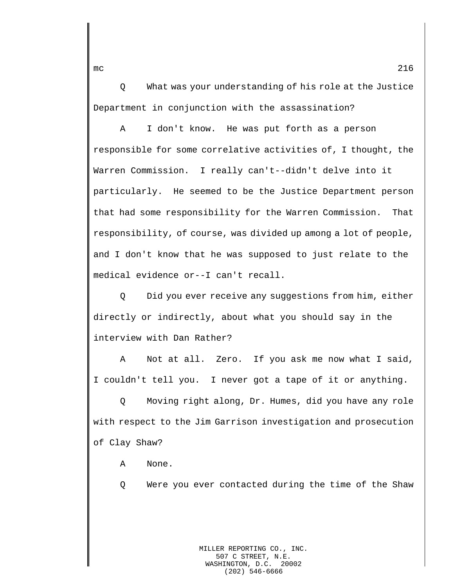Q What was your understanding of his role at the Justice Department in conjunction with the assassination?

A I don't know. He was put forth as a person responsible for some correlative activities of, I thought, the Warren Commission. I really can't--didn't delve into it particularly. He seemed to be the Justice Department person that had some responsibility for the Warren Commission. That responsibility, of course, was divided up among a lot of people, and I don't know that he was supposed to just relate to the medical evidence or--I can't recall.

Q Did you ever receive any suggestions from him, either directly or indirectly, about what you should say in the interview with Dan Rather?

A Not at all. Zero. If you ask me now what I said, I couldn't tell you. I never got a tape of it or anything.

Q Moving right along, Dr. Humes, did you have any role with respect to the Jim Garrison investigation and prosecution of Clay Shaw?

A None.

Q Were you ever contacted during the time of the Shaw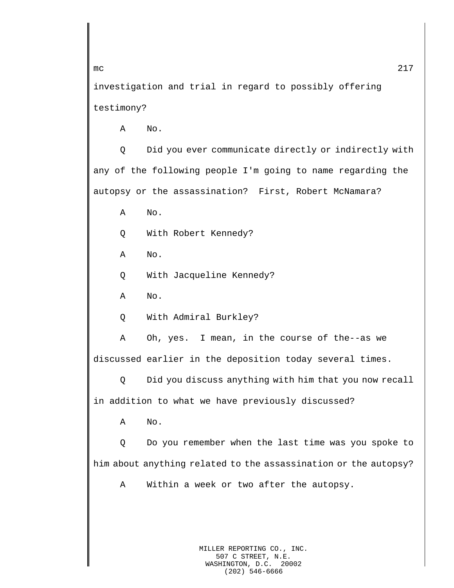investigation and trial in regard to possibly offering testimony?

A No.

Q Did you ever communicate directly or indirectly with any of the following people I'm going to name regarding the autopsy or the assassination? First, Robert McNamara?

A No.

Q With Robert Kennedy?

A No.

Q With Jacqueline Kennedy?

A No.

Q With Admiral Burkley?

A Oh, yes. I mean, in the course of the--as we discussed earlier in the deposition today several times.

Q Did you discuss anything with him that you now recall in addition to what we have previously discussed?

A No.

Q Do you remember when the last time was you spoke to him about anything related to the assassination or the autopsy?

A Within a week or two after the autopsy.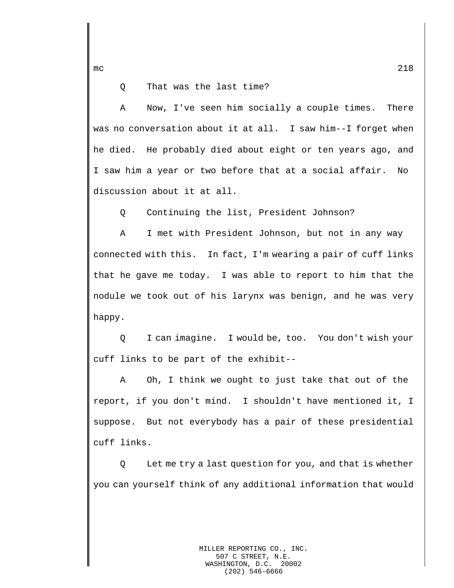## Q That was the last time?

A Now, I've seen him socially a couple times. There was no conversation about it at all. I saw him--I forget when he died. He probably died about eight or ten years ago, and I saw him a year or two before that at a social affair. No discussion about it at all.

Q Continuing the list, President Johnson?

A I met with President Johnson, but not in any way connected with this. In fact, I'm wearing a pair of cuff links that he gave me today. I was able to report to him that the nodule we took out of his larynx was benign, and he was very happy.

Q I can imagine. I would be, too. You don't wish your cuff links to be part of the exhibit--

A Oh, I think we ought to just take that out of the report, if you don't mind. I shouldn't have mentioned it, I suppose. But not everybody has a pair of these presidential cuff links.

Q Let me try a last question for you, and that is whether you can yourself think of any additional information that would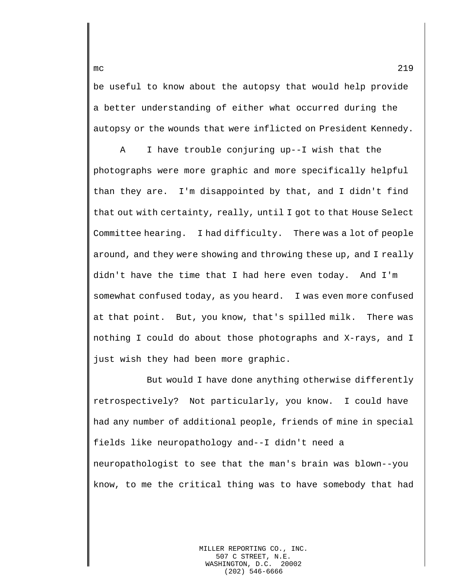be useful to know about the autopsy that would help provide a better understanding of either what occurred during the autopsy or the wounds that were inflicted on President Kennedy.

A I have trouble conjuring up--I wish that the photographs were more graphic and more specifically helpful than they are. I'm disappointed by that, and I didn't find that out with certainty, really, until I got to that House Select Committee hearing. I had difficulty. There was a lot of people around, and they were showing and throwing these up, and I really didn't have the time that I had here even today. And I'm somewhat confused today, as you heard. I was even more confused at that point. But, you know, that's spilled milk. There was nothing I could do about those photographs and X-rays, and I just wish they had been more graphic.

But would I have done anything otherwise differently retrospectively? Not particularly, you know. I could have had any number of additional people, friends of mine in special fields like neuropathology and--I didn't need a neuropathologist to see that the man's brain was blown--you know, to me the critical thing was to have somebody that had

mc  $\sim$  219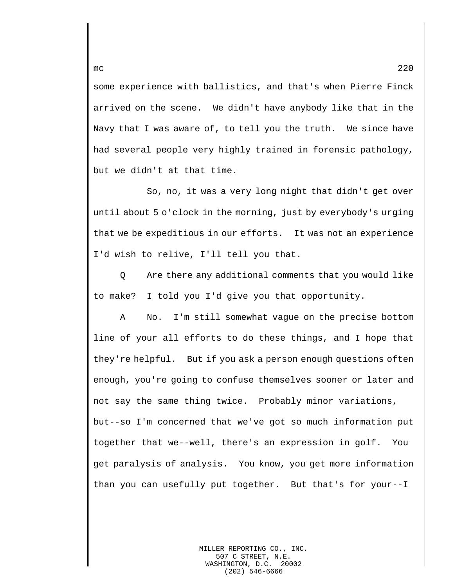some experience with ballistics, and that's when Pierre Finck arrived on the scene. We didn't have anybody like that in the Navy that I was aware of, to tell you the truth. We since have had several people very highly trained in forensic pathology, but we didn't at that time.

So, no, it was a very long night that didn't get over until about 5 o'clock in the morning, just by everybody's urging that we be expeditious in our efforts. It was not an experience I'd wish to relive, I'll tell you that.

Q Are there any additional comments that you would like to make? I told you I'd give you that opportunity.

A No. I'm still somewhat vague on the precise bottom line of your all efforts to do these things, and I hope that they're helpful. But if you ask a person enough questions often enough, you're going to confuse themselves sooner or later and not say the same thing twice. Probably minor variations, but--so I'm concerned that we've got so much information put together that we--well, there's an expression in golf. You get paralysis of analysis. You know, you get more information than you can usefully put together. But that's for your--I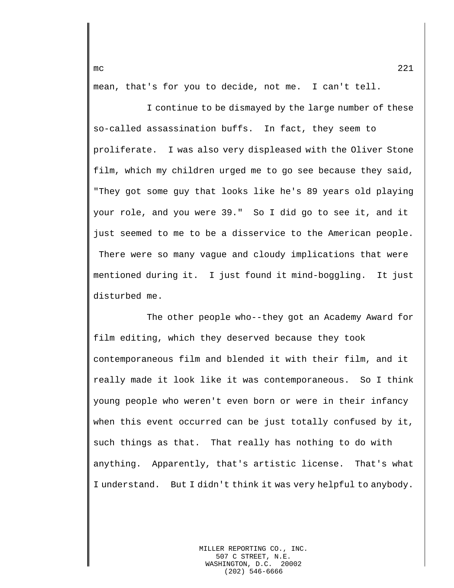mean, that's for you to decide, not me. I can't tell.

I continue to be dismayed by the large number of these so-called assassination buffs. In fact, they seem to proliferate. I was also very displeased with the Oliver Stone film, which my children urged me to go see because they said, "They got some guy that looks like he's 89 years old playing your role, and you were 39." So I did go to see it, and it just seemed to me to be a disservice to the American people. There were so many vague and cloudy implications that were mentioned during it. I just found it mind-boggling. It just disturbed me.

The other people who--they got an Academy Award for film editing, which they deserved because they took contemporaneous film and blended it with their film, and it really made it look like it was contemporaneous. So I think young people who weren't even born or were in their infancy when this event occurred can be just totally confused by it, such things as that. That really has nothing to do with anything. Apparently, that's artistic license. That's what I understand. But I didn't think it was very helpful to anybody.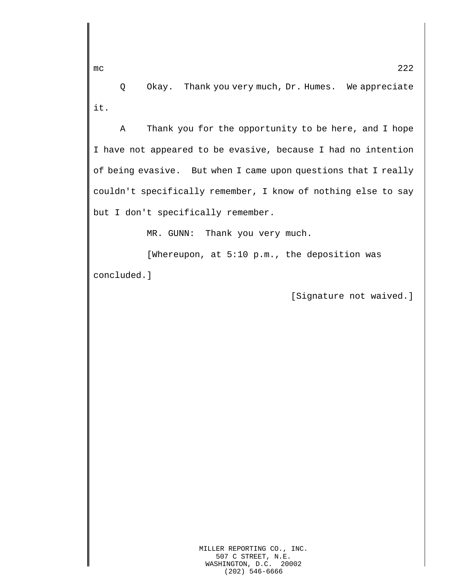Q Okay. Thank you very much, Dr. Humes. We appreciate it.

A Thank you for the opportunity to be here, and I hope I have not appeared to be evasive, because I had no intention of being evasive. But when I came upon questions that I really couldn't specifically remember, I know of nothing else to say but I don't specifically remember.

MR. GUNN: Thank you very much.

[Whereupon, at 5:10 p.m., the deposition was concluded.]

[Signature not waived.]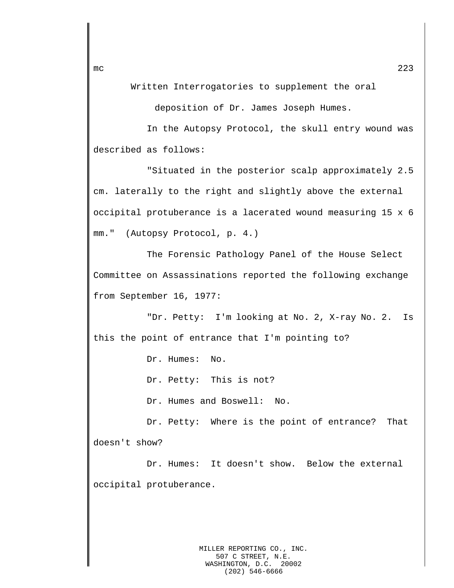Written Interrogatories to supplement the oral

deposition of Dr. James Joseph Humes.

In the Autopsy Protocol, the skull entry wound was described as follows:

"Situated in the posterior scalp approximately 2.5 cm. laterally to the right and slightly above the external occipital protuberance is a lacerated wound measuring 15 x 6 mm." (Autopsy Protocol, p. 4.)

The Forensic Pathology Panel of the House Select Committee on Assassinations reported the following exchange from September 16, 1977:

"Dr. Petty: I'm looking at No. 2, X-ray No. 2. Is this the point of entrance that I'm pointing to?

Dr. Humes: No.

Dr. Petty: This is not?

Dr. Humes and Boswell: No.

Dr. Petty: Where is the point of entrance? That doesn't show?

Dr. Humes: It doesn't show. Below the external occipital protuberance.

MILLER REPORTING CO., INC.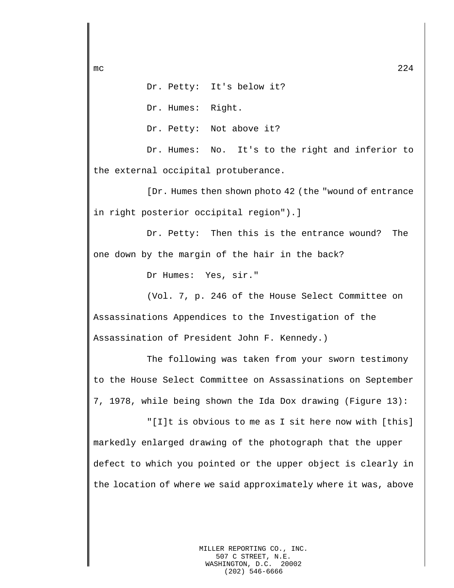Dr. Petty: It's below it?

Dr. Humes: Right.

Dr. Petty: Not above it?

Dr. Humes: No. It's to the right and inferior to the external occipital protuberance.

[Dr. Humes then shown photo 42 (the "wound of entrance in right posterior occipital region").]

Dr. Petty: Then this is the entrance wound? The one down by the margin of the hair in the back?

Dr Humes: Yes, sir."

(Vol. 7, p. 246 of the House Select Committee on Assassinations Appendices to the Investigation of the Assassination of President John F. Kennedy.)

The following was taken from your sworn testimony to the House Select Committee on Assassinations on September 7, 1978, while being shown the Ida Dox drawing (Figure 13):

"[I]t is obvious to me as I sit here now with [this] markedly enlarged drawing of the photograph that the upper defect to which you pointed or the upper object is clearly in the location of where we said approximately where it was, above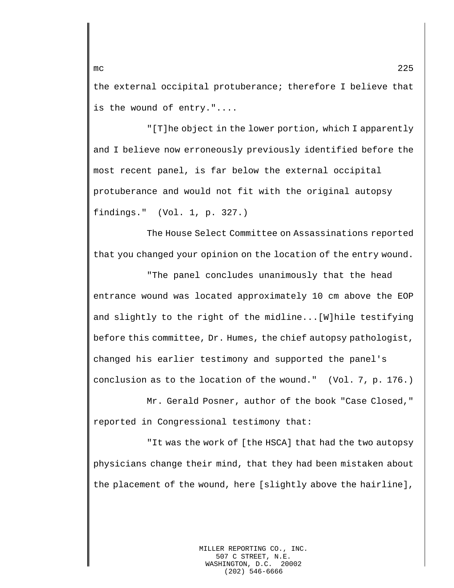the external occipital protuberance; therefore I believe that is the wound of entry."....

"[T]he object in the lower portion, which I apparently and I believe now erroneously previously identified before the most recent panel, is far below the external occipital protuberance and would not fit with the original autopsy findings." (Vol. 1, p. 327.)

The House Select Committee on Assassinations reported that you changed your opinion on the location of the entry wound.

"The panel concludes unanimously that the head entrance wound was located approximately 10 cm above the EOP and slightly to the right of the midline...[W]hile testifying before this committee, Dr. Humes, the chief autopsy pathologist, changed his earlier testimony and supported the panel's conclusion as to the location of the wound." (Vol. 7, p. 176.)

Mr. Gerald Posner, author of the book "Case Closed," reported in Congressional testimony that:

"It was the work of [the HSCA] that had the two autopsy physicians change their mind, that they had been mistaken about the placement of the wound, here [slightly above the hairline],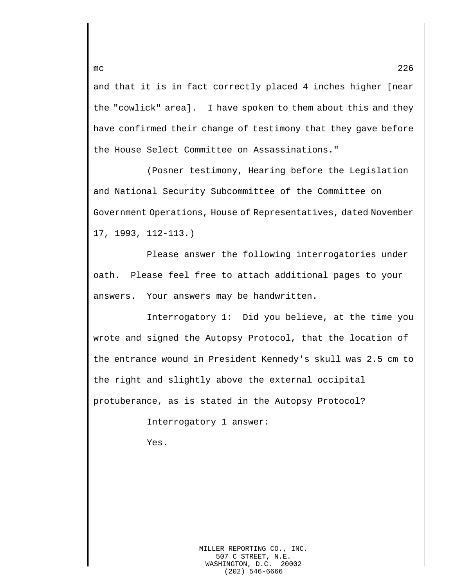and that it is in fact correctly placed 4 inches higher [near the "cowlick" area]. I have spoken to them about this and they have confirmed their change of testimony that they gave before the House Select Committee on Assassinations."

(Posner testimony, Hearing before the Legislation and National Security Subcommittee of the Committee on Government Operations, House of Representatives, dated November 17, 1993, 112-113.)

Please answer the following interrogatories under oath. Please feel free to attach additional pages to your answers. Your answers may be handwritten.

Interrogatory 1: Did you believe, at the time you wrote and signed the Autopsy Protocol, that the location of the entrance wound in President Kennedy's skull was 2.5 cm to the right and slightly above the external occipital protuberance, as is stated in the Autopsy Protocol?

> Interrogatory 1 answer: Yes.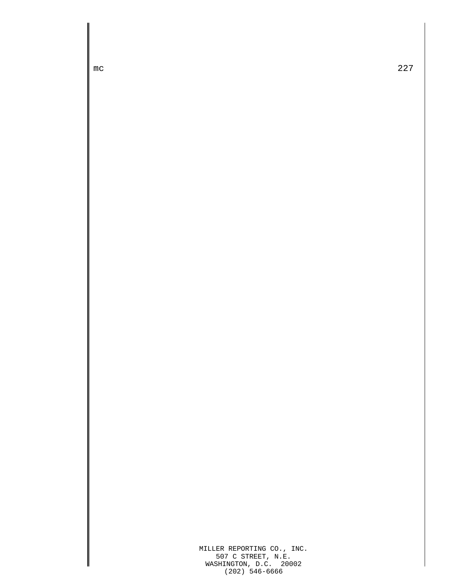MILLER REPORTING CO., INC. 507 C STREET, N.E. WASHINGTON, D.C. 20002 (202) 546-6666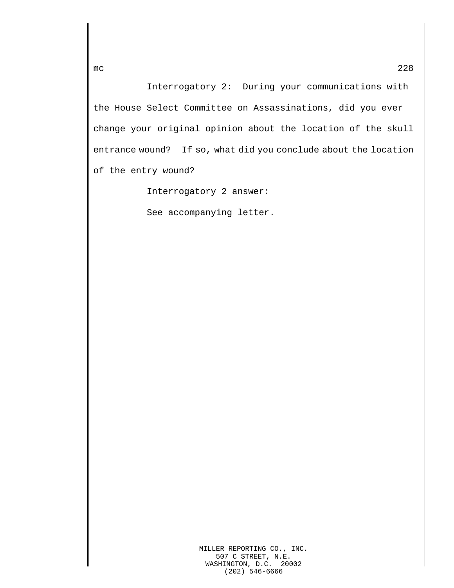Interrogatory 2: During your communications with the House Select Committee on Assassinations, did you ever change your original opinion about the location of the skull entrance wound? If so, what did you conclude about the location of the entry wound?

Interrogatory 2 answer:

See accompanying letter.

MILLER REPORTING CO., INC. 507 C STREET, N.E. WASHINGTON, D.C. 20002 (202) 546-6666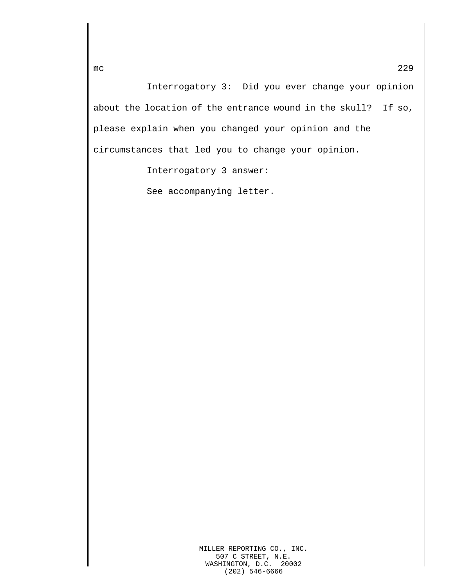Interrogatory 3: Did you ever change your opinion about the location of the entrance wound in the skull? If so, please explain when you changed your opinion and the circumstances that led you to change your opinion.

Interrogatory 3 answer:

See accompanying letter.